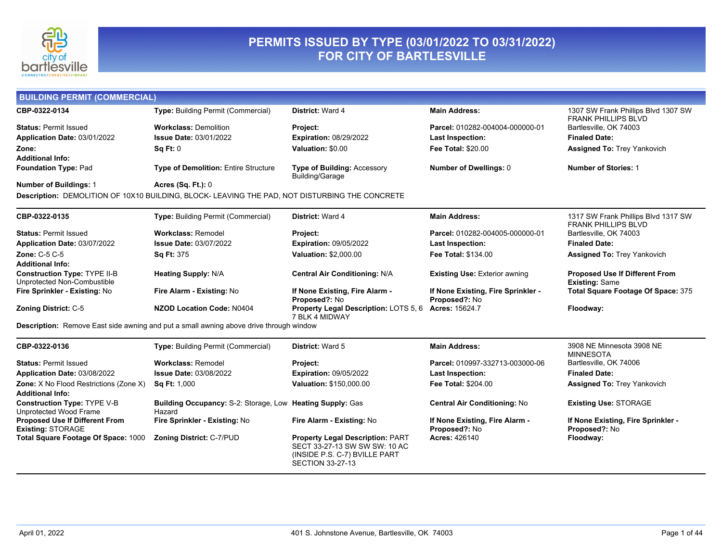

### **PERMITS ISSUED BY TYPE (03/01/2022 TO 03/31/2022) FOR CITY OF BARTLESVILLE**

| <b>BUILDING PERMIT (COMMERCIAL)</b>                               |                                                                                                |                                                                                                                                      |                                                     |                                                                   |
|-------------------------------------------------------------------|------------------------------------------------------------------------------------------------|--------------------------------------------------------------------------------------------------------------------------------------|-----------------------------------------------------|-------------------------------------------------------------------|
| CBP-0322-0134                                                     | <b>Type: Building Permit (Commercial)</b>                                                      | District: Ward 4                                                                                                                     | <b>Main Address:</b>                                | 1307 SW Frank Phillips Blvd 1307 SW<br><b>FRANK PHILLIPS BLVD</b> |
| <b>Status: Permit Issued</b>                                      | <b>Workclass: Demolition</b>                                                                   | Project:                                                                                                                             | Parcel: 010282-004004-000000-01                     | Bartlesville, OK 74003                                            |
| Application Date: 03/01/2022                                      | <b>Issue Date: 03/01/2022</b>                                                                  | <b>Expiration: 08/29/2022</b>                                                                                                        | <b>Last Inspection:</b>                             | <b>Finaled Date:</b>                                              |
| Zone:                                                             | Sq Ft: 0                                                                                       | Valuation: \$0.00                                                                                                                    | <b>Fee Total: \$20.00</b>                           | <b>Assigned To: Trey Yankovich</b>                                |
| <b>Additional Info:</b>                                           |                                                                                                |                                                                                                                                      |                                                     |                                                                   |
| Foundation Type: Pad                                              | Type of Demolition: Entire Structure                                                           | Type of Building: Accessory<br>Building/Garage                                                                                       | Number of Dwellings: 0                              | <b>Number of Stories: 1</b>                                       |
| <b>Number of Buildings: 1</b>                                     | <b>Acres (Sq. Ft.): 0</b>                                                                      |                                                                                                                                      |                                                     |                                                                   |
|                                                                   | Description: DEMOLITION OF 10X10 BUILDING, BLOCK- LEAVING THE PAD, NOT DISTURBING THE CONCRETE |                                                                                                                                      |                                                     |                                                                   |
| CBP-0322-0135                                                     | Type: Building Permit (Commercial)                                                             | District: Ward 4                                                                                                                     | <b>Main Address:</b>                                | 1317 SW Frank Phillips Blvd 1317 SW<br><b>FRANK PHILLIPS BLVD</b> |
| <b>Status: Permit Issued</b>                                      | <b>Workclass: Remodel</b>                                                                      | Project:                                                                                                                             | Parcel: 010282-004005-000000-01                     | Bartlesville, OK 74003                                            |
| Application Date: 03/07/2022                                      | <b>Issue Date: 03/07/2022</b>                                                                  | <b>Expiration: 09/05/2022</b>                                                                                                        | <b>Last Inspection:</b>                             | <b>Finaled Date:</b>                                              |
| <b>Zone: C-5 C-5</b>                                              | Sq Ft: 375                                                                                     | <b>Valuation: \$2,000.00</b>                                                                                                         | <b>Fee Total: \$134.00</b>                          | <b>Assigned To: Trey Yankovich</b>                                |
| <b>Additional Info:</b>                                           |                                                                                                |                                                                                                                                      |                                                     |                                                                   |
| Construction Type: TYPE II-B<br>Unprotected Non-Combustible       | <b>Heating Supply: N/A</b>                                                                     | Central Air Conditioning: N/A                                                                                                        | <b>Existing Use: Exterior awning</b>                | <b>Proposed Use If Different From</b><br><b>Existing: Same</b>    |
| Fire Sprinkler - Existing: No                                     | Fire Alarm - Existing: No                                                                      | If None Existing, Fire Alarm -<br>Proposed?: No                                                                                      | If None Existing, Fire Sprinkler -<br>Proposed?: No | Total Square Footage Of Space: 375                                |
| <b>Zoning District: C-5</b>                                       | <b>NZOD Location Code: N0404</b>                                                               | Property Legal Description: LOTS 5, 6<br>7 BLK 4 MIDWAY                                                                              | <b>Acres: 15624.7</b>                               | Floodway:                                                         |
|                                                                   | <b>Description:</b> Remove East side awning and put a small awning above drive through window  |                                                                                                                                      |                                                     |                                                                   |
| CBP-0322-0136                                                     | Type: Building Permit (Commercial)                                                             | <b>District: Ward 5</b>                                                                                                              | <b>Main Address:</b>                                | 3908 NE Minnesota 3908 NE<br><b>MINNESOTA</b>                     |
| <b>Status: Permit Issued</b>                                      | <b>Workclass: Remodel</b>                                                                      | Project:                                                                                                                             | Parcel: 010997-332713-003000-06                     | Bartlesville, OK 74006                                            |
| Application Date: 03/08/2022                                      | <b>Issue Date: 03/08/2022</b>                                                                  | <b>Expiration: 09/05/2022</b>                                                                                                        | <b>Last Inspection:</b>                             | <b>Finaled Date:</b>                                              |
| Zone: X No Flood Restrictions (Zone X)<br><b>Additional Info:</b> | Sq Ft: 1,000                                                                                   | Valuation: \$150,000.00                                                                                                              | Fee Total: \$204.00                                 | <b>Assigned To: Trey Yankovich</b>                                |
| Construction Type: TYPE V-B<br>Unprotected Wood Frame             | Building Occupancy: S-2: Storage, Low Heating Supply: Gas<br>Hazard                            |                                                                                                                                      | <b>Central Air Conditioning: No</b>                 | <b>Existing Use: STORAGE</b>                                      |
| <b>Proposed Use If Different From</b><br><b>Existing: STORAGE</b> | Fire Sprinkler - Existing: No                                                                  | Fire Alarm - Existing: No                                                                                                            | If None Existing, Fire Alarm -<br>Proposed?: No     | If None Existing, Fire Sprinkler -<br>Proposed?: No               |
| Total Square Footage Of Space: 1000                               | <b>Zoning District: C-7/PUD</b>                                                                | <b>Property Legal Description: PART</b><br>SECT 33-27-13 SW SW SW: 10 AC<br>(INSIDE P.S. C-7) BVILLE PART<br><b>SECTION 33-27-13</b> | <b>Acres: 426140</b>                                | Floodway:                                                         |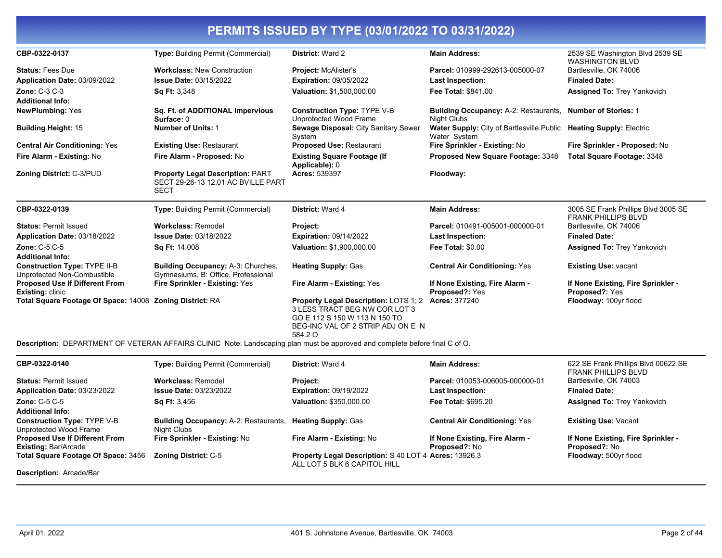| CBP-0322-0137                                                      | <b>Type: Building Permit (Commercial)</b>                                                    | District: Ward 2                                                                                                                                               | <b>Main Address:</b>                                                               | 2539 SE Washington Blvd 2539 SE<br><b>WASHINGTON BLVD</b>         |
|--------------------------------------------------------------------|----------------------------------------------------------------------------------------------|----------------------------------------------------------------------------------------------------------------------------------------------------------------|------------------------------------------------------------------------------------|-------------------------------------------------------------------|
| <b>Status: Fees Due</b>                                            | <b>Workclass: New Construction</b>                                                           | <b>Project: McAlister's</b>                                                                                                                                    | Parcel: 010999-292613-005000-07                                                    | Bartlesville, OK 74006                                            |
| Application Date: 03/09/2022                                       | <b>Issue Date: 03/15/2022</b>                                                                | <b>Expiration: 09/05/2022</b>                                                                                                                                  | Last Inspection:                                                                   | <b>Finaled Date:</b>                                              |
| <b>Zone: C-3 C-3</b>                                               | Sq Ft: 3,348                                                                                 | Valuation: \$1,500,000.00                                                                                                                                      | Fee Total: \$841.00                                                                | <b>Assigned To: Trey Yankovich</b>                                |
| <b>Additional Info:</b>                                            |                                                                                              |                                                                                                                                                                |                                                                                    |                                                                   |
| <b>NewPlumbing: Yes</b>                                            | Sq. Ft. of ADDITIONAL Impervious<br>Surface: 0                                               | <b>Construction Type: TYPE V-B</b><br>Unprotected Wood Frame                                                                                                   | <b>Building Occupancy: A-2: Restaurants,</b><br>Night Clubs                        | <b>Number of Stories: 1</b>                                       |
| <b>Building Height: 15</b>                                         | <b>Number of Units: 1</b>                                                                    | Sewage Disposal: City Sanitary Sewer<br>System                                                                                                                 | Water Supply: City of Bartlesville Public Heating Supply: Electric<br>Water System |                                                                   |
| <b>Central Air Conditioning: Yes</b>                               | <b>Existing Use: Restaurant</b>                                                              | <b>Proposed Use: Restaurant</b>                                                                                                                                | Fire Sprinkler - Existing: No                                                      | Fire Sprinkler - Proposed: No                                     |
| Fire Alarm - Existing: No                                          | Fire Alarm - Proposed: No                                                                    | <b>Existing Square Footage (If</b><br>Applicable): 0                                                                                                           | Proposed New Square Footage: 3348                                                  | <b>Total Square Footage: 3348</b>                                 |
| Zoning District: C-3/PUD                                           | <b>Property Legal Description: PART</b><br>SECT 29-26-13 12.01 AC BVILLE PART<br><b>SECT</b> | <b>Acres: 539397</b>                                                                                                                                           | Floodway:                                                                          |                                                                   |
| CBP-0322-0139                                                      | Type: Building Permit (Commercial)                                                           | <b>District: Ward 4</b>                                                                                                                                        | <b>Main Address:</b>                                                               | 3005 SE Frank Phillips Blvd 3005 SE<br><b>FRANK PHILLIPS BLVD</b> |
| <b>Status: Permit Issued</b>                                       | <b>Workclass: Remodel</b>                                                                    | Project:                                                                                                                                                       | Parcel: 010491-005001-000000-01                                                    | Bartlesville, OK 74006                                            |
| Application Date: 03/18/2022                                       | <b>Issue Date: 03/18/2022</b>                                                                | <b>Expiration: 09/14/2022</b>                                                                                                                                  | Last Inspection:                                                                   | <b>Finaled Date:</b>                                              |
| <b>Zone: C-5 C-5</b><br><b>Additional Info:</b>                    | <b>Sq Ft: 14,008</b>                                                                         | Valuation: \$1,900,000.00                                                                                                                                      | <b>Fee Total: \$0.00</b>                                                           | <b>Assigned To: Trey Yankovich</b>                                |
| <b>Construction Type: TYPE II-B</b><br>Unprotected Non-Combustible | <b>Building Occupancy: A-3: Churches,</b><br>Gymnasiums, B: Office, Professional             | <b>Heating Supply: Gas</b>                                                                                                                                     | <b>Central Air Conditioning: Yes</b>                                               | <b>Existing Use: vacant</b>                                       |
| <b>Proposed Use If Different From</b><br><b>Existing: clinic</b>   | Fire Sprinkler - Existing: Yes                                                               | Fire Alarm - Existing: Yes                                                                                                                                     | If None Existing, Fire Alarm -<br>Proposed?: Yes                                   | If None Existing, Fire Sprinkler -<br>Proposed?: Yes              |
| Total Square Footage Of Space: 14008 Zoning District: RA           |                                                                                              | <b>Property Legal Description: LOTS 1; 2</b><br>3 LESS TRACT BEG NW COR LOT 3<br>GO E 112 S 150 W 113 N 150 TO<br>BEG-INC VAL OF 2 STRIP ADJ ON E N<br>584.2 O | <b>Acres: 377240</b>                                                               | Floodway: 100yr flood                                             |

**Description:** DEPARTMENT OF VETERAN AFFAIRS CLINIC Note: Landscaping plan must be approved and complete before final C of O.

| CBP-0322-0140                                                        | <b>Type: Building Permit (Commercial)</b>                   | <b>District: Ward 4</b>                                                                      | <b>Main Address:</b>                                   | 622 SE Frank Phillips Blvd 00622 SE<br><b>FRANK PHILLIPS BLVD</b> |
|----------------------------------------------------------------------|-------------------------------------------------------------|----------------------------------------------------------------------------------------------|--------------------------------------------------------|-------------------------------------------------------------------|
| <b>Status: Permit Issued</b>                                         | Workclass: Remodel                                          | <b>Project:</b>                                                                              | Parcel: 010053-006005-000000-01                        | Bartlesville, OK 74003                                            |
| Application Date: 03/23/2022                                         | <b>Issue Date: 03/23/2022</b>                               | <b>Expiration: 09/19/2022</b>                                                                | <b>Last Inspection:</b>                                | <b>Finaled Date:</b>                                              |
| Zone: $C-5$ $C-5$<br><b>Additional Info:</b>                         | <b>Sq Ft: 3,456</b>                                         | Valuation: \$350,000.00                                                                      | <b>Fee Total: \$695.20</b>                             | <b>Assigned To: Trey Yankovich</b>                                |
| <b>Construction Type: TYPE V-B</b><br>Unprotected Wood Frame         | <b>Building Occupancy: A-2: Restaurants.</b><br>Night Clubs | <b>Heating Supply: Gas</b>                                                                   | <b>Central Air Conditioning: Yes</b>                   | <b>Existing Use: Vacant</b>                                       |
| <b>Proposed Use If Different From</b><br><b>Existing: Bar/Arcade</b> | Fire Sprinkler - Existing: No                               | Fire Alarm - Existing: No                                                                    | If None Existing, Fire Alarm -<br><b>Proposed?: No</b> | If None Existing, Fire Sprinkler -<br><b>Proposed?: No</b>        |
| Total Square Footage Of Space: 3456                                  | <b>Zoning District: C-5</b>                                 | <b>Property Legal Description: S 40 LOT 4 Acres: 13926.3</b><br>ALL LOT 5 BLK 6 CAPITOL HILL |                                                        | Floodway: 500yr flood                                             |
| <b>Description: Arcade/Bar</b>                                       |                                                             |                                                                                              |                                                        |                                                                   |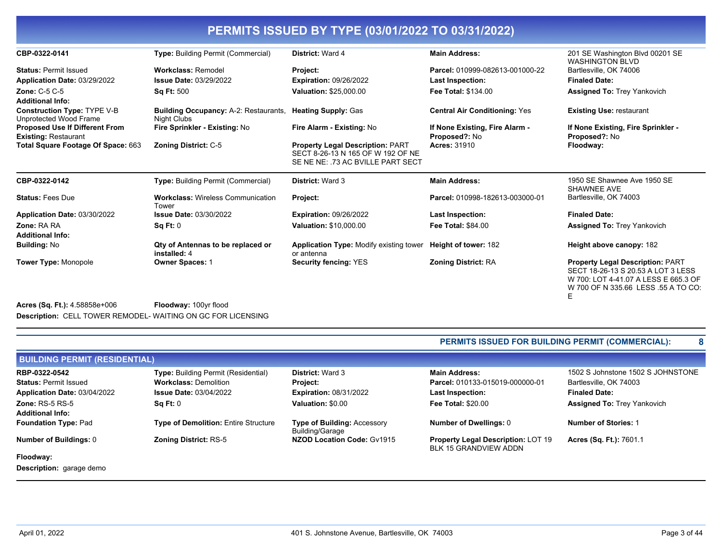| CBP-0322-0141                                                | Type: Building Permit (Commercial)                                              | District: Ward 4                                                                                                  | <b>Main Address:</b>                 | 201 SE Washington Blvd 00201 SE<br><b>WASHINGTON BLVD</b>                                                                                                         |
|--------------------------------------------------------------|---------------------------------------------------------------------------------|-------------------------------------------------------------------------------------------------------------------|--------------------------------------|-------------------------------------------------------------------------------------------------------------------------------------------------------------------|
| <b>Status: Permit Issued</b>                                 | <b>Workclass: Remodel</b>                                                       | Project:                                                                                                          | Parcel: 010999-082613-001000-22      | Bartlesville, OK 74006                                                                                                                                            |
| Application Date: 03/29/2022                                 | <b>Issue Date: 03/29/2022</b>                                                   | <b>Expiration: 09/26/2022</b>                                                                                     | <b>Last Inspection:</b>              | <b>Finaled Date:</b>                                                                                                                                              |
| <b>Zone: C-5 C-5</b>                                         | <b>Sq Ft: 500</b>                                                               | Valuation: \$25,000.00                                                                                            | Fee Total: \$134.00                  | <b>Assigned To: Trey Yankovich</b>                                                                                                                                |
| <b>Additional Info:</b>                                      |                                                                                 |                                                                                                                   |                                      |                                                                                                                                                                   |
| <b>Construction Type: TYPE V-B</b><br>Unprotected Wood Frame | <b>Building Occupancy: A-2: Restaurants, Heating Supply: Gas</b><br>Night Clubs |                                                                                                                   | <b>Central Air Conditioning: Yes</b> | <b>Existing Use: restaurant</b>                                                                                                                                   |
| <b>Proposed Use If Different From</b>                        | Fire Sprinkler - Existing: No                                                   | Fire Alarm - Existing: No                                                                                         | If None Existing, Fire Alarm -       | If None Existing, Fire Sprinkler -                                                                                                                                |
| <b>Existing: Restaurant</b>                                  |                                                                                 |                                                                                                                   | Proposed?: No                        | <b>Proposed?: No</b>                                                                                                                                              |
| Total Square Footage Of Space: 663                           | <b>Zoning District: C-5</b>                                                     | <b>Property Legal Description: PART</b><br>SECT 8-26-13 N 165 OF W 192 OF NE<br>SE NE NE: .73 AC BVILLE PART SECT | <b>Acres: 31910</b>                  | Floodway:                                                                                                                                                         |
| CBP-0322-0142                                                | <b>Type:</b> Building Permit (Commercial)                                       | <b>District: Ward 3</b>                                                                                           | <b>Main Address:</b>                 | 1950 SE Shawnee Ave 1950 SE<br>SHAWNEE AVE                                                                                                                        |
| <b>Status: Fees Due</b>                                      | <b>Workclass: Wireless Communication</b><br>Tower                               | Project:                                                                                                          | Parcel: 010998-182613-003000-01      | Bartlesville, OK 74003                                                                                                                                            |
| Application Date: 03/30/2022                                 | <b>Issue Date: 03/30/2022</b>                                                   | <b>Expiration: 09/26/2022</b>                                                                                     | <b>Last Inspection:</b>              | <b>Finaled Date:</b>                                                                                                                                              |
| Zone: RA RA                                                  | Sq Ft: 0                                                                        | <b>Valuation: \$10,000.00</b>                                                                                     | <b>Fee Total: \$84.00</b>            | <b>Assigned To: Trey Yankovich</b>                                                                                                                                |
| <b>Additional Info:</b>                                      |                                                                                 |                                                                                                                   |                                      |                                                                                                                                                                   |
| <b>Building: No</b>                                          | Qty of Antennas to be replaced or<br>installed: 4                               | <b>Application Type: Modify existing tower</b><br>or antenna                                                      | Height of tower: 182                 | Height above canopy: 182                                                                                                                                          |
| <b>Tower Type: Monopole</b>                                  | <b>Owner Spaces: 1</b>                                                          | <b>Security fencing: YES</b>                                                                                      | <b>Zoning District: RA</b>           | <b>Property Legal Description: PART</b><br>SECT 18-26-13 S 20.53 A LOT 3 LESS<br>W 700: LOT 4-41.07 A LESS E 665.3 OF<br>W 700 OF N 335.66 LESS .55 A TO CO:<br>Ε |

**Acres (Sq. Ft.):** 4.58858e+006 **Floodway:** 100yr flood **Description:** CELL TOWER REMODEL- WAITING ON GC FOR LICENSING

### **PERMITS ISSUED FOR BUILDING PERMIT (COMMERCIAL): 8**

| <b>BUILDING PERMIT (RESIDENTIAL)</b> |                                             |                                                       |                                                                    |                                    |  |
|--------------------------------------|---------------------------------------------|-------------------------------------------------------|--------------------------------------------------------------------|------------------------------------|--|
| RBP-0322-0542                        | <b>Type:</b> Building Permit (Residential)  | <b>District: Ward 3</b>                               | <b>Main Address:</b>                                               | 1502 S Johnstone 1502 S JOHNSTONE  |  |
| <b>Status: Permit Issued</b>         | <b>Workclass: Demolition</b>                | <b>Project:</b>                                       | Parcel: 010133-015019-000000-01                                    | Bartlesville, OK 74003             |  |
| Application Date: 03/04/2022         | <b>Issue Date: 03/04/2022</b>               | <b>Expiration: 08/31/2022</b>                         | <b>Last Inspection:</b>                                            | <b>Finaled Date:</b>               |  |
| Zone: $RS-5RS-5$                     | Sq Ft: 0                                    | Valuation: \$0.00                                     | <b>Fee Total: \$20.00</b>                                          | <b>Assigned To: Trey Yankovich</b> |  |
| <b>Additional Info:</b>              |                                             |                                                       |                                                                    |                                    |  |
| <b>Foundation Type: Pad</b>          | <b>Type of Demolition: Entire Structure</b> | <b>Type of Building: Accessory</b><br>Building/Garage | Number of Dwellings: 0                                             | <b>Number of Stories: 1</b>        |  |
| Number of Buildings: 0               | <b>Zoning District: RS-5</b>                | NZOD Location Code: Gv1915                            | <b>Property Legal Description: LOT 19</b><br>BLK 15 GRANDVIEW ADDN | Acres (Sq. Ft.): 7601.1            |  |
| Floodway:                            |                                             |                                                       |                                                                    |                                    |  |

**Description:** garage demo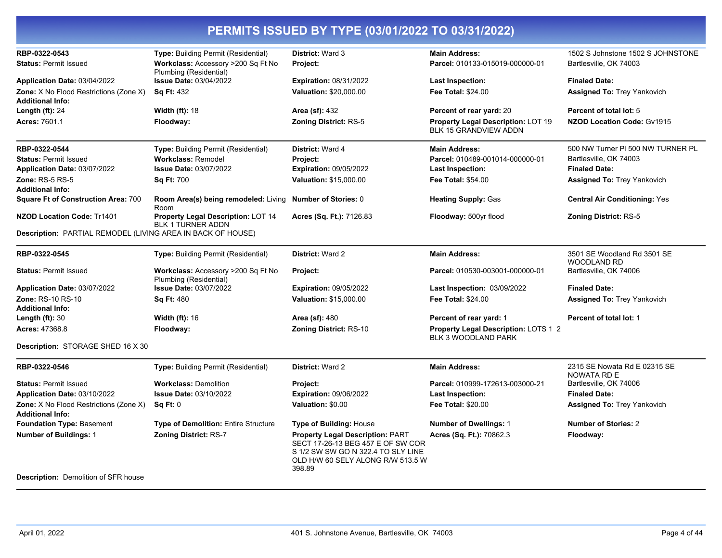| RBP-0322-0543                                                                | Type: Building Permit (Residential)                            | <b>District: Ward 3</b>                                                                                                                                           | <b>Main Address:</b>                                               | 1502 S Johnstone 1502 S JOHNSTONE                 |
|------------------------------------------------------------------------------|----------------------------------------------------------------|-------------------------------------------------------------------------------------------------------------------------------------------------------------------|--------------------------------------------------------------------|---------------------------------------------------|
| <b>Status: Permit Issued</b>                                                 | Workclass: Accessory >200 Sq Ft No<br>Plumbing (Residential)   | Project:                                                                                                                                                          | Parcel: 010133-015019-000000-01                                    | Bartlesville, OK 74003                            |
| Application Date: 03/04/2022                                                 | <b>Issue Date: 03/04/2022</b>                                  | <b>Expiration: 08/31/2022</b>                                                                                                                                     | <b>Last Inspection:</b>                                            | <b>Finaled Date:</b>                              |
| <b>Zone:</b> X No Flood Restrictions (Zone X)                                | <b>Sq Ft: 432</b>                                              | Valuation: \$20,000.00                                                                                                                                            | <b>Fee Total: \$24.00</b>                                          | <b>Assigned To: Trey Yankovich</b>                |
| <b>Additional Info:</b>                                                      |                                                                |                                                                                                                                                                   |                                                                    |                                                   |
| Length $(ft)$ : 24                                                           | <b>Width (ft): 18</b>                                          | <b>Area (sf): 432</b>                                                                                                                                             | Percent of rear yard: 20                                           | Percent of total lot: 5                           |
| <b>Acres: 7601.1</b>                                                         | Floodway:                                                      | <b>Zoning District: RS-5</b>                                                                                                                                      | Property Legal Description: LOT 19<br>BLK 15 GRANDVIEW ADDN        | NZOD Location Code: Gv1915                        |
| RBP-0322-0544                                                                | Type: Building Permit (Residential)                            | District: Ward 4                                                                                                                                                  | <b>Main Address:</b>                                               | 500 NW Turner PI 500 NW TURNER PL                 |
| <b>Status: Permit Issued</b>                                                 | <b>Workclass: Remodel</b>                                      | Project:                                                                                                                                                          | Parcel: 010489-001014-000000-01                                    | Bartlesville, OK 74003                            |
| Application Date: 03/07/2022                                                 | <b>Issue Date: 03/07/2022</b>                                  | <b>Expiration: 09/05/2022</b>                                                                                                                                     | Last Inspection:                                                   | <b>Finaled Date:</b>                              |
| <b>Zone: RS-5 RS-5</b>                                                       | <b>Sq Ft: 700</b>                                              | <b>Valuation: \$15,000.00</b>                                                                                                                                     | <b>Fee Total: \$54.00</b>                                          | <b>Assigned To: Trey Yankovich</b>                |
| <b>Additional Info:</b><br><b>Square Ft of Construction Area: 700</b>        | Room Area(s) being remodeled: Living<br>Room                   | <b>Number of Stories: 0</b>                                                                                                                                       | <b>Heating Supply: Gas</b>                                         | <b>Central Air Conditioning: Yes</b>              |
| <b>NZOD Location Code: Tr1401</b>                                            | Property Legal Description: LOT 14<br><b>BLK 1 TURNER ADDN</b> | Acres (Sq. Ft.): 7126.83                                                                                                                                          | Floodway: 500yr flood                                              | <b>Zoning District: RS-5</b>                      |
| Description: PARTIAL REMODEL (LIVING AREA IN BACK OF HOUSE)                  |                                                                |                                                                                                                                                                   |                                                                    |                                                   |
| RBP-0322-0545                                                                | <b>Type: Building Permit (Residential)</b>                     | District: Ward 2                                                                                                                                                  | <b>Main Address:</b>                                               | 3501 SE Woodland Rd 3501 SE<br><b>WOODLAND RD</b> |
| <b>Status: Permit Issued</b>                                                 | Workclass: Accessory >200 Sq Ft No<br>Plumbing (Residential)   | Project:                                                                                                                                                          | Parcel: 010530-003001-000000-01                                    | Bartlesville, OK 74006                            |
| Application Date: 03/07/2022                                                 | <b>Issue Date: 03/07/2022</b>                                  | <b>Expiration: 09/05/2022</b>                                                                                                                                     | Last Inspection: 03/09/2022                                        | <b>Finaled Date:</b>                              |
| Zone: RS-10 RS-10                                                            | <b>Sq Ft: 480</b>                                              | Valuation: \$15,000.00                                                                                                                                            | Fee Total: \$24.00                                                 | Assigned To: Trey Yankovich                       |
| <b>Additional Info:</b>                                                      |                                                                |                                                                                                                                                                   |                                                                    |                                                   |
| Length $(ft)$ : 30                                                           | <b>Width (ft): 16</b>                                          | <b>Area (sf): 480</b>                                                                                                                                             | Percent of rear yard: 1                                            | Percent of total lot: 1                           |
| Acres: 47368.8                                                               | Floodway:                                                      | Zoning District: RS-10                                                                                                                                            | Property Legal Description: LOTS 1 2<br><b>BLK 3 WOODLAND PARK</b> |                                                   |
| Description: STORAGE SHED 16 X 30                                            |                                                                |                                                                                                                                                                   |                                                                    |                                                   |
| RBP-0322-0546                                                                | Type: Building Permit (Residential)                            | <b>District: Ward 2</b>                                                                                                                                           | <b>Main Address:</b>                                               | 2315 SE Nowata Rd E 02315 SE                      |
| <b>Status: Permit Issued</b>                                                 | <b>Workclass: Demolition</b>                                   | Project:                                                                                                                                                          | Parcel: 010999-172613-003000-21                                    | NOWATA RD E<br>Bartlesville, OK 74006             |
| Application Date: 03/10/2022                                                 | <b>Issue Date: 03/10/2022</b>                                  | <b>Expiration: 09/06/2022</b>                                                                                                                                     | <b>Last Inspection:</b>                                            | <b>Finaled Date:</b>                              |
| <b>Zone:</b> X No Flood Restrictions (Zone X)                                | Sq Ft: 0                                                       | Valuation: \$0.00                                                                                                                                                 | <b>Fee Total: \$20.00</b>                                          | <b>Assigned To: Trey Yankovich</b>                |
| <b>Additional Info:</b>                                                      |                                                                |                                                                                                                                                                   |                                                                    |                                                   |
| Foundation Type: Basement                                                    | <b>Type of Demolition: Entire Structure</b>                    | <b>Type of Building: House</b>                                                                                                                                    | <b>Number of Dwellings: 1</b>                                      | <b>Number of Stories: 2</b>                       |
| <b>Number of Buildings: 1</b><br><b>Description:</b> Demolition of SFR house | <b>Zoning District: RS-7</b>                                   | <b>Property Legal Description: PART</b><br>SECT 17-26-13 BEG 457 E OF SW COR<br>S 1/2 SW SW GO N 322.4 TO SLY LINE<br>OLD H/W 60 SELY ALONG R/W 513.5 W<br>398.89 | Acres (Sq. Ft.): 70862.3                                           | Floodway:                                         |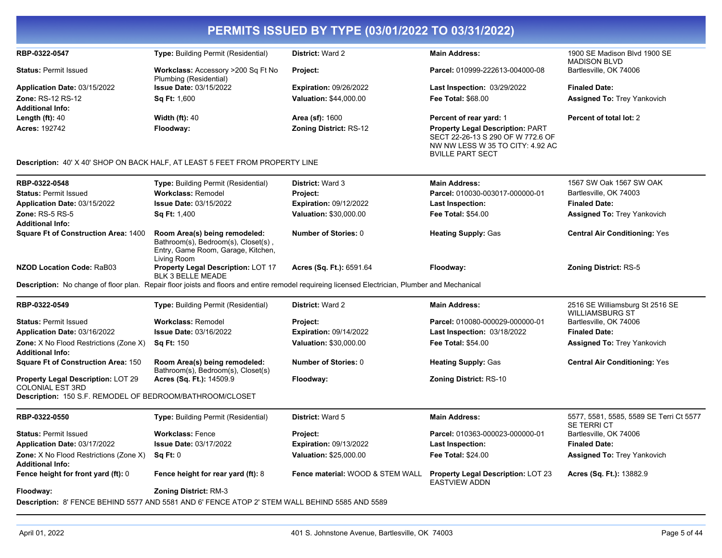| RBP-0322-0547                                                                                                                    | <b>Type: Building Permit (Residential)</b>                                                                                | <b>District: Ward 2</b>                                                                                                                         | <b>Main Address:</b>                                                                                                                        | 1900 SE Madison Blvd 1900 SE<br><b>MADISON BLVD</b>       |
|----------------------------------------------------------------------------------------------------------------------------------|---------------------------------------------------------------------------------------------------------------------------|-------------------------------------------------------------------------------------------------------------------------------------------------|---------------------------------------------------------------------------------------------------------------------------------------------|-----------------------------------------------------------|
| <b>Status: Permit Issued</b>                                                                                                     | Workclass: Accessory >200 Sq Ft No<br>Plumbing (Residential)                                                              | Project:                                                                                                                                        | Parcel: 010999-222613-004000-08                                                                                                             | Bartlesville, OK 74006                                    |
| Application Date: 03/15/2022                                                                                                     | <b>Issue Date: 03/15/2022</b>                                                                                             | <b>Expiration: 09/26/2022</b>                                                                                                                   | <b>Last Inspection: 03/29/2022</b>                                                                                                          | <b>Finaled Date:</b>                                      |
| <b>Zone: RS-12 RS-12</b>                                                                                                         | <b>Sq Ft: 1,600</b>                                                                                                       | Valuation: \$44,000.00                                                                                                                          | <b>Fee Total: \$68.00</b>                                                                                                                   | <b>Assigned To: Trey Yankovich</b>                        |
| <b>Additional Info:</b>                                                                                                          |                                                                                                                           |                                                                                                                                                 |                                                                                                                                             |                                                           |
| Length $(ft)$ : 40                                                                                                               | <b>Width (ft): 40</b>                                                                                                     | <b>Area (sf): 1600</b>                                                                                                                          | Percent of rear yard: 1                                                                                                                     | Percent of total lot: 2                                   |
| <b>Acres: 192742</b>                                                                                                             | Floodway:                                                                                                                 | <b>Zoning District: RS-12</b>                                                                                                                   | <b>Property Legal Description: PART</b><br>SECT 22-26-13 S 290 OF W 772.6 OF<br>NW NW LESS W 35 TO CITY: 4.92 AC<br><b>BVILLE PART SECT</b> |                                                           |
|                                                                                                                                  | <b>Description: 40' X 40' SHOP ON BACK HALF, AT LEAST 5 FEET FROM PROPERTY LINE</b>                                       |                                                                                                                                                 |                                                                                                                                             |                                                           |
| RBP-0322-0548                                                                                                                    | <b>Type: Building Permit (Residential)</b>                                                                                | District: Ward 3                                                                                                                                | <b>Main Address:</b>                                                                                                                        | 1567 SW Oak 1567 SW OAK                                   |
| <b>Status: Permit Issued</b>                                                                                                     | <b>Workclass: Remodel</b>                                                                                                 | Project:                                                                                                                                        | Parcel: 010030-003017-000000-01                                                                                                             | Bartlesville, OK 74003                                    |
| Application Date: 03/15/2022                                                                                                     | <b>Issue Date: 03/15/2022</b>                                                                                             | <b>Expiration: 09/12/2022</b>                                                                                                                   | Last Inspection:                                                                                                                            | <b>Finaled Date:</b>                                      |
| <b>Zone: RS-5 RS-5</b><br><b>Additional Info:</b>                                                                                | <b>Sq Ft: 1,400</b>                                                                                                       | Valuation: \$30,000.00                                                                                                                          | <b>Fee Total: \$54.00</b>                                                                                                                   | <b>Assigned To: Trey Yankovich</b>                        |
| <b>Square Ft of Construction Area: 1400</b>                                                                                      | Room Area(s) being remodeled:<br>Bathroom(s), Bedroom(s), Closet(s),<br>Entry, Game Room, Garage, Kitchen,<br>Living Room | <b>Number of Stories: 0</b>                                                                                                                     | <b>Heating Supply: Gas</b>                                                                                                                  | <b>Central Air Conditioning: Yes</b>                      |
| <b>NZOD Location Code: RaB03</b>                                                                                                 | Property Legal Description: LOT 17<br><b>BLK 3 BELLE MEADE</b>                                                            | Acres (Sq. Ft.): 6591.64                                                                                                                        | Floodway:                                                                                                                                   | <b>Zoning District: RS-5</b>                              |
|                                                                                                                                  |                                                                                                                           | Description: No change of floor plan. Repair floor joists and floors and entire remodel requireing licensed Electrician, Plumber and Mechanical |                                                                                                                                             |                                                           |
| RBP-0322-0549                                                                                                                    | <b>Type: Building Permit (Residential)</b>                                                                                | <b>District: Ward 2</b>                                                                                                                         | <b>Main Address:</b>                                                                                                                        | 2516 SE Williamsburg St 2516 SE<br><b>WILLIAMSBURG ST</b> |
| <b>Status: Permit Issued</b>                                                                                                     | <b>Workclass: Remodel</b>                                                                                                 | Project:                                                                                                                                        | Parcel: 010080-000029-000000-01                                                                                                             | Bartlesville, OK 74006                                    |
| Application Date: 03/16/2022                                                                                                     | Issue Date: 03/16/2022                                                                                                    | <b>Expiration: 09/14/2022</b>                                                                                                                   | <b>Last Inspection: 03/18/2022</b>                                                                                                          | <b>Finaled Date:</b>                                      |
| <b>Zone:</b> X No Flood Restrictions (Zone X)<br><b>Additional Info:</b>                                                         | <b>Sq Ft: 150</b>                                                                                                         | Valuation: \$30,000.00                                                                                                                          | <b>Fee Total: \$54.00</b>                                                                                                                   | <b>Assigned To: Trey Yankovich</b>                        |
| <b>Square Ft of Construction Area: 150</b>                                                                                       | Room Area(s) being remodeled:<br>Bathroom(s), Bedroom(s), Closet(s)                                                       | Number of Stories: 0                                                                                                                            | <b>Heating Supply: Gas</b>                                                                                                                  | <b>Central Air Conditioning: Yes</b>                      |
| <b>Property Legal Description: LOT 29</b><br><b>COLONIAL EST 3RD</b><br>Description: 150 S.F. REMODEL OF BEDROOM/BATHROOM/CLOSET | Acres (Sq. Ft.): 14509.9                                                                                                  | Floodway:                                                                                                                                       | <b>Zoning District: RS-10</b>                                                                                                               |                                                           |
|                                                                                                                                  |                                                                                                                           |                                                                                                                                                 |                                                                                                                                             |                                                           |
| RBP-0322-0550                                                                                                                    | <b>Type: Building Permit (Residential)</b>                                                                                | <b>District: Ward 5</b>                                                                                                                         | <b>Main Address:</b>                                                                                                                        | 5577, 5581, 5585, 5589 SE Terri Ct 5577<br>SE TERRI CT    |
| <b>Status: Permit Issued</b>                                                                                                     | <b>Workclass: Fence</b>                                                                                                   | <b>Project:</b>                                                                                                                                 | Parcel: 010363-000023-000000-01                                                                                                             | Bartlesville, OK 74006                                    |
| Application Date: 03/17/2022                                                                                                     | <b>Issue Date: 03/17/2022</b>                                                                                             | <b>Expiration: 09/13/2022</b>                                                                                                                   | Last Inspection:                                                                                                                            | <b>Finaled Date:</b>                                      |
| <b>Zone:</b> X No Flood Restrictions (Zone X)<br><b>Additional Info:</b>                                                         | Sq Ft: 0                                                                                                                  | Valuation: \$25,000.00                                                                                                                          | <b>Fee Total: \$24.00</b>                                                                                                                   | <b>Assigned To: Trey Yankovich</b>                        |
| Fence height for front yard (ft): 0                                                                                              | Fence height for rear yard (ft): 8                                                                                        | Fence material: WOOD & STEM WALL                                                                                                                | <b>Property Legal Description: LOT 23</b><br><b>EASTVIEW ADDN</b>                                                                           | Acres (Sq. Ft.): 13882.9                                  |
| Floodway:                                                                                                                        | <b>Zoning District: RM-3</b>                                                                                              |                                                                                                                                                 |                                                                                                                                             |                                                           |
|                                                                                                                                  | Description: 8' FENCE BEHIND 5577 AND 5581 AND 6' FENCE ATOP 2' STEM WALL BEHIND 5585 AND 5589                            |                                                                                                                                                 |                                                                                                                                             |                                                           |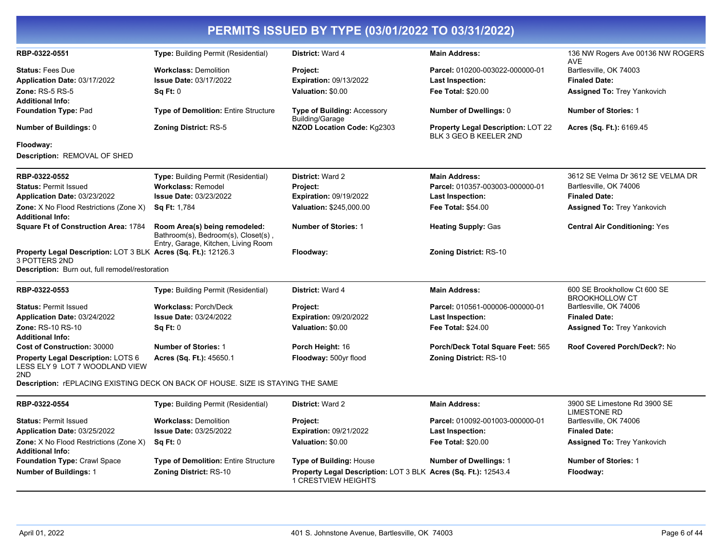| RBP-0322-0551                                                                                                                      | Type: Building Permit (Residential)                                                                         | District: Ward 4                                                                             | <b>Main Address:</b>                                         | 136 NW Rogers Ave 00136 NW ROGERS<br>AVE              |
|------------------------------------------------------------------------------------------------------------------------------------|-------------------------------------------------------------------------------------------------------------|----------------------------------------------------------------------------------------------|--------------------------------------------------------------|-------------------------------------------------------|
| <b>Status: Fees Due</b><br>Application Date: 03/17/2022                                                                            | <b>Workclass: Demolition</b><br><b>Issue Date: 03/17/2022</b>                                               | Project:<br><b>Expiration: 09/13/2022</b>                                                    | Parcel: 010200-003022-000000-01<br>Last Inspection:          | Bartlesville, OK 74003<br><b>Finaled Date:</b>        |
| <b>Zone: RS-5 RS-5</b><br><b>Additional Info:</b>                                                                                  | Sq Ft: 0                                                                                                    | Valuation: \$0.00                                                                            | <b>Fee Total: \$20.00</b>                                    | <b>Assigned To: Trey Yankovich</b>                    |
| <b>Foundation Type: Pad</b>                                                                                                        | <b>Type of Demolition: Entire Structure</b>                                                                 | Type of Building: Accessory<br>Building/Garage                                               | Number of Dwellings: 0                                       | <b>Number of Stories: 1</b>                           |
| <b>Number of Buildings: 0</b>                                                                                                      | <b>Zoning District: RS-5</b>                                                                                | NZOD Location Code: Kg2303                                                                   | Property Legal Description: LOT 22<br>BLK 3 GEO B KEELER 2ND | Acres (Sq. Ft.): 6169.45                              |
| Floodway:<br>Description: REMOVAL OF SHED                                                                                          |                                                                                                             |                                                                                              |                                                              |                                                       |
| RBP-0322-0552                                                                                                                      | <b>Type:</b> Building Permit (Residential)                                                                  | <b>District: Ward 2</b>                                                                      | <b>Main Address:</b>                                         | 3612 SE Velma Dr 3612 SE VELMA DR                     |
| <b>Status: Permit Issued</b>                                                                                                       | <b>Workclass: Remodel</b>                                                                                   | Project:                                                                                     | Parcel: 010357-003003-000000-01                              | Bartlesville, OK 74006                                |
| Application Date: 03/23/2022                                                                                                       | <b>Issue Date: 03/23/2022</b>                                                                               | <b>Expiration: 09/19/2022</b>                                                                | <b>Last Inspection:</b>                                      | <b>Finaled Date:</b>                                  |
| <b>Zone:</b> X No Flood Restrictions (Zone X)<br><b>Additional Info:</b>                                                           | Sq Ft: 1,784                                                                                                | Valuation: \$245,000.00                                                                      | <b>Fee Total: \$54.00</b>                                    | <b>Assigned To: Trey Yankovich</b>                    |
| <b>Square Ft of Construction Area: 1784</b>                                                                                        | Room Area(s) being remodeled:<br>Bathroom(s), Bedroom(s), Closet(s),<br>Entry, Garage, Kitchen, Living Room | <b>Number of Stories: 1</b>                                                                  | <b>Heating Supply: Gas</b>                                   | <b>Central Air Conditioning: Yes</b>                  |
| Property Legal Description: LOT 3 BLK Acres (Sq. Ft.): 12126.3<br>3 POTTERS 2ND<br>Description: Burn out, full remodel/restoration |                                                                                                             | Floodway:                                                                                    | <b>Zoning District: RS-10</b>                                |                                                       |
| RBP-0322-0553                                                                                                                      | Type: Building Permit (Residential)                                                                         | District: Ward 4                                                                             | <b>Main Address:</b>                                         | 600 SE Brookhollow Ct 600 SE<br><b>BROOKHOLLOW CT</b> |
| <b>Status: Permit Issued</b>                                                                                                       | <b>Workclass: Porch/Deck</b>                                                                                | Project:                                                                                     | Parcel: 010561-000006-000000-01                              | Bartlesville, OK 74006                                |
| Application Date: 03/24/2022                                                                                                       | <b>Issue Date: 03/24/2022</b>                                                                               | <b>Expiration: 09/20/2022</b>                                                                | Last Inspection:                                             | <b>Finaled Date:</b>                                  |
| <b>Zone: RS-10 RS-10</b><br><b>Additional Info:</b>                                                                                | Sq Ft: 0                                                                                                    | Valuation: \$0.00                                                                            | Fee Total: \$24.00                                           | <b>Assigned To: Trey Yankovich</b>                    |
| <b>Cost of Construction: 30000</b>                                                                                                 | <b>Number of Stories: 1</b>                                                                                 | Porch Height: 16                                                                             | Porch/Deck Total Square Feet: 565                            | Roof Covered Porch/Deck?: No                          |
| Property Legal Description: LOTS 6<br>LESS ELY 9 LOT 7 WOODLAND VIEW<br>2ND                                                        | Acres (Sq. Ft.): 45650.1                                                                                    | Floodway: 500yr flood                                                                        | <b>Zoning District: RS-10</b>                                |                                                       |
|                                                                                                                                    | Description: rEPLACING EXISTING DECK ON BACK OF HOUSE. SIZE IS STAYING THE SAME                             |                                                                                              |                                                              |                                                       |
| RBP-0322-0554                                                                                                                      | <b>Type:</b> Building Permit (Residential)                                                                  | <b>District: Ward 2</b>                                                                      | <b>Main Address:</b>                                         | 3900 SE Limestone Rd 3900 SE<br><b>LIMESTONE RD</b>   |
| <b>Status: Permit Issued</b>                                                                                                       | <b>Workclass: Demolition</b>                                                                                | Project:                                                                                     | Parcel: 010092-001003-000000-01                              | Bartlesville, OK 74006                                |
| Application Date: 03/25/2022                                                                                                       | <b>Issue Date: 03/25/2022</b>                                                                               | <b>Expiration: 09/21/2022</b>                                                                | Last Inspection:                                             | <b>Finaled Date:</b>                                  |
| Zone: X No Flood Restrictions (Zone X)<br><b>Additional Info:</b>                                                                  | Sq Ft: 0                                                                                                    | Valuation: \$0.00                                                                            | Fee Total: \$20.00                                           | <b>Assigned To: Trey Yankovich</b>                    |
| <b>Foundation Type: Crawl Space</b>                                                                                                | <b>Type of Demolition: Entire Structure</b>                                                                 | <b>Type of Building: House</b>                                                               | <b>Number of Dwellings: 1</b>                                | <b>Number of Stories: 1</b>                           |
| <b>Number of Buildings: 1</b>                                                                                                      | <b>Zoning District: RS-10</b>                                                                               | Property Legal Description: LOT 3 BLK Acres (Sq. Ft.): 12543.4<br><b>1 CRESTVIEW HEIGHTS</b> |                                                              | Floodway:                                             |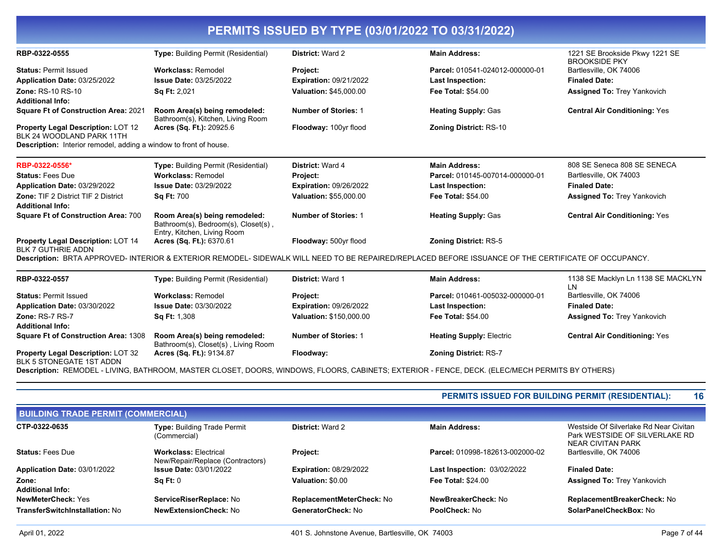| RBP-0322-0555                                                            | <b>Type: Building Permit (Residential)</b>                                                          | <b>District: Ward 2</b>       | <b>Main Address:</b>                                                                                                                                 | 1221 SE Brookside Pkwy 1221 SE<br><b>BROOKSIDE PKY</b> |
|--------------------------------------------------------------------------|-----------------------------------------------------------------------------------------------------|-------------------------------|------------------------------------------------------------------------------------------------------------------------------------------------------|--------------------------------------------------------|
| <b>Status: Permit Issued</b>                                             | <b>Workclass: Remodel</b>                                                                           | Project:                      | Parcel: 010541-024012-000000-01                                                                                                                      | Bartlesville, OK 74006                                 |
| Application Date: 03/25/2022                                             | <b>Issue Date: 03/25/2022</b>                                                                       | <b>Expiration: 09/21/2022</b> | <b>Last Inspection:</b>                                                                                                                              | <b>Finaled Date:</b>                                   |
| <b>Zone: RS-10 RS-10</b>                                                 | <b>Sq Ft: 2,021</b>                                                                                 | <b>Valuation: \$45,000.00</b> | <b>Fee Total: \$54.00</b>                                                                                                                            | <b>Assigned To: Trey Yankovich</b>                     |
| <b>Additional Info:</b>                                                  |                                                                                                     |                               |                                                                                                                                                      |                                                        |
| <b>Square Ft of Construction Area: 2021</b>                              | Room Area(s) being remodeled:<br>Bathroom(s), Kitchen, Living Room                                  | <b>Number of Stories: 1</b>   | <b>Heating Supply: Gas</b>                                                                                                                           | <b>Central Air Conditioning: Yes</b>                   |
| Property Legal Description: LOT 12<br>BLK 24 WOODLAND PARK 11TH          | Acres (Sq. Ft.): 20925.6                                                                            | Floodway: 100yr flood         | <b>Zoning District: RS-10</b>                                                                                                                        |                                                        |
| <b>Description:</b> Interior remodel, adding a window to front of house. |                                                                                                     |                               |                                                                                                                                                      |                                                        |
| RBP-0322-0556*                                                           | <b>Type: Building Permit (Residential)</b>                                                          | District: Ward 4              | <b>Main Address:</b>                                                                                                                                 | 808 SE Seneca 808 SE SENECA                            |
| <b>Status: Fees Due</b>                                                  | <b>Workclass: Remodel</b>                                                                           | Project:                      | Parcel: 010145-007014-000000-01                                                                                                                      | Bartlesville, OK 74003                                 |
| Application Date: 03/29/2022                                             | <b>Issue Date: 03/29/2022</b>                                                                       | <b>Expiration: 09/26/2022</b> | <b>Last Inspection:</b>                                                                                                                              | <b>Finaled Date:</b>                                   |
| <b>Zone: TIF 2 District TIF 2 District</b>                               | <b>Sq Ft: 700</b>                                                                                   | Valuation: \$55,000.00        | <b>Fee Total: \$54.00</b>                                                                                                                            | <b>Assigned To: Trey Yankovich</b>                     |
| <b>Additional Info:</b>                                                  |                                                                                                     |                               |                                                                                                                                                      |                                                        |
| <b>Square Ft of Construction Area: 700</b>                               | Room Area(s) being remodeled:<br>Bathroom(s), Bedroom(s), Closet(s),<br>Entry, Kitchen, Living Room | <b>Number of Stories: 1</b>   | <b>Heating Supply: Gas</b>                                                                                                                           | <b>Central Air Conditioning: Yes</b>                   |
| Property Legal Description: LOT 14<br><b>BLK 7 GUTHRIE ADDN</b>          | Acres (Sq. Ft.): 6370.61                                                                            | Floodway: 500yr flood         | <b>Zoning District: RS-5</b>                                                                                                                         |                                                        |
|                                                                          |                                                                                                     |                               | Description: BRTA APPROVED- INTERIOR & EXTERIOR REMODEL- SIDEWALK WILL NEED TO BE REPAIRED/REPLACED BEFORE ISSUANCE OF THE CERTIFICATE OF OCCUPANCY. |                                                        |
| RBP-0322-0557                                                            | <b>Type: Building Permit (Residential)</b>                                                          | <b>District: Ward 1</b>       | <b>Main Address:</b>                                                                                                                                 | 1138 SE Macklyn Ln 1138 SE MACKLYN<br>LN               |
| <b>Status: Permit Issued</b>                                             | <b>Workclass: Remodel</b>                                                                           | Project:                      | Parcel: 010461-005032-000000-01                                                                                                                      | Bartlesville, OK 74006                                 |
| Application Date: 03/30/2022                                             | <b>Issue Date: 03/30/2022</b>                                                                       | <b>Expiration: 09/26/2022</b> | Last Inspection:                                                                                                                                     | <b>Finaled Date:</b>                                   |
| Zone: RS-7 RS-7                                                          | <b>Sq Ft: 1,308</b>                                                                                 | Valuation: \$150,000.00       | <b>Fee Total: \$54.00</b>                                                                                                                            | <b>Assigned To: Trey Yankovich</b>                     |
| <b>Additional Info:</b>                                                  |                                                                                                     |                               |                                                                                                                                                      |                                                        |
| <b>Square Ft of Construction Area: 1308</b>                              | Room Area(s) being remodeled:<br>Bathroom(s), Closet(s), Living Room                                | <b>Number of Stories: 1</b>   | <b>Heating Supply: Electric</b>                                                                                                                      | <b>Central Air Conditioning: Yes</b>                   |
| Property Legal Description: LOT 32<br>BLK 5 STONEGATE 1ST ADDN           | Acres (Sq. Ft.): 9134.87                                                                            | Floodway:                     | <b>Zoning District: RS-7</b>                                                                                                                         |                                                        |

**Description:** REMODEL - LIVING, BATHROOM, MASTER CLOSET, DOORS, WINDOWS, FLOORS, CABINETS; EXTERIOR - FENCE, DECK. (ELEC/MECH PERMITS BY OTHERS)

#### **PERMITS ISSUED FOR BUILDING PERMIT (RESIDENTIAL): 16**

| <b>BUILDING TRADE PERMIT (COMMERCIAL)</b> |                                                                  |                               |                                    |                                                                                               |
|-------------------------------------------|------------------------------------------------------------------|-------------------------------|------------------------------------|-----------------------------------------------------------------------------------------------|
| CTP-0322-0635                             | Type: Building Trade Permit<br>(Commercial)                      | <b>District: Ward 2</b>       | <b>Main Address:</b>               | Westside Of Silverlake Rd Near Civitan<br>Park WESTSIDE OF SILVERLAKE RD<br>NEAR CIVITAN PARK |
| <b>Status: Fees Due</b>                   | <b>Workclass: Electrical</b><br>New/Repair/Replace (Contractors) | <b>Project:</b>               | Parcel: 010998-182613-002000-02    | Bartlesville, OK 74006                                                                        |
| Application Date: 03/01/2022              | <b>Issue Date: 03/01/2022</b>                                    | <b>Expiration: 08/29/2022</b> | <b>Last Inspection: 03/02/2022</b> | <b>Finaled Date:</b>                                                                          |
| Zone:<br><b>Additional Info:</b>          | Sq Ft: 0                                                         | Valuation: \$0.00             | <b>Fee Total: \$24.00</b>          | <b>Assigned To: Trey Yankovich</b>                                                            |
| <b>NewMeterCheck: Yes</b>                 | ServiceRiserReplace: No                                          | ReplacementMeterCheck: No     | NewBreakerCheck: No                | ReplacementBreakerCheck: No                                                                   |
| TransferSwitchInstallation: No            | <b>NewExtensionCheck: No</b>                                     | GeneratorCheck: No            | <b>PoolCheck: No</b>               | SolarPanelCheckBox: No                                                                        |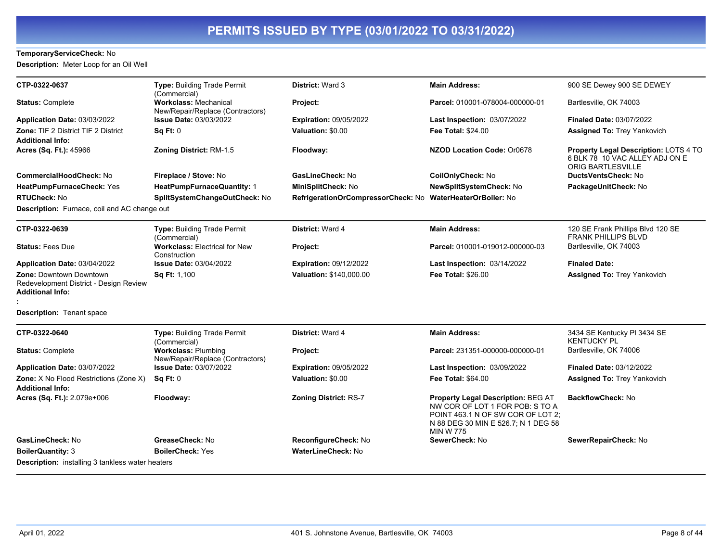### **TemporaryServiceCheck:** No

**Description:** Meter Loop for an Oil Well

| CTP-0322-0637                                                                                       | Type: Building Trade Permit<br>(Commercial)                      | <b>District: Ward 3</b>                                    | <b>Main Address:</b>                                                                                                                                                         | 900 SE Dewey 900 SE DEWEY                                                                           |
|-----------------------------------------------------------------------------------------------------|------------------------------------------------------------------|------------------------------------------------------------|------------------------------------------------------------------------------------------------------------------------------------------------------------------------------|-----------------------------------------------------------------------------------------------------|
| <b>Status: Complete</b>                                                                             | <b>Workclass: Mechanical</b><br>New/Repair/Replace (Contractors) | Project:                                                   | Parcel: 010001-078004-000000-01                                                                                                                                              | Bartlesville, OK 74003                                                                              |
| Application Date: 03/03/2022                                                                        | <b>Issue Date: 03/03/2022</b>                                    | <b>Expiration: 09/05/2022</b>                              | Last Inspection: 03/07/2022                                                                                                                                                  | <b>Finaled Date: 03/07/2022</b>                                                                     |
| <b>Zone: TIF 2 District TIF 2 District</b><br><b>Additional Info:</b>                               | Sq Ft: 0                                                         | Valuation: \$0.00                                          | <b>Fee Total: \$24.00</b>                                                                                                                                                    | <b>Assigned To: Trey Yankovich</b>                                                                  |
| Acres (Sq. Ft.): 45966                                                                              | <b>Zoning District: RM-1.5</b>                                   | Floodway:                                                  | NZOD Location Code: Or0678                                                                                                                                                   | Property Legal Description: LOTS 4 TO<br>6 BLK 78 10 VAC ALLEY ADJ ON E<br><b>ORIG BARTLESVILLE</b> |
| <b>CommercialHoodCheck: No</b>                                                                      | Fireplace / Stove: No                                            | GasLineCheck: No                                           | CoilOnlyCheck: No                                                                                                                                                            | DuctsVentsCheck: No                                                                                 |
| HeatPumpFurnaceCheck: Yes                                                                           | HeatPumpFurnaceQuantity: 1                                       | MiniSplitCheck: No                                         | <b>NewSplitSystemCheck: No</b>                                                                                                                                               | PackageUnitCheck: No                                                                                |
| <b>RTUCheck: No</b>                                                                                 | SplitSystemChangeOutCheck: No                                    | RefrigerationOrCompressorCheck: No WaterHeaterOrBoiler: No |                                                                                                                                                                              |                                                                                                     |
| <b>Description:</b> Furnace, coil and AC change out                                                 |                                                                  |                                                            |                                                                                                                                                                              |                                                                                                     |
| CTP-0322-0639                                                                                       | <b>Type: Building Trade Permit</b><br>(Commercial)               | District: Ward 4                                           | <b>Main Address:</b>                                                                                                                                                         | 120 SE Frank Phillips Blvd 120 SE<br><b>FRANK PHILLIPS BLVD</b>                                     |
| <b>Status: Fees Due</b>                                                                             | <b>Workclass: Electrical for New</b><br>Construction             | Project:                                                   | Parcel: 010001-019012-000000-03                                                                                                                                              | Bartlesville, OK 74003                                                                              |
| Application Date: 03/04/2022                                                                        | <b>Issue Date: 03/04/2022</b>                                    | <b>Expiration: 09/12/2022</b>                              | Last Inspection: 03/14/2022                                                                                                                                                  | <b>Finaled Date:</b>                                                                                |
| <b>Zone: Downtown Downtown</b><br>Redevelopment District - Design Review<br><b>Additional Info:</b> | Sq Ft: 1,100                                                     | Valuation: \$140,000.00                                    | <b>Fee Total: \$26.00</b>                                                                                                                                                    | <b>Assigned To: Trey Yankovich</b>                                                                  |
| <b>Description: Tenant space</b>                                                                    |                                                                  |                                                            |                                                                                                                                                                              |                                                                                                     |
| CTP-0322-0640                                                                                       | <b>Type: Building Trade Permit</b><br>(Commercial)               | District: Ward 4                                           | <b>Main Address:</b>                                                                                                                                                         | 3434 SE Kentucky PI 3434 SE<br><b>KENTUCKY PL</b>                                                   |
| <b>Status: Complete</b>                                                                             | <b>Workclass: Plumbing</b><br>New/Repair/Replace (Contractors)   | Project:                                                   | Parcel: 231351-000000-000000-01                                                                                                                                              | Bartlesville, OK 74006                                                                              |
| Application Date: 03/07/2022                                                                        | <b>Issue Date: 03/07/2022</b>                                    | <b>Expiration: 09/05/2022</b>                              | Last Inspection: 03/09/2022                                                                                                                                                  | <b>Finaled Date: 03/12/2022</b>                                                                     |
| Zone: X No Flood Restrictions (Zone X)<br><b>Additional Info:</b>                                   | <b>Sq Ft: 0</b>                                                  | Valuation: \$0.00                                          | <b>Fee Total: \$64.00</b>                                                                                                                                                    | <b>Assigned To: Trey Yankovich</b>                                                                  |
| Acres (Sq. Ft.): 2.079e+006                                                                         | Floodway:                                                        | <b>Zoning District: RS-7</b>                               | <b>Property Legal Description: BEG AT</b><br>NW COR OF LOT 1 FOR POB: S TO A<br>POINT 463.1 N OF SW COR OF LOT 2;<br>N 88 DEG 30 MIN E 526.7; N 1 DEG 58<br><b>MIN W 775</b> | <b>BackflowCheck: No</b>                                                                            |
| GasLineCheck: No                                                                                    | GreaseCheck: No                                                  | ReconfigureCheck: No                                       | SewerCheck: No                                                                                                                                                               | SewerRepairCheck: No                                                                                |
| <b>BoilerQuantity: 3</b>                                                                            | <b>BoilerCheck: Yes</b>                                          | <b>WaterLineCheck: No</b>                                  |                                                                                                                                                                              |                                                                                                     |
| <b>Description:</b> installing 3 tankless water heaters                                             |                                                                  |                                                            |                                                                                                                                                                              |                                                                                                     |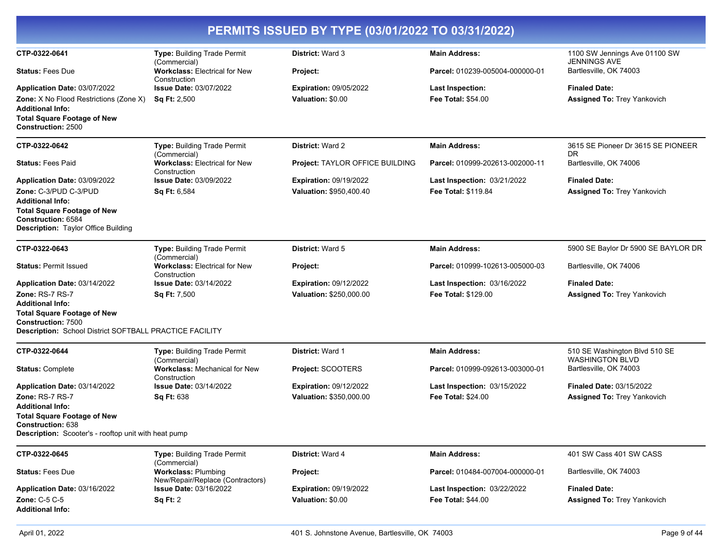|                                                                                            |                                                                                | PERMITS ISSUED BY TYPE (03/01/2022 TO 03/31/2022) |                                 |                                                         |
|--------------------------------------------------------------------------------------------|--------------------------------------------------------------------------------|---------------------------------------------------|---------------------------------|---------------------------------------------------------|
| CTP-0322-0641                                                                              | Type: Building Trade Permit<br>(Commercial)                                    | <b>District: Ward 3</b>                           | <b>Main Address:</b>            | 1100 SW Jennings Ave 01100 SW<br><b>JENNINGS AVE</b>    |
| <b>Status: Fees Due</b>                                                                    | <b>Workclass: Electrical for New</b><br>Construction                           | Project:                                          | Parcel: 010239-005004-000000-01 | Bartlesville, OK 74003                                  |
| Application Date: 03/07/2022                                                               | <b>Issue Date: 03/07/2022</b>                                                  | <b>Expiration: 09/05/2022</b>                     | <b>Last Inspection:</b>         | <b>Finaled Date:</b>                                    |
| <b>Zone:</b> X No Flood Restrictions (Zone X)<br><b>Additional Info:</b>                   | <b>Sq Ft: 2,500</b>                                                            | Valuation: \$0.00                                 | <b>Fee Total: \$54.00</b>       | <b>Assigned To: Trey Yankovich</b>                      |
| <b>Total Square Footage of New</b><br>Construction: 2500                                   |                                                                                |                                                   |                                 |                                                         |
| CTP-0322-0642                                                                              | Type: Building Trade Permit<br>(Commercial)                                    | <b>District: Ward 2</b>                           | <b>Main Address:</b>            | 3615 SE Pioneer Dr 3615 SE PIONEER<br><b>DR</b>         |
| <b>Status: Fees Paid</b>                                                                   | <b>Workclass: Electrical for New</b><br>Construction                           | Project: TAYLOR OFFICE BUILDING                   | Parcel: 010999-202613-002000-11 | Bartlesville, OK 74006                                  |
| Application Date: 03/09/2022                                                               | <b>Issue Date: 03/09/2022</b>                                                  | <b>Expiration: 09/19/2022</b>                     | Last Inspection: 03/21/2022     | <b>Finaled Date:</b>                                    |
| Zone: C-3/PUD C-3/PUD                                                                      | Sq Ft: 6,584                                                                   | Valuation: \$950,400.40                           | Fee Total: \$119.84             | <b>Assigned To: Trey Yankovich</b>                      |
| <b>Additional Info:</b>                                                                    |                                                                                |                                                   |                                 |                                                         |
| <b>Total Square Footage of New</b><br>Construction: 6584                                   |                                                                                |                                                   |                                 |                                                         |
| <b>Description:</b> Taylor Office Building                                                 |                                                                                |                                                   |                                 |                                                         |
| CTP-0322-0643                                                                              | Type: Building Trade Permit<br>(Commercial)                                    | District: Ward 5                                  | <b>Main Address:</b>            | 5900 SE Baylor Dr 5900 SE BAYLOR DR                     |
| <b>Status: Permit Issued</b>                                                               | <b>Workclass: Electrical for New</b><br>Construction                           | Project:                                          | Parcel: 010999-102613-005000-03 | Bartlesville, OK 74006                                  |
| Application Date: 03/14/2022                                                               | <b>Issue Date: 03/14/2022</b>                                                  | <b>Expiration: 09/12/2022</b>                     | Last Inspection: 03/16/2022     | <b>Finaled Date:</b>                                    |
| Zone: RS-7 RS-7                                                                            | <b>Sq Ft: 7,500</b>                                                            | Valuation: \$250,000.00                           | <b>Fee Total: \$129.00</b>      | <b>Assigned To: Trey Yankovich</b>                      |
| <b>Additional Info:</b><br><b>Total Square Footage of New</b><br><b>Construction: 7500</b> |                                                                                |                                                   |                                 |                                                         |
| Description: School District SOFTBALL PRACTICE FACILITY                                    |                                                                                |                                                   |                                 |                                                         |
| CTP-0322-0644                                                                              | Type: Building Trade Permit<br>(Commercial)                                    | <b>District: Ward 1</b>                           | <b>Main Address:</b>            | 510 SE Washington Blvd 510 SE<br><b>WASHINGTON BLVD</b> |
| <b>Status: Complete</b>                                                                    | <b>Workclass: Mechanical for New</b><br>Construction                           | Project: SCOOTERS                                 | Parcel: 010999-092613-003000-01 | Bartlesville, OK 74003                                  |
| Application Date: 03/14/2022                                                               | <b>Issue Date: 03/14/2022</b>                                                  | <b>Expiration: 09/12/2022</b>                     | Last Inspection: 03/15/2022     | <b>Finaled Date: 03/15/2022</b>                         |
| <b>Zone: RS-7 RS-7</b>                                                                     | <b>Sq Ft: 638</b>                                                              | Valuation: \$350,000.00                           | <b>Fee Total: \$24.00</b>       | <b>Assigned To: Trey Yankovich</b>                      |
| <b>Additional Info:</b>                                                                    |                                                                                |                                                   |                                 |                                                         |
| <b>Total Square Footage of New</b><br><b>Construction: 638</b>                             |                                                                                |                                                   |                                 |                                                         |
| <b>Description:</b> Scooter's - rooftop unit with heat pump                                |                                                                                |                                                   |                                 |                                                         |
| CTP-0322-0645                                                                              | Type: Building Trade Permit                                                    | District: Ward 4                                  | <b>Main Address:</b>            | 401 SW Cass 401 SW CASS                                 |
| <b>Status: Fees Due</b>                                                                    | (Commercial)<br><b>Workclass: Plumbing</b><br>New/Repair/Replace (Contractors) | <b>Project:</b>                                   | Parcel: 010484-007004-000000-01 | Bartlesville, OK 74003                                  |
| Application Date: 03/16/2022                                                               | Issue Date: 03/16/2022                                                         | <b>Expiration: 09/19/2022</b>                     | Last Inspection: 03/22/2022     | <b>Finaled Date:</b>                                    |

**Application Date:** 03/16/2022 **Zone:** C-5 C-5 **Additional Info:**

**Sq Ft:** 2

**Fee Total:** \$44.00

**Valuation:** \$0.00

**Assigned To:** Trey Yankovich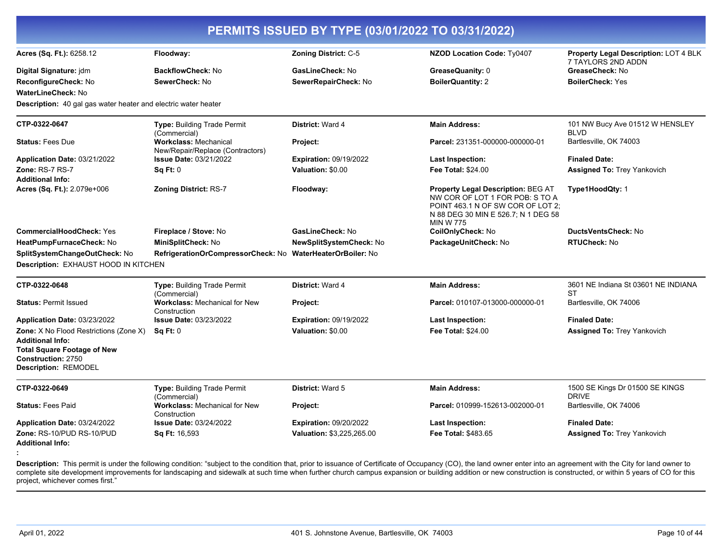| <b>NZOD Location Code: Ty0407</b><br>GreaseQuanity: 0<br><b>BoilerQuantity: 2</b><br><b>Main Address:</b>                                                                    | Property Legal Description: LOT 4 BLK<br>7 TAYLORS 2ND ADDN<br>GreaseCheck: No<br><b>BoilerCheck: Yes</b> |
|------------------------------------------------------------------------------------------------------------------------------------------------------------------------------|-----------------------------------------------------------------------------------------------------------|
|                                                                                                                                                                              |                                                                                                           |
|                                                                                                                                                                              |                                                                                                           |
|                                                                                                                                                                              |                                                                                                           |
|                                                                                                                                                                              | 101 NW Bucy Ave 01512 W HENSLEY<br><b>BLVD</b>                                                            |
| Parcel: 231351-000000-000000-01                                                                                                                                              | Bartlesville, OK 74003                                                                                    |
| <b>Last Inspection:</b>                                                                                                                                                      | <b>Finaled Date:</b>                                                                                      |
| <b>Fee Total: \$24.00</b>                                                                                                                                                    | <b>Assigned To: Trey Yankovich</b>                                                                        |
| <b>Property Legal Description: BEG AT</b><br>NW COR OF LOT 1 FOR POB: S TO A<br>POINT 463.1 N OF SW COR OF LOT 2;<br>N 88 DEG 30 MIN E 526.7; N 1 DEG 58<br><b>MIN W 775</b> | Type1HoodQty: 1                                                                                           |
| CoilOnlyCheck: No                                                                                                                                                            | DuctsVentsCheck: No                                                                                       |
| PackageUnitCheck: No                                                                                                                                                         | <b>RTUCheck: No</b>                                                                                       |
|                                                                                                                                                                              |                                                                                                           |
|                                                                                                                                                                              |                                                                                                           |
| <b>Main Address:</b>                                                                                                                                                         | 3601 NE Indiana St 03601 NE INDIANA<br><b>ST</b>                                                          |
| Parcel: 010107-013000-000000-01                                                                                                                                              | Bartlesville, OK 74006                                                                                    |
| <b>Last Inspection:</b>                                                                                                                                                      | <b>Finaled Date:</b>                                                                                      |
| Fee Total: \$24.00                                                                                                                                                           | <b>Assigned To: Trey Yankovich</b>                                                                        |
|                                                                                                                                                                              |                                                                                                           |
| <b>Main Address:</b>                                                                                                                                                         | 1500 SE Kings Dr 01500 SE KINGS<br><b>DRIVE</b>                                                           |
| Parcel: 010999-152613-002000-01                                                                                                                                              | Bartlesville, OK 74006                                                                                    |
| <b>Last Inspection:</b>                                                                                                                                                      | <b>Finaled Date:</b>                                                                                      |
| Fee Total: \$483.65                                                                                                                                                          | <b>Assigned To: Trey Yankovich</b>                                                                        |
|                                                                                                                                                                              |                                                                                                           |

Description: This permit is under the following condition: "subject to the condition that, prior to issuance of Certificate of Occupancy (CO), the land owner enter into an agreement with the City for land owner to complete site development improvements for landscaping and sidewalk at such time when further church campus expansion or building addition or new construction is constructed, or within 5 years of CO for this project, whichever comes first."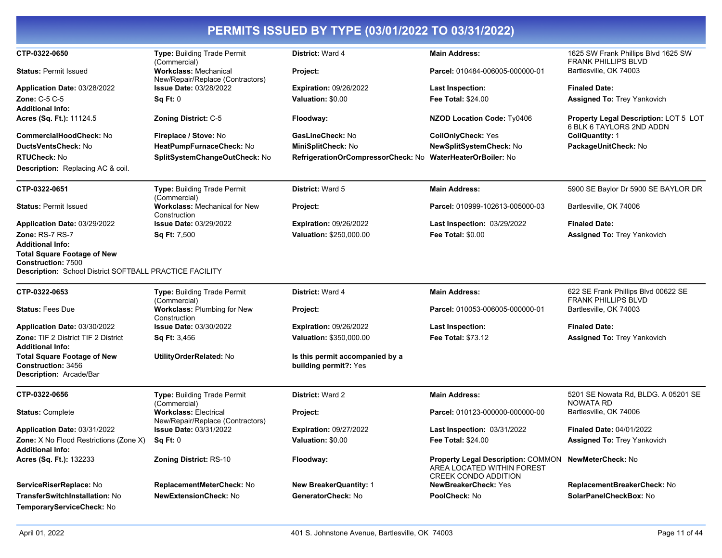| CTP-0322-0650                                                                                                              | Type: Building Trade Permit                                      | District: Ward 4                                         | <b>Main Address:</b>                                                                                   | 1625 SW Frank Phillips Blvd 1625 SW                                      |
|----------------------------------------------------------------------------------------------------------------------------|------------------------------------------------------------------|----------------------------------------------------------|--------------------------------------------------------------------------------------------------------|--------------------------------------------------------------------------|
|                                                                                                                            | (Commercial)                                                     |                                                          |                                                                                                        | FRANK PHILLIPS BLVD                                                      |
| <b>Status: Permit Issued</b>                                                                                               | <b>Workclass: Mechanical</b><br>New/Repair/Replace (Contractors) | Project:                                                 | Parcel: 010484-006005-000000-01                                                                        | Bartlesville, OK 74003                                                   |
| Application Date: 03/28/2022                                                                                               | Issue Date: 03/28/2022                                           | <b>Expiration: 09/26/2022</b>                            | <b>Last Inspection:</b>                                                                                | <b>Finaled Date:</b>                                                     |
| Zone: C-5 C-5                                                                                                              | Sq Ft: 0                                                         | Valuation: \$0.00                                        | <b>Fee Total: \$24.00</b>                                                                              | <b>Assigned To: Trey Yankovich</b>                                       |
| <b>Additional Info:</b>                                                                                                    |                                                                  |                                                          |                                                                                                        |                                                                          |
| Acres (Sq. Ft.): 11124.5                                                                                                   | <b>Zoning District: C-5</b>                                      | Floodway:                                                | <b>NZOD Location Code: Ty0406</b>                                                                      | <b>Property Legal Description: LOT 5 LOT</b><br>6 BLK 6 TAYLORS 2ND ADDN |
| CommercialHoodCheck: No                                                                                                    | Fireplace / Stove: No                                            | GasLineCheck: No                                         | <b>CoilOnlyCheck: Yes</b>                                                                              | CoilQuantity: 1                                                          |
| DuctsVentsCheck: No                                                                                                        | HeatPumpFurnaceCheck: No                                         | MiniSplitCheck: No                                       | <b>NewSplitSystemCheck: No</b>                                                                         | PackageUnitCheck: No                                                     |
| <b>RTUCheck: No</b>                                                                                                        | SplitSystemChangeOutCheck: No                                    | RefrigerationOrCompressorCheck: No                       | <b>WaterHeaterOrBoiler: No</b>                                                                         |                                                                          |
| <b>Description:</b> Replacing AC & coil.                                                                                   |                                                                  |                                                          |                                                                                                        |                                                                          |
| CTP-0322-0651                                                                                                              | Type: Building Trade Permit<br>(Commercial)                      | <b>District: Ward 5</b>                                  | <b>Main Address:</b>                                                                                   | 5900 SE Baylor Dr 5900 SE BAYLOR DR                                      |
| <b>Status: Permit Issued</b>                                                                                               | <b>Workclass: Mechanical for New</b><br>Construction             | Project:                                                 | Parcel: 010999-102613-005000-03                                                                        | Bartlesville, OK 74006                                                   |
| Application Date: 03/29/2022                                                                                               | Issue Date: 03/29/2022                                           | <b>Expiration: 09/26/2022</b>                            | <b>Last Inspection: 03/29/2022</b>                                                                     | <b>Finaled Date:</b>                                                     |
| Zone: RS-7 RS-7                                                                                                            | Sq Ft: 7,500                                                     | Valuation: \$250,000.00                                  | <b>Fee Total: \$0.00</b>                                                                               | <b>Assigned To: Trey Yankovich</b>                                       |
| <b>Additional Info:</b>                                                                                                    |                                                                  |                                                          |                                                                                                        |                                                                          |
| <b>Total Square Footage of New</b><br><b>Construction: 7500</b><br>Description: School District SOFTBALL PRACTICE FACILITY |                                                                  |                                                          |                                                                                                        |                                                                          |
| CTP-0322-0653                                                                                                              | <b>Type: Building Trade Permit</b>                               | District: Ward 4                                         | <b>Main Address:</b>                                                                                   | 622 SE Frank Phillips Blvd 00622 SE                                      |
|                                                                                                                            | (Commercial)                                                     |                                                          |                                                                                                        | <b>FRANK PHILLIPS BLVD</b>                                               |
| <b>Status: Fees Due</b>                                                                                                    | Workclass: Plumbing for New<br>Construction                      | Project:                                                 | Parcel: 010053-006005-000000-01                                                                        | Bartlesville, OK 74003                                                   |
| Application Date: 03/30/2022                                                                                               | <b>Issue Date: 03/30/2022</b>                                    | <b>Expiration: 09/26/2022</b>                            | <b>Last Inspection:</b>                                                                                | <b>Finaled Date:</b>                                                     |
| Zone: TIF 2 District TIF 2 District<br><b>Additional Info:</b>                                                             | <b>Sq Ft: 3,456</b>                                              | Valuation: \$350,000.00                                  | Fee Total: \$73.12                                                                                     | <b>Assigned To: Trey Yankovich</b>                                       |
| <b>Total Square Footage of New</b><br><b>Construction: 3456</b><br>Description: Arcade/Bar                                 | UtilityOrderRelated: No                                          | Is this permit accompanied by a<br>building permit?: Yes |                                                                                                        |                                                                          |
| CTP-0322-0656                                                                                                              | Type: Building Trade Permit<br>(Commercial)                      | District: Ward 2                                         | <b>Main Address:</b>                                                                                   | 5201 SE Nowata Rd, BLDG. A 05201 SE<br><b>NOWATA RD</b>                  |
| <b>Status: Complete</b>                                                                                                    | <b>Workclass: Electrical</b><br>New/Repair/Replace (Contractors) | Project:                                                 | Parcel: 010123-000000-000000-00                                                                        | Bartlesville, OK 74006                                                   |
| Application Date: 03/31/2022                                                                                               | <b>Issue Date: 03/31/2022</b>                                    | <b>Expiration: 09/27/2022</b>                            | <b>Last Inspection: 03/31/2022</b>                                                                     | <b>Finaled Date: 04/01/2022</b>                                          |
| <b>Zone:</b> X No Flood Restrictions (Zone X)<br><b>Additional Info:</b>                                                   | Sa Ft: 0                                                         | Valuation: \$0.00                                        | Fee Total: \$24.00                                                                                     | <b>Assigned To: Trey Yankovich</b>                                       |
| Acres (Sq. Ft.): 132233                                                                                                    | Zoning District: RS-10                                           | Floodway:                                                | <b>Property Legal Description: COMMON</b><br>AREA LOCATED WITHIN FOREST<br><b>CREEK CONDO ADDITION</b> | <b>NewMeterCheck: No</b>                                                 |
| ServiceRiserReplace: No                                                                                                    | ReplacementMeterCheck: No                                        | <b>New BreakerQuantity: 1</b>                            | NewBreakerCheck: Yes                                                                                   | ReplacementBreakerCheck: No                                              |
| TransferSwitchInstallation: No                                                                                             | <b>NewExtensionCheck: No</b>                                     | GeneratorCheck: No                                       | PoolCheck: No                                                                                          | SolarPanelCheckBox: No                                                   |
| TemporaryServiceCheck: No                                                                                                  |                                                                  |                                                          |                                                                                                        |                                                                          |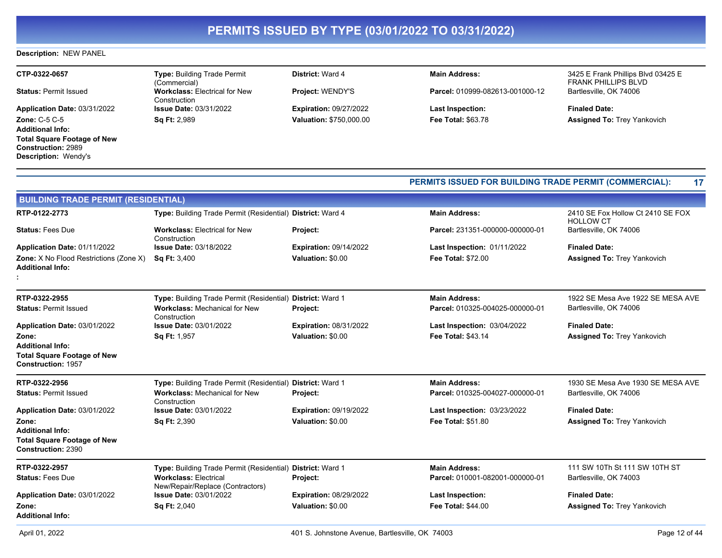### **Description:** NEW PANEL

| CTP-0322-0657                      | <b>Type: Building Trade Permit</b><br>(Commercial)   | <b>District: Ward 4</b>        | <b>Main Address:</b>            | 3425 E Frank Phillips Blvd 03425 E<br><b>FRANK PHILLIPS BLVD</b> |
|------------------------------------|------------------------------------------------------|--------------------------------|---------------------------------|------------------------------------------------------------------|
| <b>Status: Permit Issued</b>       | <b>Workclass: Electrical for New</b><br>Construction | <b>Project: WENDY'S</b>        | Parcel: 010999-082613-001000-12 | Bartlesville, OK 74006                                           |
| Application Date: 03/31/2022       | <b>Issue Date: 03/31/2022</b>                        | <b>Expiration: 09/27/2022</b>  | <b>Last Inspection:</b>         | <b>Finaled Date:</b>                                             |
| <b>Zone: C-5 C-5</b>               | <b>Sq Ft: 2,989</b>                                  | <b>Valuation: \$750,000.00</b> | <b>Fee Total: \$63.78</b>       | <b>Assigned To: Trey Yankovich</b>                               |
| <b>Additional Info:</b>            |                                                      |                                |                                 |                                                                  |
| <b>Total Square Footage of New</b> |                                                      |                                |                                 |                                                                  |
| <b>Construction: 2989</b>          |                                                      |                                |                                 |                                                                  |
| <b>Description: Wendy's</b>        |                                                      |                                |                                 |                                                                  |

|                                                                        |                                                                  |                               |                                    | PERMITS ISSUED FOR BUILDING TRADE PERMIT (COMMERCIAL):<br>17 |  |
|------------------------------------------------------------------------|------------------------------------------------------------------|-------------------------------|------------------------------------|--------------------------------------------------------------|--|
| <b>BUILDING TRADE PERMIT (RESIDENTIAL)</b>                             |                                                                  |                               |                                    |                                                              |  |
| RTP-0122-2773                                                          | Type: Building Trade Permit (Residential) District: Ward 4       |                               | <b>Main Address:</b>               | 2410 SE Fox Hollow Ct 2410 SE FOX<br><b>HOLLOW CT</b>        |  |
| <b>Status: Fees Due</b>                                                | <b>Workclass: Electrical for New</b><br>Construction             | Project:                      | Parcel: 231351-000000-000000-01    | Bartlesville, OK 74006                                       |  |
| Application Date: 01/11/2022                                           | <b>Issue Date: 03/18/2022</b>                                    | <b>Expiration: 09/14/2022</b> | <b>Last Inspection: 01/11/2022</b> | <b>Finaled Date:</b>                                         |  |
| Zone: X No Flood Restrictions (Zone X)<br><b>Additional Info:</b>      | <b>Sq Ft: 3,400</b>                                              | Valuation: \$0.00             | <b>Fee Total: \$72.00</b>          | <b>Assigned To: Trey Yankovich</b>                           |  |
| RTP-0322-2955                                                          | Type: Building Trade Permit (Residential) District: Ward 1       |                               | <b>Main Address:</b>               | 1922 SE Mesa Ave 1922 SE MESA AVE                            |  |
| <b>Status: Permit Issued</b>                                           | <b>Workclass: Mechanical for New</b><br>Construction             | Project:                      | Parcel: 010325-004025-000000-01    | Bartlesville, OK 74006                                       |  |
| Application Date: 03/01/2022                                           | <b>Issue Date: 03/01/2022</b>                                    | <b>Expiration: 08/31/2022</b> | Last Inspection: 03/04/2022        | <b>Finaled Date:</b>                                         |  |
| Zone:<br><b>Additional Info:</b><br><b>Total Square Footage of New</b> | Sq Ft: 1,957                                                     | Valuation: \$0.00             | <b>Fee Total: \$43.14</b>          | <b>Assigned To: Trey Yankovich</b>                           |  |
| <b>Construction: 1957</b>                                              |                                                                  |                               |                                    |                                                              |  |
| RTP-0322-2956                                                          | Type: Building Trade Permit (Residential) District: Ward 1       |                               | <b>Main Address:</b>               | 1930 SE Mesa Ave 1930 SE MESA AVE                            |  |
| <b>Status: Permit Issued</b>                                           | <b>Workclass: Mechanical for New</b><br>Construction             | Project:                      | Parcel: 010325-004027-000000-01    | Bartlesville, OK 74006                                       |  |
| Application Date: 03/01/2022                                           | <b>Issue Date: 03/01/2022</b>                                    | <b>Expiration: 09/19/2022</b> | <b>Last Inspection: 03/23/2022</b> | <b>Finaled Date:</b>                                         |  |
| Zone:<br><b>Additional Info:</b>                                       | Sq Ft: 2,390                                                     | Valuation: \$0.00             | <b>Fee Total: \$51.80</b>          | <b>Assigned To: Trey Yankovich</b>                           |  |
| <b>Total Square Footage of New</b><br>Construction: 2390               |                                                                  |                               |                                    |                                                              |  |
| RTP-0322-2957                                                          | Type: Building Trade Permit (Residential) District: Ward 1       |                               | <b>Main Address:</b>               | 111 SW 10Th St 111 SW 10TH ST                                |  |
| <b>Status: Fees Due</b>                                                | <b>Workclass: Electrical</b><br>New/Repair/Replace (Contractors) | Project:                      | Parcel: 010001-082001-000000-01    | Bartlesville, OK 74003                                       |  |
| Application Date: 03/01/2022                                           | <b>Issue Date: 03/01/2022</b>                                    | <b>Expiration: 08/29/2022</b> | <b>Last Inspection:</b>            | <b>Finaled Date:</b>                                         |  |
| Zone:<br><b>Additional Info:</b>                                       | Sq Ft: 2,040                                                     | Valuation: \$0.00             | <b>Fee Total: \$44.00</b>          | <b>Assigned To: Trey Yankovich</b>                           |  |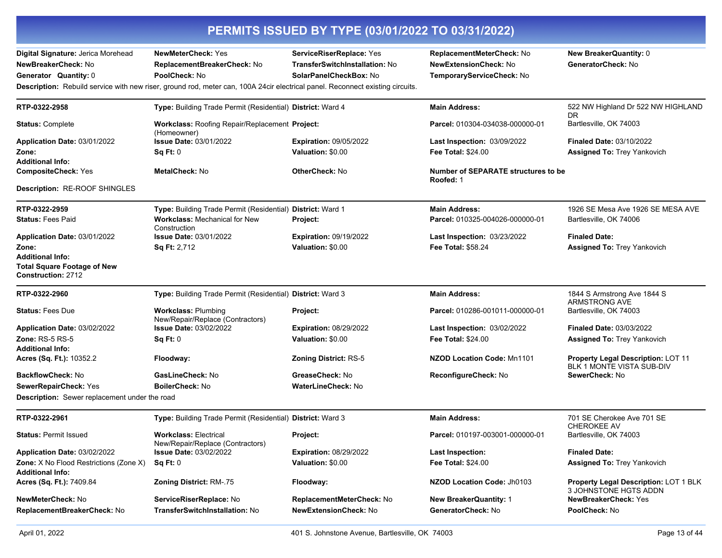| PERMITS ISSUED BY TYPE (03/01/2022 TO 03/31/2022) |                                                                                                                               |                                |                                                  |                                                                 |  |
|---------------------------------------------------|-------------------------------------------------------------------------------------------------------------------------------|--------------------------------|--------------------------------------------------|-----------------------------------------------------------------|--|
| Digital Signature: Jerica Morehead                | <b>NewMeterCheck: Yes</b>                                                                                                     | ServiceRiserReplace: Yes       | ReplacementMeterCheck: No                        | New BreakerQuantity: 0                                          |  |
| NewBreakerCheck: No                               | ReplacementBreakerCheck: No                                                                                                   | TransferSwitchInstallation: No | <b>NewExtensionCheck: No</b>                     | GeneratorCheck: No                                              |  |
| Generator Quantity: 0                             | PoolCheck: No                                                                                                                 | SolarPanelCheckBox: No         | TemporaryServiceCheck: No                        |                                                                 |  |
|                                                   | Description: Rebuild service with new riser, ground rod, meter can, 100A 24cir electrical panel. Reconnect existing circuits. |                                |                                                  |                                                                 |  |
| RTP-0322-2958                                     | Type: Building Trade Permit (Residential) District: Ward 4                                                                    |                                | <b>Main Address:</b>                             | 522 NW Highland Dr 522 NW HIGHLAND<br><b>DR</b>                 |  |
| <b>Status: Complete</b>                           | Workclass: Roofing Repair/Replacement Project:<br>(Homeowner)                                                                 |                                | Parcel: 010304-034038-000000-01                  | Bartlesville, OK 74003                                          |  |
| Application Date: 03/01/2022                      | <b>Issue Date: 03/01/2022</b>                                                                                                 | <b>Expiration: 09/05/2022</b>  | Last Inspection: 03/09/2022                      | <b>Finaled Date: 03/10/2022</b>                                 |  |
| Zone:                                             | Sq Ft: 0                                                                                                                      | Valuation: \$0.00              | Fee Total: \$24.00                               | <b>Assigned To: Trey Yankovich</b>                              |  |
| <b>Additional Info:</b>                           |                                                                                                                               |                                |                                                  |                                                                 |  |
| <b>CompositeCheck: Yes</b>                        | <b>MetalCheck: No</b>                                                                                                         | <b>OtherCheck: No</b>          | Number of SEPARATE structures to be<br>Roofed: 1 |                                                                 |  |
| Description: RE-ROOF SHINGLES                     |                                                                                                                               |                                |                                                  |                                                                 |  |
| RTP-0322-2959                                     | Type: Building Trade Permit (Residential) District: Ward 1                                                                    |                                | <b>Main Address:</b>                             | 1926 SE Mesa Ave 1926 SE MESA AVE                               |  |
| <b>Status: Fees Paid</b>                          | <b>Workclass: Mechanical for New</b><br>Construction                                                                          | Project:                       | Parcel: 010325-004026-000000-01                  | Bartlesville, OK 74006                                          |  |
| Application Date: 03/01/2022                      | <b>Issue Date: 03/01/2022</b>                                                                                                 | <b>Expiration: 09/19/2022</b>  | <b>Last Inspection: 03/23/2022</b>               | <b>Finaled Date:</b>                                            |  |
| Zone:                                             | <b>Sq Ft: 2,712</b>                                                                                                           | Valuation: \$0.00              | Fee Total: \$58.24                               | <b>Assigned To: Trey Yankovich</b>                              |  |
| <b>Additional Info:</b>                           |                                                                                                                               |                                |                                                  |                                                                 |  |
| <b>Total Square Footage of New</b>                |                                                                                                                               |                                |                                                  |                                                                 |  |
| Construction: 2712                                |                                                                                                                               |                                |                                                  |                                                                 |  |
| RTP-0322-2960                                     | Type: Building Trade Permit (Residential) District: Ward 3                                                                    |                                | <b>Main Address:</b>                             | 1844 S Armstrong Ave 1844 S<br><b>ARMSTRONG AVE</b>             |  |
| <b>Status: Fees Due</b>                           | <b>Workclass: Plumbing</b><br>New/Repair/Replace (Contractors)                                                                | Project:                       | Parcel: 010286-001011-000000-01                  | Bartlesville, OK 74003                                          |  |
| Application Date: 03/02/2022                      | <b>Issue Date: 03/02/2022</b>                                                                                                 | <b>Expiration: 08/29/2022</b>  | Last Inspection: 03/02/2022                      | <b>Finaled Date: 03/03/2022</b>                                 |  |
| <b>Zone: RS-5 RS-5</b>                            | Sq Ft: 0                                                                                                                      | Valuation: \$0.00              | <b>Fee Total: \$24.00</b>                        | <b>Assigned To: Trey Yankovich</b>                              |  |
| <b>Additional Info:</b>                           |                                                                                                                               |                                |                                                  |                                                                 |  |
| Acres (Sq. Ft.): 10352.2                          | Floodway:                                                                                                                     | <b>Zoning District: RS-5</b>   | <b>NZOD Location Code: Mn1101</b>                | Property Legal Description: LOT 11<br>BLK 1 MONTE VISTA SUB-DIV |  |
| BackflowCheck: No                                 | GasLineCheck: No                                                                                                              | GreaseCheck: No                | ReconfigureCheck: No                             | SewerCheck: No                                                  |  |
| SewerRepairCheck: Yes                             | BoilerCheck: No                                                                                                               | <b>WaterLineCheck: No</b>      |                                                  |                                                                 |  |
| Description: Sewer replacement under the road     |                                                                                                                               |                                |                                                  |                                                                 |  |
| RTP-0322-2961                                     | Type: Building Trade Permit (Residential) District: Ward 3                                                                    |                                | <b>Main Address:</b>                             | 701 SE Cherokee Ave 701 SE<br><b>CHEROKEE AV</b>                |  |
| <b>Status: Permit Issued</b>                      | <b>Workclass: Electrical</b><br>New/Repair/Replace (Contractors)                                                              | <b>Project:</b>                | Parcel: 010197-003001-000000-01                  | Bartlesville, OK 74003                                          |  |
| Application Date: 03/02/2022                      | <b>Issue Date: 03/02/2022</b>                                                                                                 | <b>Expiration: 08/29/2022</b>  | <b>Last Inspection:</b>                          | <b>Finaled Date:</b>                                            |  |
| <b>Zone:</b> X No Flood Restrictions (Zone X)     | Sa Ft: 0                                                                                                                      | Valuation: \$0.00              | Fee Total: \$24.00                               | <b>Assigned To: Trey Yankovich</b>                              |  |
| <b>Additional Info:</b>                           |                                                                                                                               |                                |                                                  |                                                                 |  |
| Acres (Sq. Ft.): 7409.84                          | <b>Zoning District: RM-.75</b>                                                                                                | Floodway:                      | NZOD Location Code: Jh0103                       | Property Legal Description: LOT 1 BLK<br>3 JOHNSTONE HGTS ADDN  |  |
| NewMeterCheck: No                                 | ServiceRiserReplace: No                                                                                                       | ReplacementMeterCheck: No      | <b>New BreakerQuantity: 1</b>                    | <b>NewBreakerCheck: Yes</b>                                     |  |
| ReplacementBreakerCheck: No                       | TransferSwitchInstallation: No                                                                                                | <b>NewExtensionCheck: No</b>   | GeneratorCheck: No                               | PoolCheck: No                                                   |  |
|                                                   |                                                                                                                               |                                |                                                  |                                                                 |  |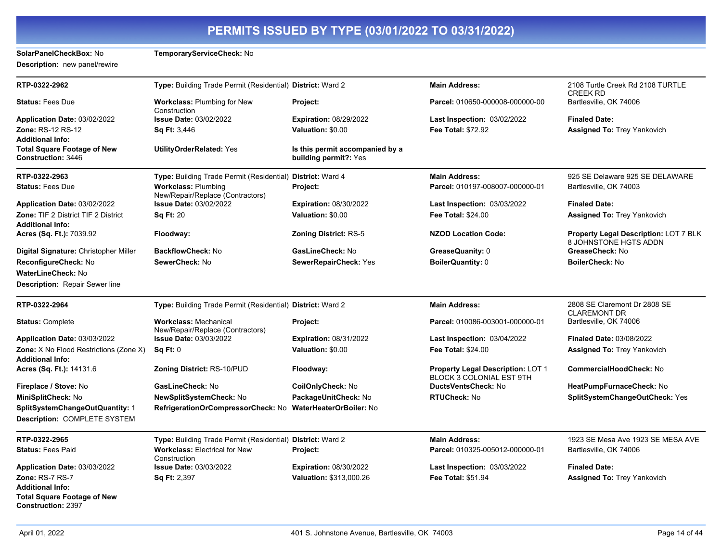**SolarPanelCheckBox:** No **TemporaryServiceCheck:** No **Description:** new panel/rewire

| RTP-0322-2962                                                   | Type: Building Trade Permit (Residential) District: Ward 2       |                                                          | <b>Main Address:</b>                                          | 2108 Turtle Creek Rd 2108 TURTLE<br><b>CREEK RD</b>            |
|-----------------------------------------------------------------|------------------------------------------------------------------|----------------------------------------------------------|---------------------------------------------------------------|----------------------------------------------------------------|
| <b>Status: Fees Due</b>                                         | <b>Workclass: Plumbing for New</b><br>Construction               | Project:                                                 | Parcel: 010650-000008-000000-00                               | Bartlesville, OK 74006                                         |
| Application Date: 03/02/2022                                    | <b>Issue Date: 03/02/2022</b>                                    | <b>Expiration: 08/29/2022</b>                            | <b>Last Inspection: 03/02/2022</b>                            | <b>Finaled Date:</b>                                           |
| Zone: RS-12 RS-12                                               | <b>Sq Ft: 3,446</b>                                              | Valuation: \$0.00                                        | <b>Fee Total: \$72.92</b>                                     | <b>Assigned To: Trey Yankovich</b>                             |
| <b>Additional Info:</b>                                         |                                                                  |                                                          |                                                               |                                                                |
| <b>Total Square Footage of New</b><br>Construction: 3446        | <b>UtilityOrderRelated: Yes</b>                                  | Is this permit accompanied by a<br>building permit?: Yes |                                                               |                                                                |
| RTP-0322-2963                                                   | Type: Building Trade Permit (Residential) District: Ward 4       |                                                          | <b>Main Address:</b>                                          | 925 SE Delaware 925 SE DELAWARE                                |
| <b>Status: Fees Due</b>                                         | <b>Workclass: Plumbing</b><br>New/Repair/Replace (Contractors)   | Project:                                                 | Parcel: 010197-008007-000000-01                               | Bartlesville, OK 74003                                         |
| Application Date: 03/02/2022                                    | <b>Issue Date: 03/02/2022</b>                                    | <b>Expiration: 08/30/2022</b>                            | <b>Last Inspection: 03/03/2022</b>                            | <b>Finaled Date:</b>                                           |
| Zone: TIF 2 District TIF 2 District                             | <b>Sq Ft: 20</b>                                                 | Valuation: \$0.00                                        | <b>Fee Total: \$24.00</b>                                     | <b>Assigned To: Trey Yankovich</b>                             |
| <b>Additional Info:</b>                                         |                                                                  |                                                          |                                                               |                                                                |
| Acres (Sq. Ft.): 7039.92                                        | Floodway:                                                        | Zoning District: RS-5                                    | <b>NZOD Location Code:</b>                                    | Property Legal Description: LOT 7 BLK<br>8 JOHNSTONE HGTS ADDN |
| Digital Signature: Christopher Miller                           | <b>BackflowCheck: No</b>                                         | GasLineCheck: No                                         | GreaseQuanity: 0                                              | GreaseCheck: No                                                |
| ReconfigureCheck: No                                            | SewerCheck: No                                                   | <b>SewerRepairCheck: Yes</b>                             | <b>BoilerQuantity: 0</b>                                      | BoilerCheck: No                                                |
| WaterLineCheck: No                                              |                                                                  |                                                          |                                                               |                                                                |
| <b>Description: Repair Sewer line</b>                           |                                                                  |                                                          |                                                               |                                                                |
| RTP-0322-2964                                                   | Type: Building Trade Permit (Residential) District: Ward 2       |                                                          | <b>Main Address:</b>                                          | 2808 SE Claremont Dr 2808 SE<br><b>CLAREMONT DR</b>            |
| <b>Status: Complete</b>                                         | <b>Workclass: Mechanical</b><br>New/Repair/Replace (Contractors) | Project:                                                 | Parcel: 010086-003001-000000-01                               | Bartlesville, OK 74006                                         |
| Application Date: 03/03/2022                                    | <b>Issue Date: 03/03/2022</b>                                    | <b>Expiration: 08/31/2022</b>                            | <b>Last Inspection: 03/04/2022</b>                            | <b>Finaled Date: 03/08/2022</b>                                |
| <b>Zone:</b> X No Flood Restrictions (Zone X)                   | Sq Ft: 0                                                         | Valuation: \$0.00                                        | Fee Total: \$24.00                                            | <b>Assigned To: Trey Yankovich</b>                             |
| <b>Additional Info:</b>                                         |                                                                  |                                                          |                                                               |                                                                |
| Acres (Sq. Ft.): 14131.6                                        | Zoning District: RS-10/PUD                                       | Floodway:                                                | Property Legal Description: LOT 1<br>BLOCK 3 COLONIAL EST 9TH | <b>CommercialHoodCheck: No</b>                                 |
| Fireplace / Stove: No                                           | GasLineCheck: No                                                 | CoilOnlyCheck: No                                        | <b>DuctsVentsCheck: No</b>                                    | HeatPumpFurnaceCheck: No                                       |
| MiniSplitCheck: No                                              | NewSplitSystemCheck: No                                          | PackageUnitCheck: No                                     | <b>RTUCheck: No</b>                                           | SplitSystemChangeOutCheck: Yes                                 |
| SplitSystemChangeOutQuantity: 1                                 | RefrigerationOrCompressorCheck: No                               | <b>WaterHeaterOrBoiler: No</b>                           |                                                               |                                                                |
| Description: COMPLETE SYSTEM                                    |                                                                  |                                                          |                                                               |                                                                |
| RTP-0322-2965                                                   | Type: Building Trade Permit (Residential) District: Ward 2       |                                                          | <b>Main Address:</b>                                          | 1923 SE Mesa Ave 1923 SE MESA AVE                              |
| <b>Status: Fees Paid</b>                                        | <b>Workclass: Electrical for New</b><br>Construction             | Project:                                                 | Parcel: 010325-005012-000000-01                               | Bartlesville, OK 74006                                         |
| Application Date: 03/03/2022                                    | <b>Issue Date: 03/03/2022</b>                                    | <b>Expiration: 08/30/2022</b>                            | Last Inspection: 03/03/2022                                   | <b>Finaled Date:</b>                                           |
| <b>Zone: RS-7 RS-7</b>                                          | <b>Sq Ft: 2,397</b>                                              | <b>Valuation: \$313,000.26</b>                           | <b>Fee Total: \$51.94</b>                                     | <b>Assigned To: Trey Yankovich</b>                             |
| <b>Additional Info:</b>                                         |                                                                  |                                                          |                                                               |                                                                |
| <b>Total Square Footage of New</b><br><b>Construction: 2397</b> |                                                                  |                                                          |                                                               |                                                                |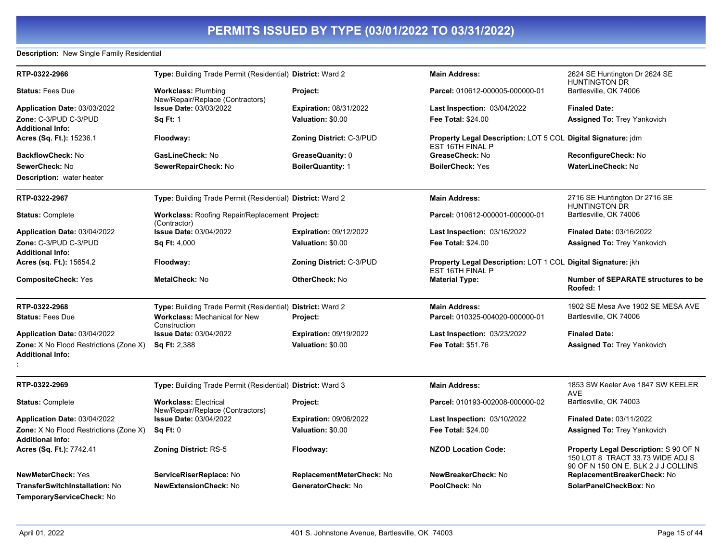### **Description:** New Single Family Residential

| RTP-0322-2966                                                     | Type: Building Trade Permit (Residential) District: Ward 2            |                                 | <b>Main Address:</b>                                                             | 2624 SE Huntington Dr 2624 SE<br><b>HUNTINGTON DR</b>                                                            |
|-------------------------------------------------------------------|-----------------------------------------------------------------------|---------------------------------|----------------------------------------------------------------------------------|------------------------------------------------------------------------------------------------------------------|
| <b>Status: Fees Due</b>                                           | <b>Workclass: Plumbing</b><br>New/Repair/Replace (Contractors)        | Project:                        | Parcel: 010612-000005-000000-01                                                  | Bartlesville, OK 74006                                                                                           |
| Application Date: 03/03/2022                                      | <b>Issue Date: 03/03/2022</b>                                         | <b>Expiration: 08/31/2022</b>   | Last Inspection: 03/04/2022                                                      | <b>Finaled Date:</b>                                                                                             |
| Zone: C-3/PUD C-3/PUD                                             | <b>Sq Ft: 1</b>                                                       | Valuation: \$0.00               | <b>Fee Total: \$24.00</b>                                                        | Assigned To: Trey Yankovich                                                                                      |
| <b>Additional Info:</b>                                           |                                                                       |                                 |                                                                                  |                                                                                                                  |
| Acres (Sq. Ft.): 15236.1                                          | Floodway:                                                             | <b>Zoning District: C-3/PUD</b> | Property Legal Description: LOT 5 COL Digital Signature: jdm<br>EST 16TH FINAL P |                                                                                                                  |
| BackflowCheck: No                                                 | GasLineCheck: No                                                      | GreaseQuanity: 0                | GreaseCheck: No                                                                  | ReconfigureCheck: No                                                                                             |
| SewerCheck: No                                                    | SewerRepairCheck: No                                                  | <b>BoilerQuantity: 1</b>        | <b>BoilerCheck: Yes</b>                                                          | <b>WaterLineCheck: No</b>                                                                                        |
| <b>Description:</b> water heater                                  |                                                                       |                                 |                                                                                  |                                                                                                                  |
| RTP-0322-2967                                                     | Type: Building Trade Permit (Residential) District: Ward 2            |                                 | <b>Main Address:</b>                                                             | 2716 SE Huntington Dr 2716 SE<br><b>HUNTINGTON DR</b>                                                            |
| <b>Status: Complete</b>                                           | <b>Workclass: Roofing Repair/Replacement Project:</b><br>(Contractor) |                                 | Parcel: 010612-000001-000000-01                                                  | Bartlesville, OK 74006                                                                                           |
| Application Date: 03/04/2022                                      | <b>Issue Date: 03/04/2022</b>                                         | <b>Expiration: 09/12/2022</b>   | <b>Last Inspection: 03/16/2022</b>                                               | <b>Finaled Date: 03/16/2022</b>                                                                                  |
| Zone: C-3/PUD C-3/PUD                                             | <b>Sq Ft: 4,000</b>                                                   | Valuation: \$0.00               | <b>Fee Total: \$24.00</b>                                                        | <b>Assigned To: Trey Yankovich</b>                                                                               |
| <b>Additional Info:</b>                                           |                                                                       |                                 |                                                                                  |                                                                                                                  |
| Acres (sq. Ft.): 15654.2                                          | Floodway:                                                             | <b>Zoning District: C-3/PUD</b> | Property Legal Description: LOT 1 COL Digital Signature: jkh<br>EST 16TH FINAL P |                                                                                                                  |
| <b>CompositeCheck: Yes</b>                                        | MetalCheck: No                                                        | <b>OtherCheck: No</b>           | <b>Material Type:</b>                                                            | <b>Number of SEPARATE structures to be</b><br>Roofed: 1                                                          |
| RTP-0322-2968                                                     | Type: Building Trade Permit (Residential) District: Ward 2            |                                 | <b>Main Address:</b>                                                             | 1902 SE Mesa Ave 1902 SE MESA AVE                                                                                |
| <b>Status: Fees Due</b>                                           | <b>Workclass: Mechanical for New</b><br>Construction                  | Project:                        | Parcel: 010325-004020-000000-01                                                  | Bartlesville, OK 74006                                                                                           |
| Application Date: 03/04/2022                                      | <b>Issue Date: 03/04/2022</b>                                         | <b>Expiration: 09/19/2022</b>   | <b>Last Inspection: 03/23/2022</b>                                               | <b>Finaled Date:</b>                                                                                             |
| Zone: X No Flood Restrictions (Zone X)<br><b>Additional Info:</b> | <b>Sq Ft: 2,388</b>                                                   | Valuation: \$0.00               | <b>Fee Total: \$51.76</b>                                                        | <b>Assigned To: Trey Yankovich</b>                                                                               |
|                                                                   |                                                                       |                                 |                                                                                  |                                                                                                                  |
| RTP-0322-2969                                                     | Type: Building Trade Permit (Residential) District: Ward 3            |                                 | <b>Main Address:</b>                                                             | 1853 SW Keeler Ave 1847 SW KEELER<br>AVE                                                                         |
| <b>Status: Complete</b>                                           | <b>Workclass: Electrical</b><br>New/Repair/Replace (Contractors)      | Project:                        | Parcel: 010193-002008-000000-02                                                  | Bartlesville, OK 74003                                                                                           |
| Application Date: 03/04/2022                                      | <b>Issue Date: 03/04/2022</b>                                         | <b>Expiration: 09/06/2022</b>   | <b>Last Inspection: 03/10/2022</b>                                               | <b>Finaled Date: 03/11/2022</b>                                                                                  |
| Zone: X No Flood Restrictions (Zone X)<br><b>Additional Info:</b> | Sa Ft: 0                                                              | Valuation: \$0.00               | <b>Fee Total: \$24.00</b>                                                        | <b>Assigned To: Trey Yankovich</b>                                                                               |
| Acres (Sq. Ft.): 7742.41                                          | <b>Zoning District: RS-5</b>                                          | Floodway:                       | <b>NZOD Location Code:</b>                                                       | Property Legal Description: S 90 OF N<br>150 LOT 8 TRACT 33.73 WIDE ADJ S<br>90 OF N 150 ON E. BLK 2 J J COLLINS |
| <b>NewMeterCheck: Yes</b>                                         | ServiceRiserReplace: No                                               | ReplacementMeterCheck: No       | NewBreakerCheck: No                                                              | ReplacementBreakerCheck: No                                                                                      |
| TransferSwitchInstallation: No<br>TemporaryServiceCheck: No       | <b>NewExtensionCheck: No</b>                                          | GeneratorCheck: No              | PoolCheck: No                                                                    | SolarPanelCheckBox: No                                                                                           |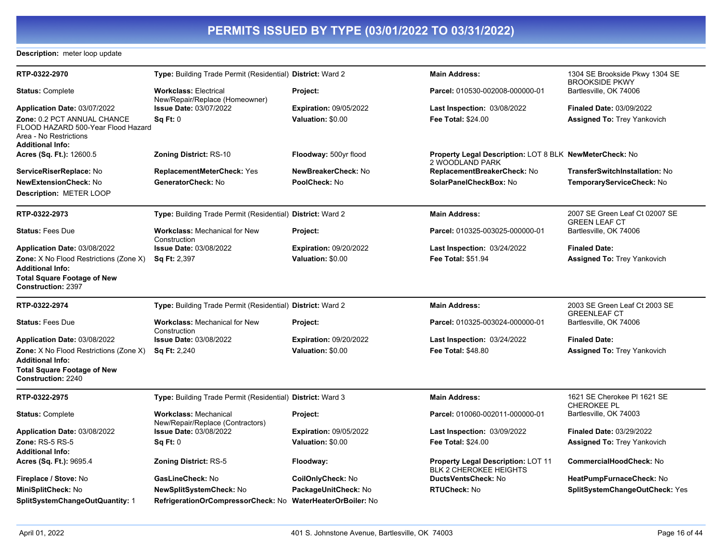### **Description:** meter loop update

| RTP-0322-2970                                                                                                          | Type: Building Trade Permit (Residential) District: Ward 2       |                                | <b>Main Address:</b>                                                              | 1304 SE Brookside Pkwy 1304 SE<br><b>BROOKSIDE PKWY</b> |
|------------------------------------------------------------------------------------------------------------------------|------------------------------------------------------------------|--------------------------------|-----------------------------------------------------------------------------------|---------------------------------------------------------|
| Status: Complete                                                                                                       | <b>Workclass: Electrical</b><br>New/Repair/Replace (Homeowner)   | Project:                       | Parcel: 010530-002008-000000-01                                                   | Bartlesville, OK 74006                                  |
| <b>Application Date: 03/07/2022</b>                                                                                    | <b>Issue Date: 03/07/2022</b>                                    | <b>Expiration: 09/05/2022</b>  | Last Inspection: 03/08/2022                                                       | <b>Finaled Date: 03/09/2022</b>                         |
| Zone: 0.2 PCT ANNUAL CHANCE<br>FLOOD HAZARD 500-Year Flood Hazard<br>Area - No Restrictions<br><b>Additional Info:</b> | SqFt:0                                                           | Valuation: \$0.00              | <b>Fee Total: \$24.00</b>                                                         | <b>Assigned To: Trey Yankovich</b>                      |
| <b>Acres (Sq. Ft.):</b> 12600.5                                                                                        | <b>Zoning District: RS-10</b>                                    | Floodway: 500yr flood          | <b>Property Legal Description: LOT 8 BLK NewMeterCheck: No</b><br>2 WOODLAND PARK |                                                         |
| ServiceRiserReplace: No                                                                                                | <b>ReplacementMeterCheck: Yes</b>                                | NewBreakerCheck: No            | ReplacementBreakerCheck: No                                                       | TransferSwitchInstallation: No                          |
| <b>NewExtensionCheck:</b> No                                                                                           | GeneratorCheck: No                                               | PoolCheck: No                  | SolarPanelCheckBox: No                                                            | TemporaryServiceCheck: No                               |
| Description: METER LOOP                                                                                                |                                                                  |                                |                                                                                   |                                                         |
| RTP-0322-2973                                                                                                          | Type: Building Trade Permit (Residential) District: Ward 2       |                                | <b>Main Address:</b>                                                              | 2007 SE Green Leaf Ct 02007 SE<br><b>GREEN LEAF CT</b>  |
| <b>Status: Fees Due</b>                                                                                                | <b>Workclass: Mechanical for New</b><br>Construction             | Project:                       | Parcel: 010325-003025-000000-01                                                   | Bartlesville, OK 74006                                  |
| Application Date: 03/08/2022                                                                                           | <b>Issue Date: 03/08/2022</b>                                    | <b>Expiration: 09/20/2022</b>  | <b>Last Inspection: 03/24/2022</b>                                                | <b>Finaled Date:</b>                                    |
| <b>Zone:</b> X No Flood Restrictions (Zone X)<br><b>Additional Info:</b>                                               | <b>Sq Ft: 2,397</b>                                              | Valuation: \$0.00              | Fee Total: \$51.94                                                                | <b>Assigned To: Trey Yankovich</b>                      |
| Total Square Footage of New<br><b>Construction: 2397</b>                                                               |                                                                  |                                |                                                                                   |                                                         |
| RTP-0322-2974                                                                                                          | Type: Building Trade Permit (Residential) District: Ward 2       |                                | <b>Main Address:</b>                                                              | 2003 SE Green Leaf Ct 2003 SE<br><b>GREENLEAF CT</b>    |
| <b>Status: Fees Due</b>                                                                                                | <b>Workclass: Mechanical for New</b><br>Construction             | Project:                       | Parcel: 010325-003024-000000-01                                                   | Bartlesville, OK 74006                                  |
| Application Date: 03/08/2022                                                                                           | <b>Issue Date: 03/08/2022</b>                                    | <b>Expiration: 09/20/2022</b>  | <b>Last Inspection: 03/24/2022</b>                                                | <b>Finaled Date:</b>                                    |
| <b>Zone:</b> X No Flood Restrictions (Zone X)<br>Additional Info:                                                      | <b>Sq Ft: 2,240</b>                                              | Valuation: \$0.00              | <b>Fee Total: \$48.80</b>                                                         | <b>Assigned To: Trey Yankovich</b>                      |
| Total Square Footage of New<br><b>Construction: 2240</b>                                                               |                                                                  |                                |                                                                                   |                                                         |
| RTP-0322-2975                                                                                                          | Type: Building Trade Permit (Residential) District: Ward 3       |                                | <b>Main Address:</b>                                                              | 1621 SE Cherokee PI 1621 SE<br><b>CHEROKEE PL</b>       |
| <b>Status: Complete</b>                                                                                                | <b>Workclass: Mechanical</b><br>New/Repair/Replace (Contractors) | Project:                       | Parcel: 010060-002011-000000-01                                                   | Bartlesville, OK 74003                                  |
| Application Date: 03/08/2022                                                                                           | <b>Issue Date: 03/08/2022</b>                                    | <b>Expiration: 09/05/2022</b>  | <b>Last Inspection: 03/09/2022</b>                                                | <b>Finaled Date: 03/29/2022</b>                         |
| <b>Zone: RS-5 RS-5</b>                                                                                                 | Sq Ft: 0                                                         | Valuation: \$0.00              | <b>Fee Total: \$24.00</b>                                                         | <b>Assigned To: Trey Yankovich</b>                      |
| <b>Additional Info:</b>                                                                                                |                                                                  |                                |                                                                                   |                                                         |
| <b>Acres (Sq. Ft.):</b> 9695.4                                                                                         | <b>Zoning District: RS-5</b>                                     | Floodway:                      | <b>Property Legal Description: LOT 11</b><br><b>BLK 2 CHEROKEE HEIGHTS</b>        | CommercialHoodCheck: No                                 |
| <b>Fireplace / Stove:</b> No                                                                                           | GasLineCheck: No                                                 | CoilOnlyCheck: No              | DuctsVentsCheck: No                                                               | HeatPumpFurnaceCheck: No                                |
| MiniSplitCheck: No                                                                                                     | NewSplitSystemCheck: No                                          | PackageUnitCheck: No           | <b>RTUCheck: No</b>                                                               | SplitSystemChangeOutCheck: Yes                          |
| SplitSystemChangeOutQuantity: 1                                                                                        | RefrigerationOrCompressorCheck: No                               | <b>WaterHeaterOrBoiler: No</b> |                                                                                   |                                                         |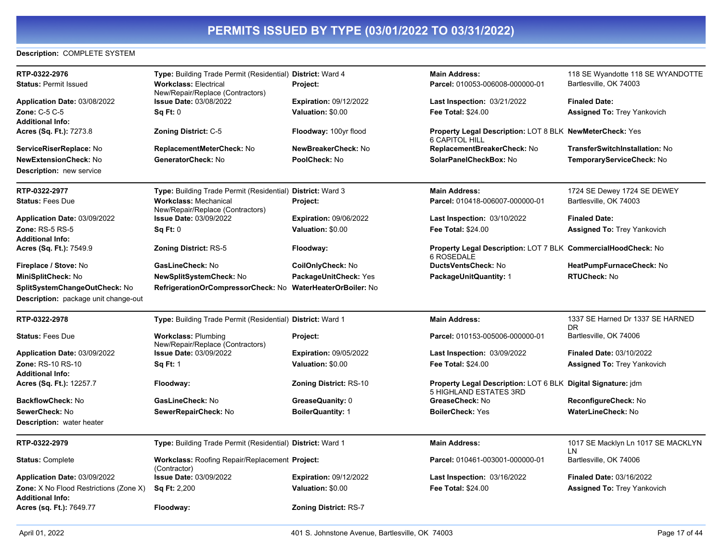### **Description:** COMPLETE SYSTEM

| RTP-0322-2976                                                            | Type: Building Trade Permit (Residential) District: Ward 4       |                               | <b>Main Address:</b>                                                                   | 118 SE Wyandotte 118 SE WYANDOTTE        |
|--------------------------------------------------------------------------|------------------------------------------------------------------|-------------------------------|----------------------------------------------------------------------------------------|------------------------------------------|
| <b>Status: Permit Issued</b>                                             | <b>Workclass: Electrical</b><br>New/Repair/Replace (Contractors) | <b>Project:</b>               | Parcel: 010053-006008-000000-01                                                        | Bartlesville, OK 74003                   |
| Application Date: 03/08/2022                                             | <b>Issue Date: 03/08/2022</b>                                    | <b>Expiration: 09/12/2022</b> | <b>Last Inspection: 03/21/2022</b>                                                     | <b>Finaled Date:</b>                     |
| Zone: C-5 C-5<br><b>Additional Info:</b>                                 | Sq Ft: 0                                                         | Valuation: \$0.00             | <b>Fee Total: \$24.00</b>                                                              | <b>Assigned To: Trey Yankovich</b>       |
| Acres (Sq. Ft.): 7273.8                                                  | <b>Zoning District: C-5</b>                                      | Floodway: 100yr flood         | Property Legal Description: LOT 8 BLK NewMeterCheck: Yes<br><b>6 CAPITOL HILL</b>      |                                          |
| ServiceRiserReplace: No                                                  | ReplacementMeterCheck: No                                        | NewBreakerCheck: No           | ReplacementBreakerCheck: No                                                            | TransferSwitchInstallation: No           |
| <b>NewExtensionCheck: No</b>                                             | GeneratorCheck: No                                               | PoolCheck: No                 | SolarPanelCheckBox: No                                                                 | TemporaryServiceCheck: No                |
| <b>Description: new service</b>                                          |                                                                  |                               |                                                                                        |                                          |
| RTP-0322-2977                                                            | Type: Building Trade Permit (Residential) District: Ward 3       |                               | <b>Main Address:</b>                                                                   | 1724 SE Dewey 1724 SE DEWEY              |
| <b>Status: Fees Due</b>                                                  | <b>Workclass: Mechanical</b><br>New/Repair/Replace (Contractors) | Project:                      | Parcel: 010418-006007-000000-01                                                        | Bartlesville, OK 74003                   |
| Application Date: 03/09/2022                                             | <b>Issue Date: 03/09/2022</b>                                    | <b>Expiration: 09/06/2022</b> | <b>Last Inspection: 03/10/2022</b>                                                     | <b>Finaled Date:</b>                     |
| Zone: $RS-5RS-5$<br><b>Additional Info:</b>                              | Sq Ft: 0                                                         | Valuation: \$0.00             | <b>Fee Total: \$24.00</b>                                                              | <b>Assigned To: Trey Yankovich</b>       |
| Acres (Sq. Ft.): 7549.9                                                  | <b>Zoning District: RS-5</b>                                     | Floodway:                     | Property Legal Description: LOT 7 BLK CommercialHoodCheck: No<br>6 ROSEDALE            |                                          |
| Fireplace / Stove: No                                                    | GasLineCheck: No                                                 | CoilOnlyCheck: No             | DuctsVentsCheck: No                                                                    | HeatPumpFurnaceCheck: No                 |
| MiniSplitCheck: No                                                       | NewSplitSystemCheck: No                                          | PackageUnitCheck: Yes         | PackageUnitQuantity: 1                                                                 | RTUCheck: No                             |
| SplitSystemChangeOutCheck: No                                            | RefrigerationOrCompressorCheck: No WaterHeaterOrBoiler: No       |                               |                                                                                        |                                          |
| <b>Description:</b> package unit change-out                              |                                                                  |                               |                                                                                        |                                          |
| RTP-0322-2978                                                            | Type: Building Trade Permit (Residential) District: Ward 1       |                               | <b>Main Address:</b>                                                                   | 1337 SE Harned Dr 1337 SE HARNED<br>DR   |
| <b>Status: Fees Due</b>                                                  | <b>Workclass: Plumbing</b><br>New/Repair/Replace (Contractors)   | Project:                      | Parcel: 010153-005006-000000-01                                                        | Bartlesville, OK 74006                   |
| Application Date: 03/09/2022                                             | <b>Issue Date: 03/09/2022</b>                                    | <b>Expiration: 09/05/2022</b> | <b>Last Inspection: 03/09/2022</b>                                                     | <b>Finaled Date: 03/10/2022</b>          |
| Zone: RS-10 RS-10                                                        | <b>Sq Ft: 1</b>                                                  | Valuation: \$0.00             | <b>Fee Total: \$24.00</b>                                                              | <b>Assigned To: Trey Yankovich</b>       |
| <b>Additional Info:</b>                                                  |                                                                  |                               |                                                                                        |                                          |
| Acres (Sq. Ft.): 12257.7                                                 | Floodway:                                                        | <b>Zoning District: RS-10</b> | Property Legal Description: LOT 6 BLK Digital Signature: jdm<br>5 HIGHLAND ESTATES 3RD |                                          |
| BackflowCheck: No                                                        | GasLineCheck: No                                                 | GreaseQuanity: 0              | GreaseCheck: No                                                                        | ReconfigureCheck: No                     |
| SewerCheck: No                                                           | SewerRepairCheck: No                                             | <b>BoilerQuantity: 1</b>      | <b>BoilerCheck: Yes</b>                                                                | WaterLineCheck: No                       |
| <b>Description:</b> water heater                                         |                                                                  |                               |                                                                                        |                                          |
| RTP-0322-2979                                                            | Type: Building Trade Permit (Residential) District: Ward 1       |                               | <b>Main Address:</b>                                                                   | 1017 SE Macklyn Ln 1017 SE MACKLYN<br>LN |
| <b>Status: Complete</b>                                                  | Workclass: Roofing Repair/Replacement Project:<br>(Contractor)   |                               | Parcel: 010461-003001-000000-01                                                        | Bartlesville, OK 74006                   |
| Application Date: 03/09/2022                                             | <b>Issue Date: 03/09/2022</b>                                    | <b>Expiration: 09/12/2022</b> | <b>Last Inspection: 03/16/2022</b>                                                     | Finaled Date: 03/16/2022                 |
| <b>Zone:</b> X No Flood Restrictions (Zone X)<br><b>Additional Info:</b> | <b>Sq Ft: 2,200</b>                                              | Valuation: \$0.00             | <b>Fee Total: \$24.00</b>                                                              | <b>Assigned To: Trey Yankovich</b>       |
| Acres (sq. Ft.): 7649.77                                                 | Floodway:                                                        | <b>Zoning District: RS-7</b>  |                                                                                        |                                          |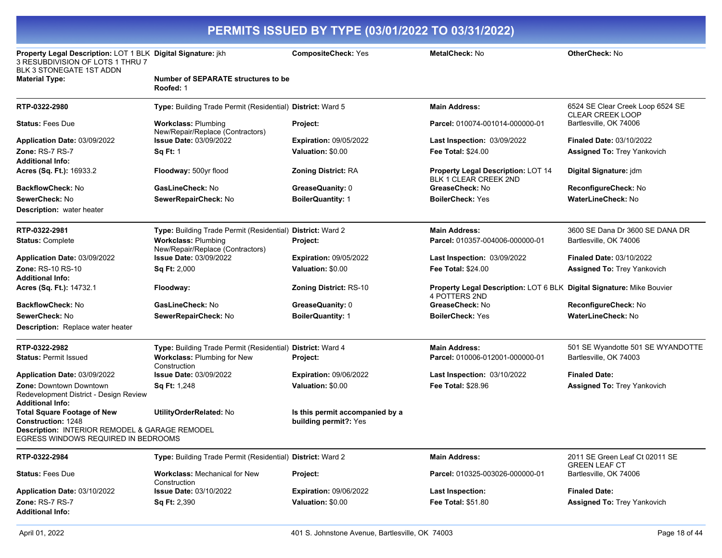| Property Legal Description: LOT 1 BLK Digital Signature: jkh<br>3 RESUBDIVISION OF LOTS 1 THRU 7<br>BLK 3 STONEGATE 1ST ADDN |                                                                | <b>CompositeCheck: Yes</b>                               | MetalCheck: No                                                                                | <b>OtherCheck: No</b>                                       |
|------------------------------------------------------------------------------------------------------------------------------|----------------------------------------------------------------|----------------------------------------------------------|-----------------------------------------------------------------------------------------------|-------------------------------------------------------------|
| <b>Material Type:</b>                                                                                                        | <b>Number of SEPARATE structures to be</b><br>Roofed: 1        |                                                          |                                                                                               |                                                             |
| RTP-0322-2980                                                                                                                | Type: Building Trade Permit (Residential) District: Ward 5     |                                                          | <b>Main Address:</b>                                                                          | 6524 SE Clear Creek Loop 6524 SE<br><b>CLEAR CREEK LOOP</b> |
| <b>Status: Fees Due</b>                                                                                                      | <b>Workclass: Plumbing</b><br>New/Repair/Replace (Contractors) | Project:                                                 | Parcel: 010074-001014-000000-01                                                               | Bartlesville, OK 74006                                      |
| Application Date: 03/09/2022                                                                                                 | <b>Issue Date: 03/09/2022</b>                                  | <b>Expiration: 09/05/2022</b>                            | <b>Last Inspection: 03/09/2022</b>                                                            | <b>Finaled Date: 03/10/2022</b>                             |
| <b>Zone: RS-7 RS-7</b>                                                                                                       | <b>Sq Ft: 1</b>                                                | Valuation: \$0.00                                        | <b>Fee Total: \$24.00</b>                                                                     | <b>Assigned To: Trey Yankovich</b>                          |
| <b>Additional Info:</b>                                                                                                      |                                                                |                                                          |                                                                                               |                                                             |
| <b>Acres (Sq. Ft.):</b> 16933.2                                                                                              | Floodway: 500yr flood                                          | <b>Zoning District: RA</b>                               | Property Legal Description: LOT 14<br><b>BLK 1 CLEAR CREEK 2ND</b>                            | Digital Signature: jdm                                      |
| BackflowCheck: No                                                                                                            | GasLineCheck: No                                               | GreaseQuanity: 0                                         | GreaseCheck: No                                                                               | ReconfigureCheck: No                                        |
| SewerCheck: No                                                                                                               | SewerRepairCheck: No                                           | <b>BoilerQuantity: 1</b>                                 | <b>BoilerCheck: Yes</b>                                                                       | <b>WaterLineCheck: No</b>                                   |
| <b>Description:</b> water heater                                                                                             |                                                                |                                                          |                                                                                               |                                                             |
| RTP-0322-2981                                                                                                                | Type: Building Trade Permit (Residential) District: Ward 2     |                                                          | <b>Main Address:</b>                                                                          | 3600 SE Dana Dr 3600 SE DANA DR                             |
| <b>Status: Complete</b>                                                                                                      | <b>Workclass: Plumbing</b><br>New/Repair/Replace (Contractors) | Project:                                                 | Parcel: 010357-004006-000000-01                                                               | Bartlesville, OK 74006                                      |
| Application Date: 03/09/2022                                                                                                 | <b>Issue Date: 03/09/2022</b>                                  | <b>Expiration: 09/05/2022</b>                            | Last Inspection: 03/09/2022                                                                   | <b>Finaled Date: 03/10/2022</b>                             |
| <b>Zone: RS-10 RS-10</b>                                                                                                     | Sq Ft: 2,000                                                   | Valuation: \$0.00                                        | <b>Fee Total: \$24.00</b>                                                                     | <b>Assigned To: Trey Yankovich</b>                          |
| Additional Info:                                                                                                             |                                                                |                                                          |                                                                                               |                                                             |
| <b>Acres (Sq. Ft.):</b> 14732.1                                                                                              | Floodway:                                                      | <b>Zoning District: RS-10</b>                            | <b>Property Legal Description: LOT 6 BLK Digital Signature: Mike Bouvier</b><br>4 POTTERS 2ND |                                                             |
| BackflowCheck: No                                                                                                            | GasLineCheck: No                                               | GreaseQuanity: 0                                         | GreaseCheck: No                                                                               | ReconfigureCheck: No                                        |
| SewerCheck: No                                                                                                               | SewerRepairCheck: No                                           | <b>BoilerQuantity: 1</b>                                 | <b>BoilerCheck: Yes</b>                                                                       | <b>WaterLineCheck: No</b>                                   |
| Description: Replace water heater                                                                                            |                                                                |                                                          |                                                                                               |                                                             |
| RTP-0322-2982                                                                                                                | Type: Building Trade Permit (Residential)                      | District: Ward 4                                         | <b>Main Address:</b>                                                                          | 501 SE Wyandotte 501 SE WYANDOTTE                           |
| <b>Status: Permit Issued</b>                                                                                                 | <b>Workclass: Plumbing for New</b><br>Construction             | Project:                                                 | Parcel: 010006-012001-000000-01                                                               | Bartlesville, OK 74003                                      |
| Application Date: 03/09/2022                                                                                                 | <b>Issue Date: 03/09/2022</b>                                  | <b>Expiration: 09/06/2022</b>                            | Last Inspection: 03/10/2022                                                                   | <b>Finaled Date:</b>                                        |
| Zone: Downtown Downtown<br>Redevelopment District - Design Review<br>Additional Info:                                        | <b>Sq Ft: 1,248</b>                                            | Valuation: \$0.00                                        | <b>Fee Total: \$28.96</b>                                                                     | <b>Assigned To: Trey Yankovich</b>                          |
| <b>Total Square Footage of New</b><br><b>Construction: 1248</b>                                                              | <b>UtilityOrderRelated: No</b>                                 | Is this permit accompanied by a<br>building permit?: Yes |                                                                                               |                                                             |
| Description: INTERIOR REMODEL & GARAGE REMODEL                                                                               |                                                                |                                                          |                                                                                               |                                                             |
| EGRESS WINDOWS REQUIRED IN BEDROOMS                                                                                          |                                                                |                                                          |                                                                                               |                                                             |
| RTP-0322-2984                                                                                                                | Type: Building Trade Permit (Residential) District: Ward 2     |                                                          | <b>Main Address:</b>                                                                          | 2011 SE Green Leaf Ct 02011 SE<br><b>GREEN LEAF CT</b>      |
| <b>Status: Fees Due</b>                                                                                                      | <b>Workclass: Mechanical for New</b><br>Construction           | Project:                                                 | Parcel: 010325-003026-000000-01                                                               | Bartlesville, OK 74006                                      |
| Application Date: 03/10/2022                                                                                                 | Issue Date: 03/10/2022                                         | <b>Expiration: 09/06/2022</b>                            | <b>Last Inspection:</b>                                                                       | <b>Finaled Date:</b>                                        |
| Zone: RS-7 RS-7<br><b>Additional Info:</b>                                                                                   | <b>Sq Ft: 2,390</b>                                            | Valuation: \$0.00                                        | <b>Fee Total: \$51.80</b>                                                                     | <b>Assigned To: Trey Yankovich</b>                          |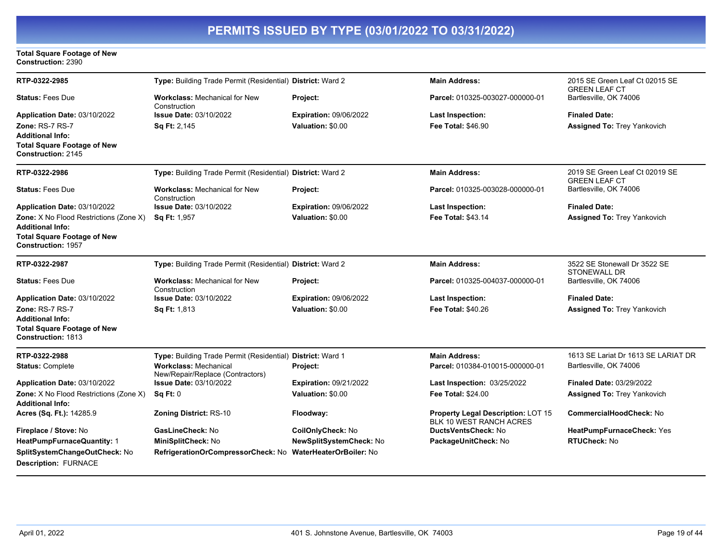#### **Total Square Footage of New Construction:** 2390

| RTP-0322-2985                                                   | Type: Building Trade Permit (Residential) District: Ward 2       |                                | <b>Main Address:</b>                                                 | 2015 SE Green Leaf Ct 02015 SE<br><b>GREEN LEAF CT</b> |
|-----------------------------------------------------------------|------------------------------------------------------------------|--------------------------------|----------------------------------------------------------------------|--------------------------------------------------------|
| <b>Status: Fees Due</b>                                         | <b>Workclass: Mechanical for New</b><br>Construction             | Project:                       | Parcel: 010325-003027-000000-01                                      | Bartlesville, OK 74006                                 |
| Application Date: 03/10/2022                                    | <b>Issue Date: 03/10/2022</b>                                    | Expiration: 09/06/2022         | <b>Last Inspection:</b>                                              | <b>Finaled Date:</b>                                   |
| <b>Zone: RS-7 RS-7</b>                                          | <b>Sq Ft: 2,145</b>                                              | Valuation: \$0.00              | <b>Fee Total: \$46.90</b>                                            | <b>Assigned To: Trey Yankovich</b>                     |
| Additional Info:                                                |                                                                  |                                |                                                                      |                                                        |
| <b>Total Square Footage of New</b><br><b>Construction: 2145</b> |                                                                  |                                |                                                                      |                                                        |
| RTP-0322-2986                                                   | Type: Building Trade Permit (Residential) District: Ward 2       |                                | <b>Main Address:</b>                                                 | 2019 SE Green Leaf Ct 02019 SE<br><b>GREEN LEAF CT</b> |
| <b>Status: Fees Due</b>                                         | <b>Workclass: Mechanical for New</b><br>Construction             | Project:                       | Parcel: 010325-003028-000000-01                                      | Bartlesville, OK 74006                                 |
| Application Date: 03/10/2022                                    | <b>Issue Date: 03/10/2022</b>                                    | <b>Expiration: 09/06/2022</b>  | <b>Last Inspection:</b>                                              | <b>Finaled Date:</b>                                   |
| Zone: X No Flood Restrictions (Zone X)                          | Sq Ft: 1,957                                                     | Valuation: \$0.00              | <b>Fee Total: \$43.14</b>                                            | <b>Assigned To: Trey Yankovich</b>                     |
| Additional Info:                                                |                                                                  |                                |                                                                      |                                                        |
| <b>Total Square Footage of New</b><br><b>Construction: 1957</b> |                                                                  |                                |                                                                      |                                                        |
| RTP-0322-2987                                                   | Type: Building Trade Permit (Residential) District: Ward 2       |                                | <b>Main Address:</b>                                                 | 3522 SE Stonewall Dr 3522 SE<br><b>STONEWALL DR</b>    |
| <b>Status: Fees Due</b>                                         | <b>Workclass: Mechanical for New</b><br>Construction             | Project:                       | Parcel: 010325-004037-000000-01                                      | Bartlesville, OK 74006                                 |
| Application Date: 03/10/2022                                    | <b>Issue Date: 03/10/2022</b>                                    | <b>Expiration: 09/06/2022</b>  | Last Inspection:                                                     | <b>Finaled Date:</b>                                   |
| <b>Zone: RS-7 RS-7</b>                                          | Sq Ft: 1,813                                                     | Valuation: \$0.00              | Fee Total: \$40.26                                                   | <b>Assigned To: Trey Yankovich</b>                     |
| <b>Additional Info:</b>                                         |                                                                  |                                |                                                                      |                                                        |
| <b>Total Square Footage of New</b><br>Construction: 1813        |                                                                  |                                |                                                                      |                                                        |
| RTP-0322-2988                                                   | Type: Building Trade Permit (Residential) District: Ward 1       |                                | <b>Main Address:</b>                                                 | 1613 SE Lariat Dr 1613 SE LARIAT DR                    |
| <b>Status: Complete</b>                                         | <b>Workclass: Mechanical</b><br>New/Repair/Replace (Contractors) | Project:                       | Parcel: 010384-010015-000000-01                                      | Bartlesville, OK 74006                                 |
| Application Date: 03/10/2022                                    | <b>Issue Date: 03/10/2022</b>                                    | Expiration: 09/21/2022         | <b>Last Inspection: 03/25/2022</b>                                   | <b>Finaled Date: 03/29/2022</b>                        |
| <b>Zone:</b> X No Flood Restrictions (Zone X)                   | Sq Ft: 0                                                         | Valuation: \$0.00              | <b>Fee Total: \$24.00</b>                                            | <b>Assigned To: Trey Yankovich</b>                     |
| <b>Additional Info:</b>                                         |                                                                  |                                |                                                                      |                                                        |
| Acres (Sq. Ft.): 14285.9                                        | <b>Zoning District: RS-10</b>                                    | Floodway:                      | <b>Property Legal Description: LOT 15</b><br>BLK 10 WEST RANCH ACRES | <b>CommercialHoodCheck: No</b>                         |
| Fireplace / Stove: No                                           | GasLineCheck: No                                                 | CoilOnlyCheck: No              | DuctsVentsCheck: No                                                  | HeatPumpFurnaceCheck: Yes                              |
| HeatPumpFurnaceQuantity: 1                                      | MiniSplitCheck: No                                               | NewSplitSystemCheck: No        | PackageUnitCheck: No                                                 | <b>RTUCheck: No</b>                                    |
| SplitSystemChangeOutCheck: No                                   | RefrigerationOrCompressorCheck: No                               | <b>WaterHeaterOrBoiler: No</b> |                                                                      |                                                        |
| <b>Description: FURNACE</b>                                     |                                                                  |                                |                                                                      |                                                        |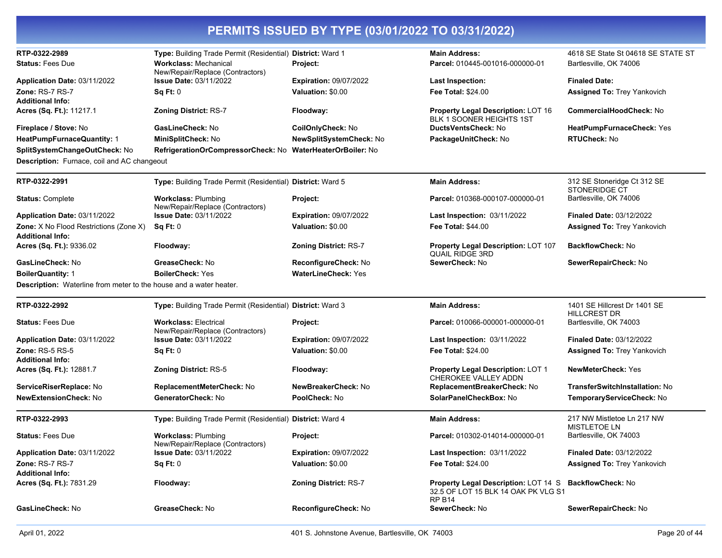| RTP-0322-2989                                                             | Type: Building Trade Permit (Residential) District: Ward 1        |                               | <b>Main Address:</b>                                                                          | 4618 SE State St 04618 SE STATE ST                |
|---------------------------------------------------------------------------|-------------------------------------------------------------------|-------------------------------|-----------------------------------------------------------------------------------------------|---------------------------------------------------|
| <b>Status: Fees Due</b>                                                   | <b>Workclass: Mechanical</b><br>New/Repair/Replace (Contractors)  | Project:                      | Parcel: 010445-001016-000000-01                                                               | Bartlesville, OK 74006                            |
| Application Date: 03/11/2022                                              | <b>Issue Date: 03/11/2022</b>                                     | <b>Expiration: 09/07/2022</b> | <b>Last Inspection:</b>                                                                       | <b>Finaled Date:</b>                              |
| Zone: RS-7 RS-7                                                           | Sq Ft: 0                                                          | Valuation: \$0.00             | Fee Total: \$24.00                                                                            | <b>Assigned To: Trey Yankovich</b>                |
| <b>Additional Info:</b>                                                   |                                                                   |                               |                                                                                               |                                                   |
| Acres (Sq. Ft.): 11217.1                                                  | <b>Zoning District: RS-7</b>                                      | Floodway:                     | <b>Property Legal Description: LOT 16</b><br>BLK 1 SOONER HEIGHTS 1ST                         | CommercialHoodCheck: No                           |
| Fireplace / Stove: No                                                     | GasLineCheck: No                                                  | CoilOnlyCheck: No             | DuctsVentsCheck: No                                                                           | HeatPumpFurnaceCheck: Yes                         |
| <b>HeatPumpFurnaceQuantity: 1</b>                                         | MiniSplitCheck: No                                                | NewSplitSystemCheck: No       | PackageUnitCheck: No                                                                          | <b>RTUCheck: No</b>                               |
| SplitSystemChangeOutCheck: No                                             | RefrigerationOrCompressorCheck: No WaterHeaterOrBoiler: No        |                               |                                                                                               |                                                   |
| <b>Description:</b> Furnace, coil and AC changeout                        |                                                                   |                               |                                                                                               |                                                   |
| RTP-0322-2991                                                             | Type: Building Trade Permit (Residential) District: Ward 5        |                               | <b>Main Address:</b>                                                                          | 312 SE Stoneridge Ct 312 SE                       |
|                                                                           |                                                                   |                               |                                                                                               | STONERIDGE CT                                     |
| <b>Status: Complete</b>                                                   | <b>Workclass: Plumbing</b><br>New/Repair/Replace (Contractors)    | Project:                      | Parcel: 010368-000107-000000-01                                                               | Bartlesville, OK 74006                            |
| Application Date: 03/11/2022                                              | <b>Issue Date: 03/11/2022</b>                                     | <b>Expiration: 09/07/2022</b> | <b>Last Inspection: 03/11/2022</b>                                                            | <b>Finaled Date: 03/12/2022</b>                   |
| <b>Zone:</b> X No Flood Restrictions (Zone X)                             | Sq Ft: 0                                                          | Valuation: \$0.00             | <b>Fee Total: \$44.00</b>                                                                     | <b>Assigned To: Trey Yankovich</b>                |
| <b>Additional Info:</b>                                                   |                                                                   |                               |                                                                                               |                                                   |
| Acres (Sq. Ft.): 9336.02                                                  | Floodway:                                                         | <b>Zoning District: RS-7</b>  | <b>Property Legal Description: LOT 107</b><br><b>QUAIL RIDGE 3RD</b>                          | <b>BackflowCheck: No</b>                          |
| GasLineCheck: No                                                          | GreaseCheck: No                                                   | ReconfigureCheck: No          | SewerCheck: No                                                                                | SewerRepairCheck: No                              |
| <b>BoilerQuantity: 1</b>                                                  | <b>BoilerCheck: Yes</b>                                           | <b>WaterLineCheck: Yes</b>    |                                                                                               |                                                   |
| <b>Description:</b> Waterline from meter to the house and a water heater. |                                                                   |                               |                                                                                               |                                                   |
| RTP-0322-2992                                                             | Type: Building Trade Permit (Residential) District: Ward 3        |                               | <b>Main Address:</b>                                                                          | 1401 SE Hillcrest Dr 1401 SE                      |
|                                                                           |                                                                   |                               |                                                                                               | <b>HILLCREST DR</b>                               |
| <b>Status: Fees Due</b>                                                   | <b>Workclass: Electrical</b>                                      | Project:                      | Parcel: 010066-000001-000000-01                                                               | Bartlesville, OK 74003                            |
| <b>Application Date: 03/11/2022</b>                                       | New/Repair/Replace (Contractors)<br><b>Issue Date: 03/11/2022</b> | <b>Expiration: 09/07/2022</b> | <b>Last Inspection: 03/11/2022</b>                                                            | <b>Finaled Date: 03/12/2022</b>                   |
| <b>Zone: RS-5 RS-5</b>                                                    | Sq Ft: 0                                                          | Valuation: \$0.00             | <b>Fee Total: \$24.00</b>                                                                     | Assigned To: Trey Yankovich                       |
| <b>Additional Info:</b>                                                   |                                                                   |                               |                                                                                               |                                                   |
| Acres (Sq. Ft.): 12881.7                                                  | <b>Zoning District: RS-5</b>                                      | Floodway:                     | Property Legal Description: LOT 1<br><b>CHEROKEE VALLEY ADDN</b>                              | <b>NewMeterCheck: Yes</b>                         |
| ServiceRiserReplace: No                                                   | ReplacementMeterCheck: No                                         | NewBreakerCheck: No           | ReplacementBreakerCheck: No                                                                   | <b>TransferSwitchInstallation: No</b>             |
| <b>NewExtensionCheck: No</b>                                              | GeneratorCheck: No                                                | PoolCheck: No                 | SolarPanelCheckBox: No                                                                        | TemporaryServiceCheck: No                         |
| RTP-0322-2993                                                             | Type: Building Trade Permit (Residential) District: Ward 4        |                               | <b>Main Address:</b>                                                                          | 217 NW Mistletoe Ln 217 NW<br><b>MISTLETOE LN</b> |
| <b>Status: Fees Due</b>                                                   | <b>Workclass: Plumbing</b><br>New/Repair/Replace (Contractors)    | Project:                      | Parcel: 010302-014014-000000-01                                                               | Bartlesville, OK 74003                            |
| Application Date: 03/11/2022                                              | <b>Issue Date: 03/11/2022</b>                                     | <b>Expiration: 09/07/2022</b> | Last Inspection: 03/11/2022                                                                   | Finaled Date: 03/12/2022                          |
| Zone: RS-7 RS-7                                                           | Sq Ft: 0                                                          | Valuation: \$0.00             | <b>Fee Total: \$24.00</b>                                                                     | <b>Assigned To: Trey Yankovich</b>                |
| <b>Additional Info:</b>                                                   |                                                                   |                               |                                                                                               |                                                   |
| Acres (Sq. Ft.): 7831.29                                                  | Floodway:                                                         | <b>Zoning District: RS-7</b>  | Property Legal Description: LOT 14 S BackflowCheck: No<br>32.5 OF LOT 15 BLK 14 OAK PK VLG S1 |                                                   |
|                                                                           |                                                                   |                               | <b>RP B14</b>                                                                                 |                                                   |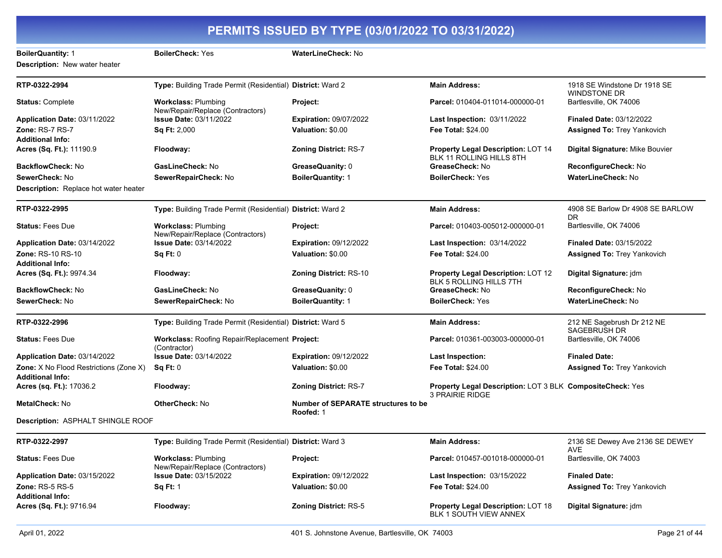| <b>BoilerQuantity: 1</b>                                                 | <b>BoilerCheck: Yes</b>                                        | <b>WaterLineCheck: No</b>                               |                                                                                     |                                                     |
|--------------------------------------------------------------------------|----------------------------------------------------------------|---------------------------------------------------------|-------------------------------------------------------------------------------------|-----------------------------------------------------|
| Description: New water heater                                            |                                                                |                                                         |                                                                                     |                                                     |
| RTP-0322-2994                                                            | Type: Building Trade Permit (Residential) District: Ward 2     |                                                         | <b>Main Address:</b>                                                                | 1918 SE Windstone Dr 1918 SE<br><b>WINDSTONE DR</b> |
| <b>Status: Complete</b>                                                  | <b>Workclass: Plumbing</b><br>New/Repair/Replace (Contractors) | <b>Project:</b>                                         | Parcel: 010404-011014-000000-01                                                     | Bartlesville, OK 74006                              |
| Application Date: 03/11/2022                                             | <b>Issue Date: 03/11/2022</b>                                  | <b>Expiration: 09/07/2022</b>                           | <b>Last Inspection: 03/11/2022</b>                                                  | <b>Finaled Date: 03/12/2022</b>                     |
| Zone: RS-7 RS-7                                                          | Sq Ft: 2,000                                                   | Valuation: \$0.00                                       | <b>Fee Total: \$24.00</b>                                                           | <b>Assigned To: Trey Yankovich</b>                  |
| <b>Additional Info:</b>                                                  |                                                                |                                                         |                                                                                     |                                                     |
| Acres (Sq. Ft.): 11190.9                                                 | Floodway:                                                      | <b>Zoning District: RS-7</b>                            | <b>Property Legal Description: LOT 14</b><br><b>BLK 11 ROLLING HILLS 8TH</b>        | Digital Signature: Mike Bouvier                     |
| <b>BackflowCheck: No</b>                                                 | <b>GasLineCheck: No</b>                                        | GreaseQuanity: 0                                        | GreaseCheck: No                                                                     | ReconfigureCheck: No                                |
| SewerCheck: No                                                           | SewerRepairCheck: No                                           | <b>BoilerQuantity: 1</b>                                | <b>BoilerCheck: Yes</b>                                                             | <b>WaterLineCheck: No</b>                           |
| <b>Description:</b> Replace hot water heater                             |                                                                |                                                         |                                                                                     |                                                     |
| RTP-0322-2995                                                            | Type: Building Trade Permit (Residential) District: Ward 2     |                                                         | <b>Main Address:</b>                                                                | 4908 SE Barlow Dr 4908 SE BARLOW<br>DR.             |
| <b>Status: Fees Due</b>                                                  | <b>Workclass: Plumbing</b><br>New/Repair/Replace (Contractors) | Project:                                                | Parcel: 010403-005012-000000-01                                                     | Bartlesville, OK 74006                              |
| Application Date: 03/14/2022                                             | <b>Issue Date: 03/14/2022</b>                                  | <b>Expiration: 09/12/2022</b>                           | <b>Last Inspection: 03/14/2022</b>                                                  | <b>Finaled Date: 03/15/2022</b>                     |
| <b>Zone: RS-10 RS-10</b>                                                 | Sq Ft: 0                                                       | Valuation: \$0.00                                       | <b>Fee Total: \$24.00</b>                                                           | <b>Assigned To: Trey Yankovich</b>                  |
| <b>Additional Info:</b>                                                  |                                                                |                                                         |                                                                                     |                                                     |
| Acres (Sq. Ft.): 9974.34                                                 | Floodway:                                                      | <b>Zoning District: RS-10</b>                           | <b>Property Legal Description: LOT 12</b><br><b>BLK 5 ROLLING HILLS 7TH</b>         | Digital Signature: jdm                              |
| BackflowCheck: No                                                        | GasLineCheck: No                                               | GreaseQuanity: 0                                        | GreaseCheck: No                                                                     | ReconfigureCheck: No                                |
| SewerCheck: No                                                           | SewerRepairCheck: No                                           | <b>BoilerQuantity: 1</b>                                | <b>BoilerCheck: Yes</b>                                                             | WaterLineCheck: No                                  |
| RTP-0322-2996                                                            | Type: Building Trade Permit (Residential) District: Ward 5     |                                                         | <b>Main Address:</b>                                                                | 212 NE Sagebrush Dr 212 NE<br>SAGEBRUSH DR          |
| <b>Status: Fees Due</b>                                                  | Workclass: Roofing Repair/Replacement Project:<br>(Contractor) |                                                         | Parcel: 010361-003003-000000-01                                                     | Bartlesville, OK 74006                              |
| Application Date: 03/14/2022                                             | <b>Issue Date: 03/14/2022</b>                                  | <b>Expiration: 09/12/2022</b>                           | <b>Last Inspection:</b>                                                             | <b>Finaled Date:</b>                                |
| <b>Zone:</b> X No Flood Restrictions (Zone X)<br><b>Additional Info:</b> | Sq Ft: 0                                                       | Valuation: \$0.00                                       | <b>Fee Total: \$24.00</b>                                                           | <b>Assigned To: Trey Yankovich</b>                  |
| Acres (sq. Ft.): 17036.2                                                 | Floodway:                                                      | <b>Zoning District: RS-7</b>                            | Property Legal Description: LOT 3 BLK CompositeCheck: Yes<br><b>3 PRAIRIE RIDGE</b> |                                                     |
| <b>MetalCheck: No</b>                                                    | <b>OtherCheck: No</b>                                          | <b>Number of SEPARATE structures to be</b><br>Roofed: 1 |                                                                                     |                                                     |
| Description: ASPHALT SHINGLE ROOF                                        |                                                                |                                                         |                                                                                     |                                                     |
| RTP-0322-2997                                                            | Type: Building Trade Permit (Residential) District: Ward 3     |                                                         | <b>Main Address:</b>                                                                | 2136 SE Dewey Ave 2136 SE DEWEY<br><b>AVE</b>       |
| <b>Status: Fees Due</b>                                                  | <b>Workclass: Plumbing</b><br>New/Repair/Replace (Contractors) | Project:                                                | Parcel: 010457-001018-000000-01                                                     | Bartlesville, OK 74003                              |
| Application Date: 03/15/2022                                             | <b>Issue Date: 03/15/2022</b>                                  | <b>Expiration: 09/12/2022</b>                           | <b>Last Inspection: 03/15/2022</b>                                                  | <b>Finaled Date:</b>                                |
| <b>Zone: RS-5 RS-5</b><br><b>Additional Info:</b>                        | <b>Sq Ft: 1</b>                                                | Valuation: \$0.00                                       | Fee Total: \$24.00                                                                  | <b>Assigned To: Trey Yankovich</b>                  |
| Acres (Sq. Ft.): 9716.94                                                 | Floodway:                                                      | <b>Zoning District: RS-5</b>                            | Property Legal Description: LOT 18<br>BLK 1 SOUTH VIEW ANNEX                        | Digital Signature: jdm                              |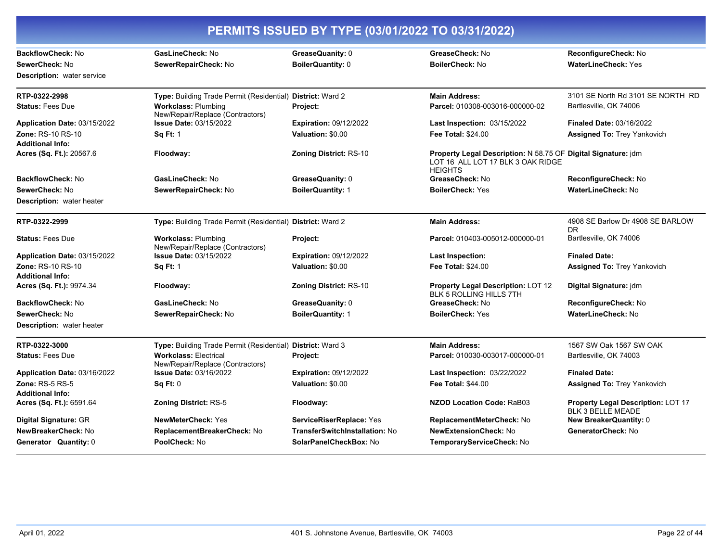| PERMITS ISSUED BY TYPE (03/01/2022 TO 03/31/2022) |                                                                  |                                |                                                                                                                      |                                                                |
|---------------------------------------------------|------------------------------------------------------------------|--------------------------------|----------------------------------------------------------------------------------------------------------------------|----------------------------------------------------------------|
| BackflowCheck: No                                 | GasLineCheck: No                                                 | GreaseQuanity: 0               | GreaseCheck: No                                                                                                      | ReconfigureCheck: No                                           |
| SewerCheck: No                                    | SewerRepairCheck: No                                             | <b>BoilerQuantity: 0</b>       | <b>BoilerCheck: No</b>                                                                                               | <b>WaterLineCheck: Yes</b>                                     |
| <b>Description:</b> water service                 |                                                                  |                                |                                                                                                                      |                                                                |
| RTP-0322-2998                                     | Type: Building Trade Permit (Residential) District: Ward 2       |                                | <b>Main Address:</b>                                                                                                 | 3101 SE North Rd 3101 SE NORTH RD                              |
| <b>Status: Fees Due</b>                           | <b>Workclass: Plumbing</b><br>New/Repair/Replace (Contractors)   | <b>Project:</b>                | Parcel: 010308-003016-000000-02                                                                                      | Bartlesville, OK 74006                                         |
| Application Date: 03/15/2022                      | <b>Issue Date: 03/15/2022</b>                                    | <b>Expiration: 09/12/2022</b>  | Last Inspection: 03/15/2022                                                                                          | <b>Finaled Date: 03/16/2022</b>                                |
| Zone: RS-10 RS-10<br><b>Additional Info:</b>      | <b>Sq Ft: 1</b>                                                  | Valuation: \$0.00              | <b>Fee Total: \$24.00</b>                                                                                            | <b>Assigned To: Trey Yankovich</b>                             |
| Acres (Sq. Ft.): 20567.6                          | Floodway:                                                        | Zoning District: RS-10         | Property Legal Description: N 58.75 OF Digital Signature: jdm<br>LOT 16 ALL LOT 17 BLK 3 OAK RIDGE<br><b>HEIGHTS</b> |                                                                |
| <b>BackflowCheck: No</b>                          | GasLineCheck: No                                                 | GreaseQuanity: 0               | GreaseCheck: No                                                                                                      | ReconfigureCheck: No                                           |
| SewerCheck: No                                    | SewerRepairCheck: No                                             | <b>BoilerQuantity: 1</b>       | <b>BoilerCheck: Yes</b>                                                                                              | WaterLineCheck: No                                             |
| <b>Description:</b> water heater                  |                                                                  |                                |                                                                                                                      |                                                                |
| RTP-0322-2999                                     | Type: Building Trade Permit (Residential) District: Ward 2       |                                | <b>Main Address:</b>                                                                                                 | 4908 SE Barlow Dr 4908 SE BARLOW<br>DR.                        |
| <b>Status: Fees Due</b>                           | <b>Workclass: Plumbing</b><br>New/Repair/Replace (Contractors)   | Project:                       | Parcel: 010403-005012-000000-01                                                                                      | Bartlesville, OK 74006                                         |
| Application Date: 03/15/2022                      | <b>Issue Date: 03/15/2022</b>                                    | <b>Expiration: 09/12/2022</b>  | Last Inspection:                                                                                                     | <b>Finaled Date:</b>                                           |
| Zone: RS-10 RS-10<br><b>Additional Info:</b>      | <b>Sq Ft: 1</b>                                                  | Valuation: \$0.00              | <b>Fee Total: \$24.00</b>                                                                                            | <b>Assigned To: Trey Yankovich</b>                             |
| Acres (Sq. Ft.): 9974.34                          | Floodway:                                                        | <b>Zoning District: RS-10</b>  | Property Legal Description: LOT 12<br><b>BLK 5 ROLLING HILLS 7TH</b>                                                 | Digital Signature: jdm                                         |
| <b>BackflowCheck: No</b>                          | GasLineCheck: No                                                 | GreaseQuanity: 0               | GreaseCheck: No                                                                                                      | ReconfigureCheck: No                                           |
| SewerCheck: No                                    | SewerRepairCheck: No                                             | <b>BoilerQuantity: 1</b>       | <b>BoilerCheck: Yes</b>                                                                                              | WaterLineCheck: No                                             |
| <b>Description:</b> water heater                  |                                                                  |                                |                                                                                                                      |                                                                |
| RTP-0322-3000                                     | Type: Building Trade Permit (Residential) District: Ward 3       |                                | <b>Main Address:</b>                                                                                                 | 1567 SW Oak 1567 SW OAK                                        |
| <b>Status: Fees Due</b>                           | <b>Workclass: Electrical</b><br>New/Repair/Replace (Contractors) | Project:                       | Parcel: 010030-003017-000000-01                                                                                      | Bartlesville, OK 74003                                         |
| Application Date: 03/16/2022                      | <b>Issue Date: 03/16/2022</b>                                    | <b>Expiration: 09/12/2022</b>  | <b>Last Inspection: 03/22/2022</b>                                                                                   | <b>Finaled Date:</b>                                           |
| <b>Zone: RS-5 RS-5</b><br><b>Additional Info:</b> | <b>Sq Ft: 0</b>                                                  | Valuation: \$0.00              | <b>Fee Total: \$44.00</b>                                                                                            | <b>Assigned To: Trey Yankovich</b>                             |
| Acres (Sq. Ft.): 6591.64                          | <b>Zoning District: RS-5</b>                                     | Floodway:                      | NZOD Location Code: RaB03                                                                                            | Property Legal Description: LOT 17<br><b>BLK 3 BELLE MEADE</b> |
| Digital Signature: GR                             | <b>NewMeterCheck: Yes</b>                                        | ServiceRiserReplace: Yes       | ReplacementMeterCheck: No                                                                                            | New BreakerQuantity: 0                                         |
| NewBreakerCheck: No                               | ReplacementBreakerCheck: No                                      | TransferSwitchInstallation: No | <b>NewExtensionCheck: No</b>                                                                                         | GeneratorCheck: No                                             |
| <b>Generator Quantity: 0</b>                      | PoolCheck: No                                                    | SolarPanelCheckBox: No         | TemporaryServiceCheck: No                                                                                            |                                                                |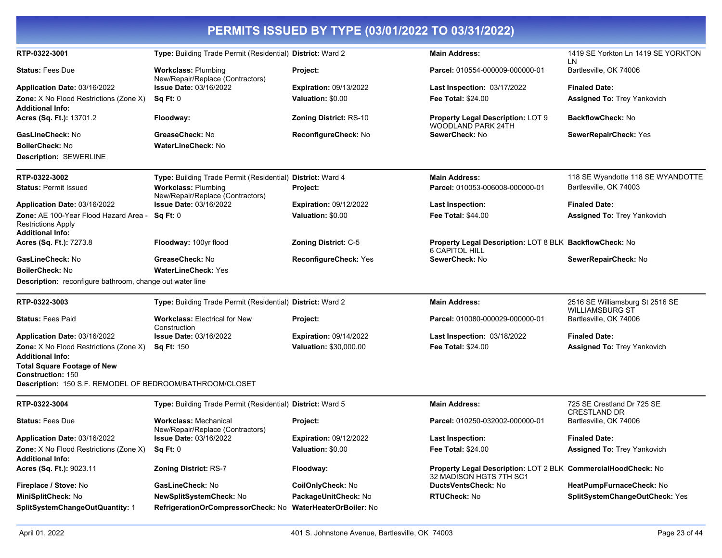| PERMITS ISSUED BY TYPE (03/01/2022 TO 03/31/2022)                                                                          |                                                                  |                               |                                                                                          |                                                           |
|----------------------------------------------------------------------------------------------------------------------------|------------------------------------------------------------------|-------------------------------|------------------------------------------------------------------------------------------|-----------------------------------------------------------|
| RTP-0322-3001                                                                                                              | Type: Building Trade Permit (Residential) District: Ward 2       |                               | <b>Main Address:</b>                                                                     | 1419 SE Yorkton Ln 1419 SE YORKTON<br>LN.                 |
| <b>Status: Fees Due</b>                                                                                                    | <b>Workclass: Plumbing</b><br>New/Repair/Replace (Contractors)   | Project:                      | Parcel: 010554-000009-000000-01                                                          | Bartlesville, OK 74006                                    |
| Application Date: 03/16/2022                                                                                               | <b>Issue Date: 03/16/2022</b>                                    | <b>Expiration: 09/13/2022</b> | Last Inspection: 03/17/2022                                                              | <b>Finaled Date:</b>                                      |
| Zone: X No Flood Restrictions (Zone X)<br><b>Additional Info:</b>                                                          | Sq Ft: 0                                                         | Valuation: \$0.00             | <b>Fee Total: \$24.00</b>                                                                | <b>Assigned To: Trey Yankovich</b>                        |
| Acres (Sq. Ft.): 13701.2                                                                                                   | Floodway:                                                        | <b>Zoning District: RS-10</b> | Property Legal Description: LOT 9<br>WOODLAND PARK 24TH                                  | <b>BackflowCheck: No</b>                                  |
| GasLineCheck: No                                                                                                           | GreaseCheck: No                                                  | ReconfigureCheck: No          | SewerCheck: No                                                                           | SewerRepairCheck: Yes                                     |
| <b>BoilerCheck: No</b>                                                                                                     | <b>WaterLineCheck: No</b>                                        |                               |                                                                                          |                                                           |
| <b>Description: SEWERLINE</b>                                                                                              |                                                                  |                               |                                                                                          |                                                           |
| RTP-0322-3002                                                                                                              | Type: Building Trade Permit (Residential) District: Ward 4       |                               | <b>Main Address:</b>                                                                     | 118 SE Wyandotte 118 SE WYANDOTTE                         |
| <b>Status: Permit Issued</b>                                                                                               | <b>Workclass: Plumbing</b><br>New/Repair/Replace (Contractors)   | Project:                      | Parcel: 010053-006008-000000-01                                                          | Bartlesville, OK 74003                                    |
| <b>Application Date: 03/16/2022</b>                                                                                        | <b>Issue Date: 03/16/2022</b>                                    | <b>Expiration: 09/12/2022</b> | <b>Last Inspection:</b>                                                                  | <b>Finaled Date:</b>                                      |
| Zone: AE 100-Year Flood Hazard Area -<br><b>Restrictions Apply</b><br><b>Additional Info:</b>                              | Sq Ft: 0                                                         | Valuation: \$0.00             | <b>Fee Total: \$44.00</b>                                                                | <b>Assigned To: Trey Yankovich</b>                        |
| Acres (Sq. Ft.): 7273.8                                                                                                    | Floodway: 100yr flood                                            | Zoning District: C-5          | Property Legal Description: LOT 8 BLK BackflowCheck: No<br><b>6 CAPITOL HILL</b>         |                                                           |
| GasLineCheck: No                                                                                                           | GreaseCheck: No                                                  | <b>ReconfigureCheck: Yes</b>  | SewerCheck: No                                                                           | SewerRepairCheck: No                                      |
| <b>BoilerCheck: No</b>                                                                                                     | <b>WaterLineCheck: Yes</b>                                       |                               |                                                                                          |                                                           |
| Description: reconfigure bathroom, change out water line                                                                   |                                                                  |                               |                                                                                          |                                                           |
| RTP-0322-3003                                                                                                              | Type: Building Trade Permit (Residential) District: Ward 2       |                               | <b>Main Address:</b>                                                                     | 2516 SE Williamsburg St 2516 SE<br><b>WILLIAMSBURG ST</b> |
| <b>Status: Fees Paid</b>                                                                                                   | <b>Workclass: Electrical for New</b><br>Construction             | Project:                      | Parcel: 010080-000029-000000-01                                                          | Bartlesville, OK 74006                                    |
| <b>Application Date: 03/16/2022</b>                                                                                        | <b>Issue Date: 03/16/2022</b>                                    | <b>Expiration: 09/14/2022</b> | Last Inspection: 03/18/2022                                                              | <b>Finaled Date:</b>                                      |
| Zone: X No Flood Restrictions (Zone X)                                                                                     | <b>Sq Ft: 150</b>                                                | Valuation: \$30,000.00        | <b>Fee Total: \$24.00</b>                                                                | <b>Assigned To: Trey Yankovich</b>                        |
| <b>Additional Info:</b>                                                                                                    |                                                                  |                               |                                                                                          |                                                           |
| <b>Total Square Footage of New</b><br><b>Construction: 150</b><br>Description: 150 S.F. REMODEL OF BEDROOM/BATHROOM/CLOSET |                                                                  |                               |                                                                                          |                                                           |
| RTP-0322-3004                                                                                                              | Type: Building Trade Permit (Residential) District: Ward 5       |                               | <b>Main Address:</b>                                                                     | 725 SE Crestland Dr 725 SE                                |
| <b>Status: Fees Due</b>                                                                                                    | <b>Workclass: Mechanical</b><br>New/Repair/Replace (Contractors) | Project:                      | Parcel: 010250-032002-000000-01                                                          | <b>CRESTLAND DR</b><br>Bartlesville, OK 74006             |
| Application Date: 03/16/2022                                                                                               | <b>Issue Date: 03/16/2022</b>                                    | <b>Expiration: 09/12/2022</b> | <b>Last Inspection:</b>                                                                  | <b>Finaled Date:</b>                                      |
| Zone: X No Flood Restrictions (Zone X)<br><b>Additional Info:</b>                                                          | Sq Ft: 0                                                         | Valuation: \$0.00             | Fee Total: \$24.00                                                                       | Assigned To: Trey Yankovich                               |
| Acres (Sq. Ft.): 9023.11                                                                                                   | <b>Zoning District: RS-7</b>                                     | Floodway:                     | Property Legal Description: LOT 2 BLK CommercialHoodCheck: No<br>32 MADISON HGTS 7TH SC1 |                                                           |
| Fireplace / Stove: No                                                                                                      | GasLineCheck: No                                                 | CoilOnlyCheck: No             | DuctsVentsCheck: No                                                                      | HeatPumpFurnaceCheck: No                                  |
| MiniSplitCheck: No                                                                                                         | NewSplitSystemCheck: No                                          | PackageUnitCheck: No          | RTUCheck: No                                                                             | SplitSystemChangeOutCheck: Yes                            |
| SplitSystemChangeOutQuantity: 1                                                                                            | RefrigerationOrCompressorCheck: No WaterHeaterOrBoiler: No       |                               |                                                                                          |                                                           |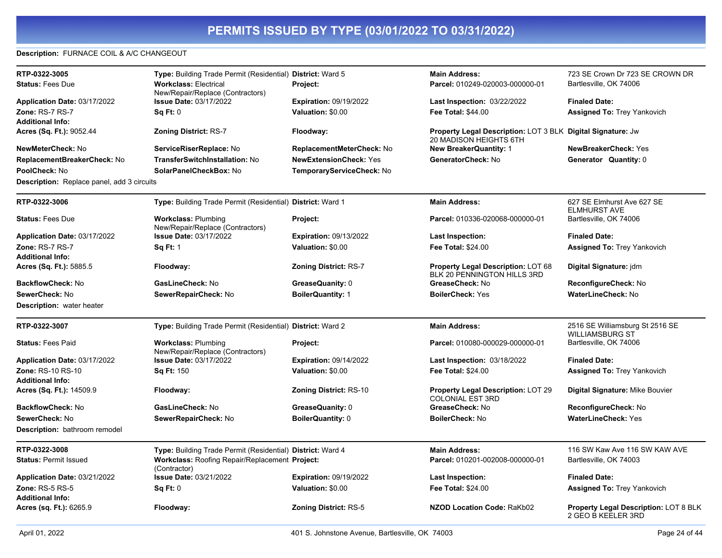### **Description:** FURNACE COIL & A/C CHANGEOUT

| RTP-0322-3005                                     | Type: Building Trade Permit (Residential) District: Ward 5       |                               | <b>Main Address:</b>                                                                   | 723 SE Crown Dr 723 SE CROWN DR                   |
|---------------------------------------------------|------------------------------------------------------------------|-------------------------------|----------------------------------------------------------------------------------------|---------------------------------------------------|
| <b>Status: Fees Due</b>                           | <b>Workclass: Electrical</b><br>New/Repair/Replace (Contractors) | Project:                      | Parcel: 010249-020003-000000-01                                                        | Bartlesville, OK 74006                            |
| <b>Application Date: 03/17/2022</b>               | <b>Issue Date: 03/17/2022</b>                                    | <b>Expiration: 09/19/2022</b> | <b>Last Inspection: 03/22/2022</b>                                                     | <b>Finaled Date:</b>                              |
| Zone: RS-7 RS-7                                   | Sq Ft: 0                                                         | Valuation: \$0.00             | <b>Fee Total: \$44.00</b>                                                              | <b>Assigned To: Trey Yankovich</b>                |
| <b>Additional Info:</b>                           |                                                                  |                               |                                                                                        |                                                   |
| Acres (Sq. Ft.): 9052.44                          | <b>Zoning District: RS-7</b>                                     | Floodway:                     | Property Legal Description: LOT 3 BLK  Digital Signature: Jw<br>20 MADISON HEIGHTS 6TH |                                                   |
| NewMeterCheck: No                                 | ServiceRiserReplace: No                                          | ReplacementMeterCheck: No     | <b>New BreakerQuantity: 1</b>                                                          | <b>NewBreakerCheck: Yes</b>                       |
| ReplacementBreakerCheck: No                       | <b>TransferSwitchInstallation: No</b>                            | <b>NewExtensionCheck: Yes</b> | GeneratorCheck: No                                                                     | Generator Quantity: 0                             |
| PoolCheck: No                                     | SolarPanelCheckBox: No                                           | TemporaryServiceCheck: No     |                                                                                        |                                                   |
| <b>Description:</b> Replace panel, add 3 circuits |                                                                  |                               |                                                                                        |                                                   |
| RTP-0322-3006                                     | Type: Building Trade Permit (Residential) District: Ward 1       |                               | <b>Main Address:</b>                                                                   | 627 SE Elmhurst Ave 627 SE<br><b>ELMHURST AVE</b> |
| <b>Status: Fees Due</b>                           | <b>Workclass: Plumbing</b><br>New/Repair/Replace (Contractors)   | Project:                      | Parcel: 010336-020068-000000-01                                                        | Bartlesville, OK 74006                            |
| Application Date: 03/17/2022                      | <b>Issue Date: 03/17/2022</b>                                    | <b>Expiration: 09/13/2022</b> | <b>Last Inspection:</b>                                                                | <b>Finaled Date:</b>                              |
| Zone: RS-7 RS-7                                   | <b>Sq Ft: 1</b>                                                  | Valuation: \$0.00             | Fee Total: \$24.00                                                                     | <b>Assigned To: Trey Yankovich</b>                |
| <b>Additional Info:</b>                           |                                                                  |                               |                                                                                        |                                                   |
| Acres (Sq. Ft.): 5885.5                           | Floodway:                                                        | <b>Zoning District: RS-7</b>  | <b>Property Legal Description: LOT 68</b><br>BLK 20 PENNINGTON HILLS 3RD               | Digital Signature: jdm                            |
| BackflowCheck: No                                 | GasLineCheck: No                                                 | GreaseQuanity: 0              | GreaseCheck: No                                                                        | ReconfigureCheck: No                              |
| SewerCheck: No                                    | SewerRepairCheck: No                                             | <b>BoilerQuantity: 1</b>      | <b>BoilerCheck: Yes</b>                                                                | <b>WaterLineCheck: No</b>                         |
| <b>Description:</b> water heater                  |                                                                  |                               |                                                                                        |                                                   |
| RTP-0322-3007                                     | Type: Building Trade Permit (Residential) District: Ward 2       |                               | <b>Main Address:</b>                                                                   | 2516 SE Williamsburg St 2516 SE                   |
|                                                   |                                                                  |                               |                                                                                        | <b>WILLIAMSBURG ST</b>                            |
| <b>Status: Fees Paid</b>                          | <b>Workclass: Plumbing</b><br>New/Repair/Replace (Contractors)   | Project:                      | Parcel: 010080-000029-000000-01                                                        | Bartlesville, OK 74006                            |
| Application Date: 03/17/2022                      | Issue Date: 03/17/2022                                           | <b>Expiration: 09/14/2022</b> | <b>Last Inspection: 03/18/2022</b>                                                     | <b>Finaled Date:</b>                              |
| Zone: RS-10 RS-10                                 | <b>Sq Ft: 150</b>                                                | Valuation: \$0.00             | <b>Fee Total: \$24.00</b>                                                              | <b>Assigned To: Trey Yankovich</b>                |
| <b>Additional Info:</b>                           |                                                                  |                               |                                                                                        |                                                   |
| Acres (Sq. Ft.): 14509.9                          | Floodway:                                                        | <b>Zoning District: RS-10</b> | <b>Property Legal Description: LOT 29</b><br><b>COLONIAL EST 3RD</b>                   | Digital Signature: Mike Bouvier                   |
| <b>BackflowCheck: No</b>                          | GasLineCheck: No                                                 | GreaseQuanity: 0              | GreaseCheck: No                                                                        | ReconfigureCheck: No                              |
| SewerCheck: No                                    | SewerRepairCheck: No                                             | BoilerQuantity: 0             | BoilerCheck: No                                                                        | <b>WaterLineCheck: Yes</b>                        |
| <b>Description:</b> bathroom remodel              |                                                                  |                               |                                                                                        |                                                   |
| RTP-0322-3008                                     | Type: Building Trade Permit (Residential) District: Ward 4       |                               | <b>Main Address:</b>                                                                   | 116 SW Kaw Ave 116 SW KAW AVE                     |
| <b>Status: Permit Issued</b>                      | Workclass: Roofing Repair/Replacement Project:<br>(Contractor)   |                               | Parcel: 010201-002008-000000-01                                                        | Bartlesville, OK 74003                            |
| Application Date: 03/21/2022                      | <b>Issue Date: 03/21/2022</b>                                    | <b>Expiration: 09/19/2022</b> | <b>Last Inspection:</b>                                                                | <b>Finaled Date:</b>                              |
| <b>Zone: RS-5 RS-5</b><br>Additional Info:        | Sq Ft: 0                                                         | Valuation: \$0.00             | <b>Fee Total: \$24.00</b>                                                              | <b>Assigned To: Trey Yankovich</b>                |
| <b>Acres (sq. Ft.):</b> 6265.9                    | Floodway:                                                        | <b>Zoning District: RS-5</b>  | <b>NZOD Location Code: RaKb02</b>                                                      | Property Legal Description: LOT 8 BLK             |
|                                                   |                                                                  |                               |                                                                                        | 2 GEO B KEELER 3RD                                |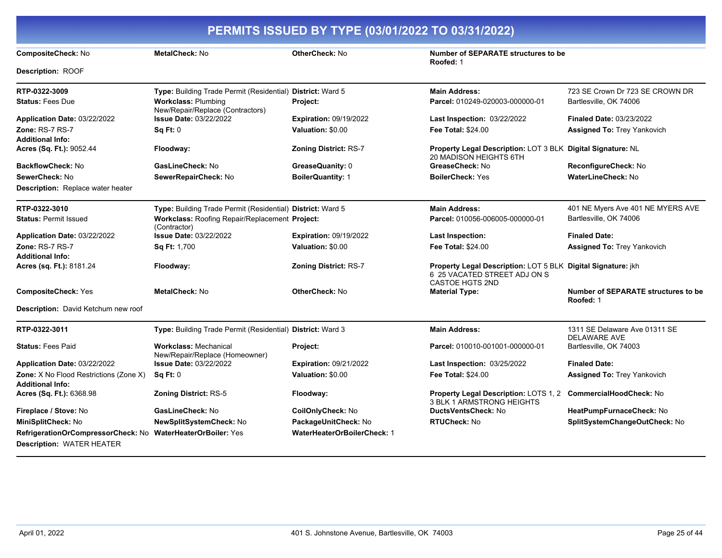| PERMITS ISSUED BY TYPE (03/01/2022 TO 03/31/2022)                                               |                                                                |                                    |                                                                                                                               |                                                      |
|-------------------------------------------------------------------------------------------------|----------------------------------------------------------------|------------------------------------|-------------------------------------------------------------------------------------------------------------------------------|------------------------------------------------------|
| <b>CompositeCheck: No</b>                                                                       | <b>MetalCheck: No</b>                                          | <b>OtherCheck: No</b>              | Number of SEPARATE structures to be<br>Roofed: 1                                                                              |                                                      |
| <b>Description: ROOF</b>                                                                        |                                                                |                                    |                                                                                                                               |                                                      |
| RTP-0322-3009                                                                                   | Type: Building Trade Permit (Residential) District: Ward 5     |                                    | <b>Main Address:</b>                                                                                                          | 723 SE Crown Dr 723 SE CROWN DR                      |
| <b>Status: Fees Due</b>                                                                         | <b>Workclass: Plumbing</b><br>New/Repair/Replace (Contractors) | Project:                           | Parcel: 010249-020003-000000-01                                                                                               | Bartlesville, OK 74006                               |
| Application Date: 03/22/2022                                                                    | <b>Issue Date: 03/22/2022</b>                                  | <b>Expiration: 09/19/2022</b>      | <b>Last Inspection: 03/22/2022</b>                                                                                            | <b>Finaled Date: 03/23/2022</b>                      |
| Zone: RS-7 RS-7<br><b>Additional Info:</b>                                                      | Sq Ft: 0                                                       | Valuation: \$0.00                  | <b>Fee Total: \$24.00</b>                                                                                                     | <b>Assigned To: Trey Yankovich</b>                   |
| Acres (Sq. Ft.): 9052.44                                                                        | Floodway:                                                      | Zoning District: RS-7              | <b>Property Legal Description: LOT 3 BLK Digital Signature: NL</b><br>20 MADISON HEIGHTS 6TH                                  |                                                      |
| BackflowCheck: No                                                                               | GasLineCheck: No                                               | GreaseQuanity: 0                   | GreaseCheck: No                                                                                                               | ReconfigureCheck: No                                 |
| SewerCheck: No                                                                                  | SewerRepairCheck: No                                           | <b>BoilerQuantity: 1</b>           | <b>BoilerCheck: Yes</b>                                                                                                       | <b>WaterLineCheck: No</b>                            |
| <b>Description:</b> Replace water heater                                                        |                                                                |                                    |                                                                                                                               |                                                      |
| RTP-0322-3010                                                                                   | Type: Building Trade Permit (Residential) District: Ward 5     |                                    | <b>Main Address:</b>                                                                                                          | 401 NE Myers Ave 401 NE MYERS AVE                    |
| <b>Status: Permit Issued</b>                                                                    | Workclass: Roofing Repair/Replacement Project:<br>(Contractor) |                                    | Parcel: 010056-006005-000000-01                                                                                               | Bartlesville, OK 74006                               |
| Application Date: 03/22/2022                                                                    | Issue Date: 03/22/2022                                         | <b>Expiration: 09/19/2022</b>      | <b>Last Inspection:</b>                                                                                                       | <b>Finaled Date:</b>                                 |
| Zone: RS-7 RS-7                                                                                 | Sq Ft: 1,700                                                   | Valuation: \$0.00                  | <b>Fee Total: \$24.00</b>                                                                                                     | <b>Assigned To: Trey Yankovich</b>                   |
| <b>Additional Info:</b>                                                                         |                                                                |                                    |                                                                                                                               |                                                      |
| Acres (sq. Ft.): 8181.24                                                                        | Floodway:                                                      | Zoning District: RS-7              | <b>Property Legal Description: LOT 5 BLK Digital Signature: jkh</b><br>6 25 VACATED STREET ADJ ON S<br><b>CASTOE HGTS 2ND</b> |                                                      |
| <b>CompositeCheck: Yes</b>                                                                      | MetalCheck: No                                                 | OtherCheck: No                     | <b>Material Type:</b>                                                                                                         | Number of SEPARATE structures to be<br>Roofed: 1     |
| Description: David Ketchum new roof                                                             |                                                                |                                    |                                                                                                                               |                                                      |
| RTP-0322-3011                                                                                   | Type: Building Trade Permit (Residential) District: Ward 3     |                                    | <b>Main Address:</b>                                                                                                          | 1311 SE Delaware Ave 01311 SE<br><b>DELAWARE AVE</b> |
| <b>Status: Fees Paid</b>                                                                        | <b>Workclass: Mechanical</b><br>New/Repair/Replace (Homeowner) | Project:                           | Parcel: 010010-001001-000000-01                                                                                               | Bartlesville, OK 74003                               |
| Application Date: 03/22/2022                                                                    | <b>Issue Date: 03/22/2022</b>                                  | <b>Expiration: 09/21/2022</b>      | <b>Last Inspection: 03/25/2022</b>                                                                                            | <b>Finaled Date:</b>                                 |
| Zone: X No Flood Restrictions (Zone X)<br><b>Additional Info:</b>                               | Sq Ft: 0                                                       | Valuation: \$0.00                  | <b>Fee Total: \$24.00</b>                                                                                                     | <b>Assigned To: Trey Yankovich</b>                   |
| Acres (Sq. Ft.): 6368.98                                                                        | <b>Zoning District: RS-5</b>                                   | Floodway:                          | Property Legal Description: LOTS 1, 2<br>3 BLK 1 ARMSTRONG HEIGHTS                                                            | <b>CommercialHoodCheck: No</b>                       |
| Fireplace / Stove: No                                                                           | GasLineCheck: No                                               | CoilOnlyCheck: No                  | DuctsVentsCheck: No                                                                                                           | HeatPumpFurnaceCheck: No                             |
| MiniSplitCheck: No                                                                              | <b>NewSplitSystemCheck: No</b>                                 | PackageUnitCheck: No               | <b>RTUCheck: No</b>                                                                                                           | SplitSystemChangeOutCheck: No                        |
| RefrigerationOrCompressorCheck: No WaterHeaterOrBoiler: Yes<br><b>Description: WATER HEATER</b> |                                                                | <b>WaterHeaterOrBoilerCheck: 1</b> |                                                                                                                               |                                                      |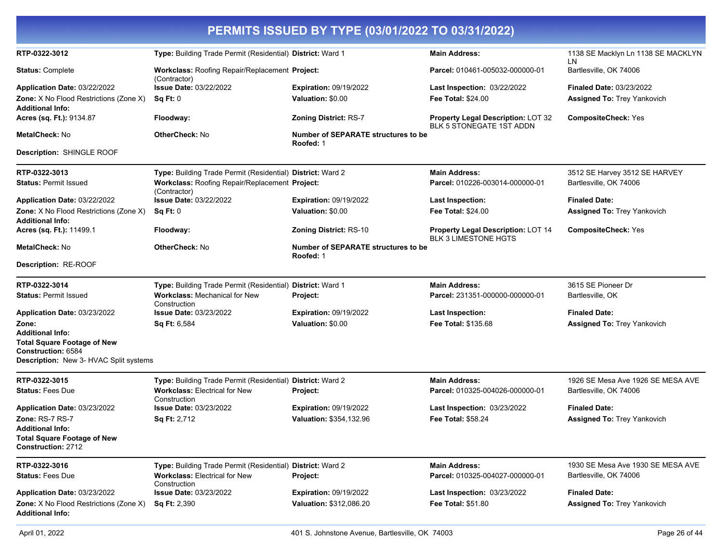|                                                                                                                                 |                                                                                                                              | PERMITS ISSUED BY TYPE (03/01/2022 TO 03/31/2022)  |                                                                          |                                                                       |
|---------------------------------------------------------------------------------------------------------------------------------|------------------------------------------------------------------------------------------------------------------------------|----------------------------------------------------|--------------------------------------------------------------------------|-----------------------------------------------------------------------|
| RTP-0322-3012                                                                                                                   | Type: Building Trade Permit (Residential) District: Ward 1                                                                   |                                                    | <b>Main Address:</b>                                                     | 1138 SE Macklyn Ln 1138 SE MACKLYN                                    |
| <b>Status: Complete</b>                                                                                                         | Workclass: Roofing Repair/Replacement Project:                                                                               |                                                    | Parcel: 010461-005032-000000-01                                          | LN<br>Bartlesville, OK 74006                                          |
| Application Date: 03/22/2022<br><b>Zone:</b> X No Flood Restrictions (Zone X)                                                   | (Contractor)<br><b>Issue Date: 03/22/2022</b><br>Sq Ft: 0                                                                    | <b>Expiration: 09/19/2022</b><br>Valuation: \$0.00 | Last Inspection: 03/22/2022<br><b>Fee Total: \$24.00</b>                 | <b>Finaled Date: 03/23/2022</b><br><b>Assigned To: Trey Yankovich</b> |
| <b>Additional Info:</b><br>Acres (sq. Ft.): 9134.87                                                                             | Floodway:                                                                                                                    | <b>Zoning District: RS-7</b>                       | Property Legal Description: LOT 32                                       | <b>CompositeCheck: Yes</b>                                            |
| MetalCheck: No                                                                                                                  | <b>OtherCheck: No</b>                                                                                                        | Number of SEPARATE structures to be                | BLK 5 STONEGATE 1ST ADDN                                                 |                                                                       |
| Description: SHINGLE ROOF                                                                                                       |                                                                                                                              | Roofed: 1                                          |                                                                          |                                                                       |
| RTP-0322-3013<br><b>Status: Permit Issued</b>                                                                                   | Type: Building Trade Permit (Residential) District: Ward 2<br>Workclass: Roofing Repair/Replacement Project:<br>(Contractor) |                                                    | <b>Main Address:</b><br>Parcel: 010226-003014-000000-01                  | 3512 SE Harvey 3512 SE HARVEY<br>Bartlesville, OK 74006               |
| Application Date: 03/22/2022                                                                                                    | <b>Issue Date: 03/22/2022</b>                                                                                                | <b>Expiration: 09/19/2022</b>                      | <b>Last Inspection:</b>                                                  | <b>Finaled Date:</b>                                                  |
| Zone: X No Flood Restrictions (Zone X)<br>Additional Info:                                                                      | Sq Ft: 0                                                                                                                     | Valuation: \$0.00                                  | <b>Fee Total: \$24.00</b>                                                | <b>Assigned To: Trey Yankovich</b>                                    |
| Acres (sq. Ft.): 11499.1                                                                                                        | Floodway:                                                                                                                    | <b>Zoning District: RS-10</b>                      | <b>Property Legal Description: LOT 14</b><br><b>BLK 3 LIMESTONE HGTS</b> | <b>CompositeCheck: Yes</b>                                            |
| <b>MetalCheck: No</b>                                                                                                           | <b>OtherCheck: No</b>                                                                                                        | Number of SEPARATE structures to be<br>Roofed: 1   |                                                                          |                                                                       |
| Description: RE-ROOF                                                                                                            |                                                                                                                              |                                                    |                                                                          |                                                                       |
| RTP-0322-3014                                                                                                                   | Type: Building Trade Permit (Residential) District: Ward 1                                                                   |                                                    | <b>Main Address:</b>                                                     | 3615 SE Pioneer Dr                                                    |
| <b>Status: Permit Issued</b>                                                                                                    | Workclass: Mechanical for New<br>Construction                                                                                | Project:                                           | Parcel: 231351-000000-000000-01                                          | Bartlesville, OK                                                      |
| Application Date: 03/23/2022                                                                                                    | <b>Issue Date: 03/23/2022</b>                                                                                                | <b>Expiration: 09/19/2022</b>                      | <b>Last Inspection:</b>                                                  | <b>Finaled Date:</b>                                                  |
| Zone:<br>Additional Info:<br><b>Total Square Footage of New</b><br>Construction: 6584<br>Description: New 3- HVAC Split systems | <b>Sq Ft: 6,584</b>                                                                                                          | Valuation: \$0.00                                  | Fee Total: \$135.68                                                      | Assigned To: Trey Yankovich                                           |
| RTP-0322-3015                                                                                                                   | Type: Building Trade Permit (Residential) District: Ward 2                                                                   |                                                    | <b>Main Address:</b>                                                     | 1926 SE Mesa Ave 1926 SE MESA AVE                                     |
| <b>Status: Fees Due</b>                                                                                                         | <b>Workclass: Electrical for New</b><br>Construction                                                                         | Project:                                           | Parcel: 010325-004026-000000-01                                          | Bartlesville, OK 74006                                                |
| Application Date: 03/23/2022                                                                                                    | <b>Issue Date: 03/23/2022</b>                                                                                                | <b>Expiration: 09/19/2022</b>                      | Last Inspection: 03/23/2022                                              | <b>Finaled Date:</b>                                                  |
| Zone: RS-7 RS-7                                                                                                                 | Sq Ft: 2,712                                                                                                                 | Valuation: \$354,132.96                            | <b>Fee Total: \$58.24</b>                                                | <b>Assigned To: Trey Yankovich</b>                                    |
| Additional Info:<br><b>Total Square Footage of New</b><br><b>Construction: 2712</b>                                             |                                                                                                                              |                                                    |                                                                          |                                                                       |
| RTP-0322-3016                                                                                                                   | Type: Building Trade Permit (Residential) District: Ward 2                                                                   |                                                    | <b>Main Address:</b>                                                     | 1930 SE Mesa Ave 1930 SE MESA AVE                                     |
| <b>Status: Fees Due</b>                                                                                                         | <b>Workclass: Electrical for New</b><br>Construction                                                                         | Project:                                           | Parcel: 010325-004027-000000-01                                          | Bartlesville, OK 74006                                                |
| Application Date: 03/23/2022                                                                                                    | <b>Issue Date: 03/23/2022</b>                                                                                                | <b>Expiration: 09/19/2022</b>                      | Last Inspection: 03/23/2022                                              | <b>Finaled Date:</b>                                                  |
| Zone: X No Flood Restrictions (Zone X)<br><b>Additional Info:</b>                                                               | <b>Sq Ft: 2,390</b>                                                                                                          | Valuation: \$312,086.20                            | <b>Fee Total: \$51.80</b>                                                | <b>Assigned To: Trey Yankovich</b>                                    |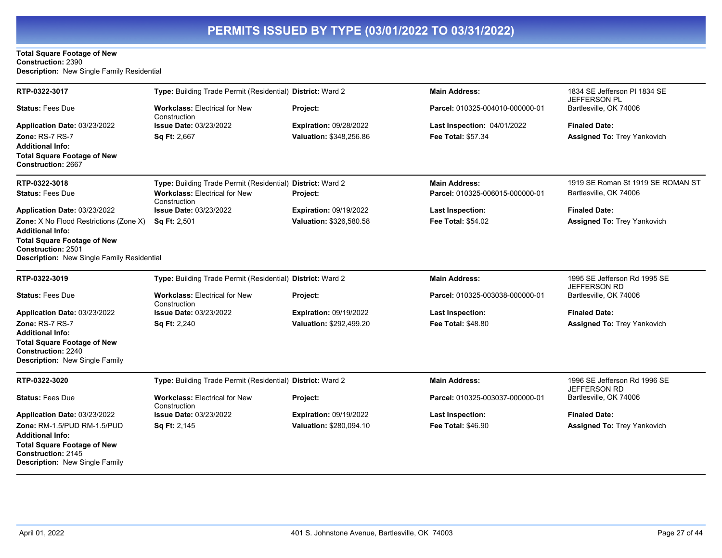#### **Total Square Footage of New Construction:** 2390 **Description:** New Single Family Residential

| RTP-0322-3017                                                                                                 | Type: Building Trade Permit (Residential) District: Ward 2 |                               | <b>Main Address:</b>            | 1834 SE Jefferson PI 1834 SE                  |
|---------------------------------------------------------------------------------------------------------------|------------------------------------------------------------|-------------------------------|---------------------------------|-----------------------------------------------|
| <b>Status: Fees Due</b>                                                                                       | <b>Workclass: Electrical for New</b><br>Construction       | Project:                      | Parcel: 010325-004010-000000-01 | JEFFERSON PL<br>Bartlesville, OK 74006        |
| Application Date: 03/23/2022                                                                                  | <b>Issue Date: 03/23/2022</b>                              | Expiration: 09/28/2022        | Last Inspection: 04/01/2022     | <b>Finaled Date:</b>                          |
| <b>Zone: RS-7 RS-7</b>                                                                                        | Sq Ft: 2,667                                               | Valuation: \$348.256.86       | <b>Fee Total: \$57.34</b>       | <b>Assigned To: Trey Yankovich</b>            |
| <b>Additional Info:</b>                                                                                       |                                                            |                               |                                 |                                               |
| <b>Total Square Footage of New</b><br><b>Construction: 2667</b>                                               |                                                            |                               |                                 |                                               |
| RTP-0322-3018                                                                                                 | Type: Building Trade Permit (Residential) District: Ward 2 |                               | <b>Main Address:</b>            | 1919 SE Roman St 1919 SE ROMAN ST             |
| <b>Status: Fees Due</b>                                                                                       | <b>Workclass: Electrical for New</b><br>Construction       | Project:                      | Parcel: 010325-006015-000000-01 | Bartlesville, OK 74006                        |
| Application Date: 03/23/2022                                                                                  | <b>Issue Date: 03/23/2022</b>                              | <b>Expiration: 09/19/2022</b> | <b>Last Inspection:</b>         | <b>Finaled Date:</b>                          |
| Zone: X No Flood Restrictions (Zone X)                                                                        | Sq Ft: 2,501                                               | Valuation: \$326,580.58       | <b>Fee Total: \$54.02</b>       | <b>Assigned To: Trey Yankovich</b>            |
| Additional Info:                                                                                              |                                                            |                               |                                 |                                               |
| <b>Total Square Footage of New</b><br><b>Construction: 2501</b><br>Description: New Single Family Residential |                                                            |                               |                                 |                                               |
|                                                                                                               |                                                            |                               |                                 |                                               |
| RTP-0322-3019                                                                                                 | Type: Building Trade Permit (Residential) District: Ward 2 |                               | <b>Main Address:</b>            | 1995 SE Jefferson Rd 1995 SE<br>JEFFERSON RD  |
| <b>Status: Fees Due</b>                                                                                       | <b>Workclass: Electrical for New</b><br>Construction       | Project:                      | Parcel: 010325-003038-000000-01 | Bartlesville, OK 74006                        |
| Application Date: 03/23/2022                                                                                  | <b>Issue Date: 03/23/2022</b>                              | <b>Expiration: 09/19/2022</b> | <b>Last Inspection:</b>         | <b>Finaled Date:</b>                          |
| Zone: RS-7 RS-7                                                                                               | Sq Ft: 2,240                                               | Valuation: \$292,499.20       | <b>Fee Total: \$48.80</b>       | <b>Assigned To: Trey Yankovich</b>            |
| <b>Additional Info:</b>                                                                                       |                                                            |                               |                                 |                                               |
| <b>Total Square Footage of New</b><br><b>Construction: 2240</b>                                               |                                                            |                               |                                 |                                               |
| <b>Description: New Single Family</b>                                                                         |                                                            |                               |                                 |                                               |
| RTP-0322-3020                                                                                                 | Type: Building Trade Permit (Residential) District: Ward 2 |                               | <b>Main Address:</b>            | 1996 SE Jefferson Rd 1996 SE                  |
| <b>Status: Fees Due</b>                                                                                       | <b>Workclass: Electrical for New</b><br>Construction       | Project:                      | Parcel: 010325-003037-000000-01 | <b>JEFFERSON RD</b><br>Bartlesville, OK 74006 |
| Application Date: 03/23/2022                                                                                  | <b>Issue Date: 03/23/2022</b>                              | Expiration: 09/19/2022        | <b>Last Inspection:</b>         | <b>Finaled Date:</b>                          |
| Zone: RM-1.5/PUD RM-1.5/PUD                                                                                   | Sq Ft: 2,145                                               | Valuation: \$280,094.10       | <b>Fee Total: \$46.90</b>       | <b>Assigned To: Trey Yankovich</b>            |
| <b>Additional Info:</b>                                                                                       |                                                            |                               |                                 |                                               |
| <b>Total Square Footage of New</b><br>Construction: 2145<br>Description: New Single Family                    |                                                            |                               |                                 |                                               |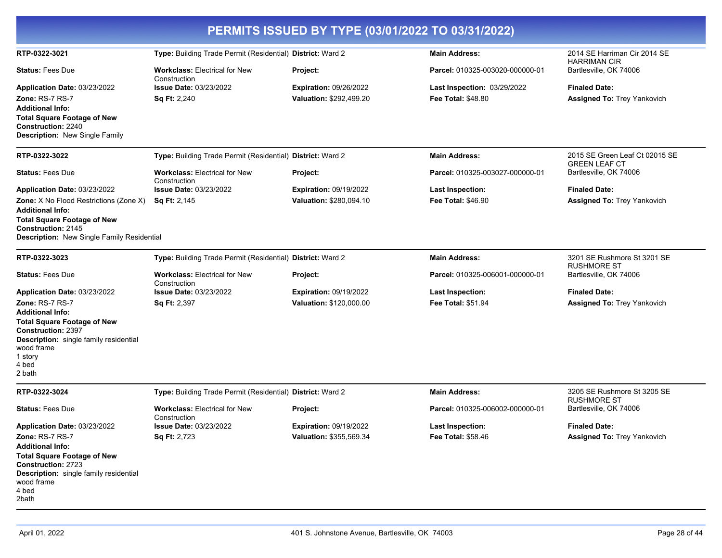| PERMITS ISSUED BY TYPE (03/01/2022 TO 03/31/2022)                                                                                                                                                                                   |                                                               |                                                          |                                                          |                                                            |
|-------------------------------------------------------------------------------------------------------------------------------------------------------------------------------------------------------------------------------------|---------------------------------------------------------------|----------------------------------------------------------|----------------------------------------------------------|------------------------------------------------------------|
| RTP-0322-3021                                                                                                                                                                                                                       | Type: Building Trade Permit (Residential) District: Ward 2    |                                                          | <b>Main Address:</b>                                     | 2014 SE Harriman Cir 2014 SE                               |
| <b>Status: Fees Due</b>                                                                                                                                                                                                             | <b>Workclass: Electrical for New</b>                          | Project:                                                 | Parcel: 010325-003020-000000-01                          | <b>HARRIMAN CIR</b><br>Bartlesville, OK 74006              |
| Application Date: 03/23/2022<br>Zone: RS-7 RS-7<br><b>Additional Info:</b><br><b>Total Square Footage of New</b><br><b>Construction: 2240</b><br>Description: New Single Family                                                     | Construction<br><b>Issue Date: 03/23/2022</b><br>Sq Ft: 2,240 | Expiration: 09/26/2022<br>Valuation: \$292,499.20        | Last Inspection: 03/29/2022<br><b>Fee Total: \$48.80</b> | <b>Finaled Date:</b><br>Assigned To: Trey Yankovich        |
| RTP-0322-3022                                                                                                                                                                                                                       | Type: Building Trade Permit (Residential) District: Ward 2    |                                                          | <b>Main Address:</b>                                     | 2015 SE Green Leaf Ct 02015 SE<br><b>GREEN LEAF CT</b>     |
| <b>Status: Fees Due</b>                                                                                                                                                                                                             | <b>Workclass: Electrical for New</b><br>Construction          | Project:                                                 | Parcel: 010325-003027-000000-01                          | Bartlesville, OK 74006                                     |
| Application Date: 03/23/2022<br><b>Zone:</b> X No Flood Restrictions (Zone X)<br><b>Additional Info:</b><br><b>Total Square Footage of New</b><br>Construction: 2145<br><b>Description:</b> New Single Family Residential           | <b>Issue Date: 03/23/2022</b><br><b>Sq Ft: 2,145</b>          | <b>Expiration: 09/19/2022</b><br>Valuation: \$280,094.10 | <b>Last Inspection:</b><br><b>Fee Total: \$46.90</b>     | <b>Finaled Date:</b><br><b>Assigned To: Trey Yankovich</b> |
| RTP-0322-3023                                                                                                                                                                                                                       | Type: Building Trade Permit (Residential) District: Ward 2    |                                                          | <b>Main Address:</b>                                     | 3201 SE Rushmore St 3201 SE                                |
| <b>Status: Fees Due</b>                                                                                                                                                                                                             | <b>Workclass: Electrical for New</b><br>Construction          | Project:                                                 | Parcel: 010325-006001-000000-01                          | <b>RUSHMORE ST</b><br>Bartlesville, OK 74006               |
| Application Date: 03/23/2022<br>Zone: RS-7 RS-7<br><b>Additional Info:</b><br><b>Total Square Footage of New</b><br><b>Construction: 2397</b><br>Description: single family residential<br>wood frame<br>1 story<br>4 bed<br>2 bath | <b>Issue Date: 03/23/2022</b><br><b>Sq Ft: 2,397</b>          | <b>Expiration: 09/19/2022</b><br>Valuation: \$120,000.00 | <b>Last Inspection:</b><br>Fee Total: \$51.94            | <b>Finaled Date:</b><br>Assigned To: Trey Yankovich        |
| RTP-0322-3024                                                                                                                                                                                                                       | Type: Building Trade Permit (Residential) District: Ward 2    |                                                          | <b>Main Address:</b>                                     | 3205 SE Rushmore St 3205 SE                                |
| <b>Status:</b> Fees Due                                                                                                                                                                                                             | <b>Workclass: Electrical for New</b>                          | <b>Project:</b>                                          | Parcel: 010325-006002-000000-01                          | <b>RUSHMORE ST</b><br>Bartlesville, OK 74006               |
| Application Date: 03/23/2022<br>Zone: RS-7 RS-7<br><b>Additional Info:</b><br><b>Total Square Footage of New</b><br><b>Construction: 2723</b><br>Description: single family residential<br>wood frame<br>4 bed<br>2bath             | Construction<br>Issue Date: 03/23/2022<br>Sq Ft: 2,723        | <b>Expiration: 09/19/2022</b><br>Valuation: \$355,569.34 | <b>Last Inspection:</b><br>Fee Total: \$58.46            | <b>Finaled Date:</b><br>Assigned To: Trey Yankovich        |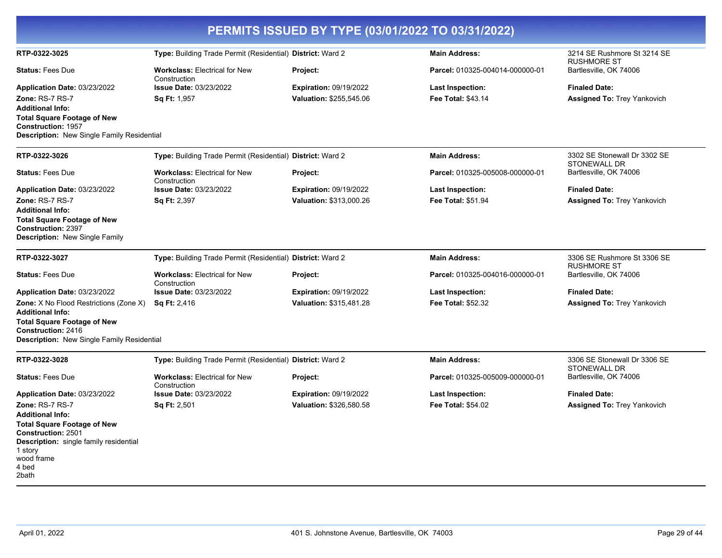| PERMITS ISSUED BY TYPE (03/01/2022 TO 03/31/2022)                                                                                                                                                         |                                                            |                                                          |                                               |                                                            |
|-----------------------------------------------------------------------------------------------------------------------------------------------------------------------------------------------------------|------------------------------------------------------------|----------------------------------------------------------|-----------------------------------------------|------------------------------------------------------------|
| RTP-0322-3025                                                                                                                                                                                             | Type: Building Trade Permit (Residential) District: Ward 2 |                                                          | <b>Main Address:</b>                          | 3214 SE Rushmore St 3214 SE<br><b>RUSHMORE ST</b>          |
| <b>Status: Fees Due</b>                                                                                                                                                                                   | <b>Workclass: Electrical for New</b><br>Construction       | Project:                                                 | Parcel: 010325-004014-000000-01               | Bartlesville, OK 74006                                     |
| Application Date: 03/23/2022<br>Zone: RS-7 RS-7                                                                                                                                                           | <b>Issue Date: 03/23/2022</b><br>Sq Ft: 1,957              | <b>Expiration: 09/19/2022</b><br>Valuation: \$255,545.06 | Last Inspection:<br>Fee Total: \$43.14        | <b>Finaled Date:</b><br><b>Assigned To: Trey Yankovich</b> |
| <b>Additional Info:</b><br><b>Total Square Footage of New</b><br><b>Construction: 1957</b><br>Description: New Single Family Residential                                                                  |                                                            |                                                          |                                               |                                                            |
| RTP-0322-3026                                                                                                                                                                                             | Type: Building Trade Permit (Residential) District: Ward 2 |                                                          | <b>Main Address:</b>                          | 3302 SE Stonewall Dr 3302 SE<br><b>STONEWALL DR</b>        |
| <b>Status: Fees Due</b>                                                                                                                                                                                   | <b>Workclass: Electrical for New</b><br>Construction       | Project:                                                 | Parcel: 010325-005008-000000-01               | Bartlesville, OK 74006                                     |
| Application Date: 03/23/2022                                                                                                                                                                              | <b>Issue Date: 03/23/2022</b>                              | <b>Expiration: 09/19/2022</b>                            | <b>Last Inspection:</b>                       | <b>Finaled Date:</b>                                       |
| Zone: RS-7 RS-7<br><b>Additional Info:</b>                                                                                                                                                                | <b>Sq Ft: 2,397</b>                                        | Valuation: \$313,000.26                                  | Fee Total: \$51.94                            | <b>Assigned To: Trey Yankovich</b>                         |
| <b>Total Square Footage of New</b><br><b>Construction: 2397</b><br><b>Description: New Single Family</b>                                                                                                  |                                                            |                                                          |                                               |                                                            |
| RTP-0322-3027                                                                                                                                                                                             | Type: Building Trade Permit (Residential) District: Ward 2 |                                                          | <b>Main Address:</b>                          | 3306 SE Rushmore St 3306 SE<br><b>RUSHMORE ST</b>          |
| <b>Status: Fees Due</b>                                                                                                                                                                                   | <b>Workclass: Electrical for New</b><br>Construction       | Project:                                                 | Parcel: 010325-004016-000000-01               | Bartlesville, OK 74006                                     |
| Application Date: 03/23/2022                                                                                                                                                                              | Issue Date: 03/23/2022                                     | <b>Expiration: 09/19/2022</b>                            | Last Inspection:                              | <b>Finaled Date:</b>                                       |
| Zone: X No Flood Restrictions (Zone X)<br><b>Additional Info:</b><br><b>Total Square Footage of New</b><br>Construction: 2416<br>Description: New Single Family Residential                               | <b>Sq Ft: 2,416</b>                                        | Valuation: \$315,481.28                                  | <b>Fee Total: \$52.32</b>                     | <b>Assigned To: Trey Yankovich</b>                         |
| RTP-0322-3028                                                                                                                                                                                             | Type: Building Trade Permit (Residential) District: Ward 2 |                                                          | <b>Main Address:</b>                          | 3306 SE Stonewall Dr 3306 SE                               |
| <b>Status: Fees Due</b>                                                                                                                                                                                   | <b>Workclass: Electrical for New</b>                       | Project:                                                 | Parcel: 010325-005009-000000-01               | <b>STONEWALL DR</b><br>Bartlesville, OK 74006              |
|                                                                                                                                                                                                           | Construction<br><b>Issue Date: 03/23/2022</b>              | <b>Expiration: 09/19/2022</b>                            |                                               | <b>Finaled Date:</b>                                       |
| Application Date: 03/23/2022<br>Zone: RS-7 RS-7<br><b>Additional Info:</b><br><b>Total Square Footage of New</b><br><b>Construction: 2501</b><br><b>Description:</b> single family residential<br>1 story | <b>Sq Ft: 2,501</b>                                        | Valuation: \$326,580.58                                  | <b>Last Inspection:</b><br>Fee Total: \$54.02 | <b>Assigned To: Trey Yankovich</b>                         |
| wood frame<br>4 bed<br>2bath                                                                                                                                                                              |                                                            |                                                          |                                               |                                                            |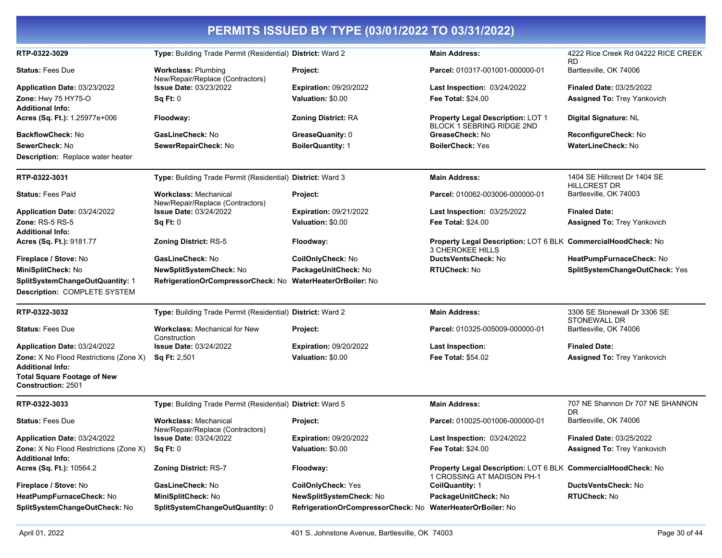| PERMITS ISSUED BY TYPE (03/01/2022 TO 03/31/2022)                        |                                                                  |                                                            |                                                                                             |                                                     |  |
|--------------------------------------------------------------------------|------------------------------------------------------------------|------------------------------------------------------------|---------------------------------------------------------------------------------------------|-----------------------------------------------------|--|
| RTP-0322-3029                                                            | Type: Building Trade Permit (Residential) District: Ward 2       |                                                            | <b>Main Address:</b>                                                                        | 4222 Rice Creek Rd 04222 RICE CREEK<br><b>RD</b>    |  |
| <b>Status: Fees Due</b>                                                  | <b>Workclass: Plumbing</b><br>New/Repair/Replace (Contractors)   | Project:                                                   | Parcel: 010317-001001-000000-01                                                             | Bartlesville, OK 74006                              |  |
| Application Date: 03/23/2022                                             | <b>Issue Date: 03/23/2022</b>                                    | <b>Expiration: 09/20/2022</b>                              | Last Inspection: 03/24/2022                                                                 | <b>Finaled Date: 03/25/2022</b>                     |  |
| Zone: Hwy 75 HY75-O<br><b>Additional Info:</b>                           | Sq Ft: 0                                                         | Valuation: \$0.00                                          | <b>Fee Total: \$24.00</b>                                                                   | <b>Assigned To: Trey Yankovich</b>                  |  |
| Acres (Sq. Ft.): 1.25977e+006                                            | Floodway:                                                        | <b>Zoning District: RA</b>                                 | Property Legal Description: LOT 1<br><b>BLOCK 1 SEBRING RIDGE 2ND</b>                       | Digital Signature: NL                               |  |
| <b>BackflowCheck: No</b>                                                 | GasLineCheck: No                                                 | GreaseQuanity: 0                                           | GreaseCheck: No                                                                             | ReconfigureCheck: No                                |  |
| SewerCheck: No                                                           | SewerRepairCheck: No                                             | <b>BoilerQuantity: 1</b>                                   | <b>BoilerCheck: Yes</b>                                                                     | <b>WaterLineCheck: No</b>                           |  |
| Description: Replace water heater                                        |                                                                  |                                                            |                                                                                             |                                                     |  |
| RTP-0322-3031                                                            | Type: Building Trade Permit (Residential) District: Ward 3       |                                                            | <b>Main Address:</b>                                                                        | 1404 SE Hillcrest Dr 1404 SE<br><b>HILLCREST DR</b> |  |
| <b>Status: Fees Paid</b>                                                 | <b>Workclass: Mechanical</b><br>New/Repair/Replace (Contractors) | Project:                                                   | Parcel: 010062-003006-000000-01                                                             | Bartlesville, OK 74003                              |  |
| Application Date: 03/24/2022                                             | <b>Issue Date: 03/24/2022</b>                                    | <b>Expiration: 09/21/2022</b>                              | Last Inspection: 03/25/2022                                                                 | <b>Finaled Date:</b>                                |  |
| <b>Zone: RS-5 RS-5</b><br><b>Additional Info:</b>                        | Sq Ft: 0                                                         | Valuation: \$0.00                                          | <b>Fee Total: \$24.00</b>                                                                   | <b>Assigned To: Trey Yankovich</b>                  |  |
| Acres (Sq. Ft.): 9181.77                                                 | Zoning District: RS-5                                            | Floodway:                                                  | Property Legal Description: LOT 6 BLK CommercialHoodCheck: No<br><b>3 CHEROKEE HILLS</b>    |                                                     |  |
| Fireplace / Stove: No                                                    | GasLineCheck: No                                                 | CoilOnlyCheck: No                                          | DuctsVentsCheck: No                                                                         | HeatPumpFurnaceCheck: No                            |  |
| MiniSplitCheck: No                                                       | <b>NewSplitSystemCheck: No</b>                                   | PackageUnitCheck: No                                       | <b>RTUCheck: No</b>                                                                         | SplitSystemChangeOutCheck: Yes                      |  |
| SplitSystemChangeOutQuantity: 1<br>Description: COMPLETE SYSTEM          | RefrigerationOrCompressorCheck: No WaterHeaterOrBoiler: No       |                                                            |                                                                                             |                                                     |  |
| RTP-0322-3032                                                            | Type: Building Trade Permit (Residential) District: Ward 2       |                                                            | <b>Main Address:</b>                                                                        | 3306 SE Stonewall Dr 3306 SE<br><b>STONEWALL DR</b> |  |
| <b>Status: Fees Due</b>                                                  | <b>Workclass: Mechanical for New</b><br>Construction             | <b>Project:</b>                                            | Parcel: 010325-005009-000000-01                                                             | Bartlesville, OK 74006                              |  |
| Application Date: 03/24/2022                                             | <b>Issue Date: 03/24/2022</b>                                    | <b>Expiration: 09/20/2022</b>                              | <b>Last Inspection:</b>                                                                     | <b>Finaled Date:</b>                                |  |
| Zone: X No Flood Restrictions (Zone X)<br><b>Additional Info:</b>        | <b>Sq Ft: 2,501</b>                                              | Valuation: \$0.00                                          | <b>Fee Total: \$54.02</b>                                                                   | <b>Assigned To: Trey Yankovich</b>                  |  |
| <b>Total Square Footage of New</b><br>Construction: 2501                 |                                                                  |                                                            |                                                                                             |                                                     |  |
| RTP-0322-3033                                                            | Type: Building Trade Permit (Residential) District: Ward 5       |                                                            | <b>Main Address:</b>                                                                        | 707 NE Shannon Dr 707 NE SHANNON<br><b>DR</b>       |  |
| <b>Status: Fees Due</b>                                                  | <b>Workclass: Mechanical</b><br>New/Repair/Replace (Contractors) | <b>Project:</b>                                            | Parcel: 010025-001006-000000-01                                                             | Bartlesville, OK 74006                              |  |
| Application Date: 03/24/2022                                             | <b>Issue Date: 03/24/2022</b>                                    | <b>Expiration: 09/20/2022</b>                              | <b>Last Inspection: 03/24/2022</b>                                                          | <b>Finaled Date: 03/25/2022</b>                     |  |
| <b>Zone:</b> X No Flood Restrictions (Zone X)<br><b>Additional Info:</b> | Sq Ft: 0                                                         | Valuation: \$0.00                                          | <b>Fee Total: \$24.00</b>                                                                   | <b>Assigned To: Trey Yankovich</b>                  |  |
| Acres (Sq. Ft.): 10564.2                                                 | <b>Zoning District: RS-7</b>                                     | Floodway:                                                  | Property Legal Description: LOT 6 BLK CommercialHoodCheck: No<br>1 CROSSING AT MADISON PH-1 |                                                     |  |
| Fireplace / Stove: No                                                    | GasLineCheck: No                                                 | <b>CoilOnlyCheck: Yes</b>                                  | CoilQuantity: 1                                                                             | DuctsVentsCheck: No                                 |  |
| HeatPumpFurnaceCheck: No                                                 | MiniSplitCheck: No                                               | NewSplitSystemCheck: No                                    | PackageUnitCheck: No                                                                        | RTUCheck: No                                        |  |
| SplitSystemChangeOutCheck: No                                            | SplitSystemChangeOutQuantity: 0                                  | RefrigerationOrCompressorCheck: No WaterHeaterOrBoiler: No |                                                                                             |                                                     |  |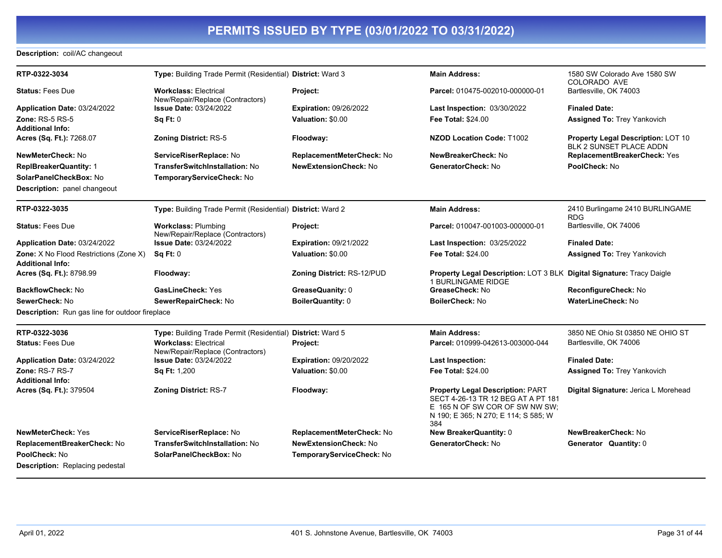### **Description:** coil/AC changeout

| RTP-0322-3034                                          | Type: Building Trade Permit (Residential) District: Ward 3       |                               | <b>Main Address:</b>                                                                                                                                           | 1580 SW Colorado Ave 1580 SW<br>COLORADO AVE                  |
|--------------------------------------------------------|------------------------------------------------------------------|-------------------------------|----------------------------------------------------------------------------------------------------------------------------------------------------------------|---------------------------------------------------------------|
| <b>Status: Fees Due</b>                                | <b>Workclass: Electrical</b><br>New/Repair/Replace (Contractors) | Project:                      | Parcel: 010475-002010-000000-01                                                                                                                                | Bartlesville, OK 74003                                        |
| Application Date: 03/24/2022                           | <b>Issue Date: 03/24/2022</b>                                    | <b>Expiration: 09/26/2022</b> | Last Inspection: 03/30/2022                                                                                                                                    | <b>Finaled Date:</b>                                          |
| <b>Zone: RS-5 RS-5</b>                                 | Sq Ft: 0                                                         | Valuation: \$0.00             | <b>Fee Total: \$24.00</b>                                                                                                                                      | <b>Assigned To: Trey Yankovich</b>                            |
| <b>Additional Info:</b>                                |                                                                  |                               |                                                                                                                                                                |                                                               |
| Acres (Sq. Ft.): 7268.07                               | <b>Zoning District: RS-5</b>                                     | Floodway:                     | <b>NZOD Location Code: T1002</b>                                                                                                                               | Property Legal Description: LOT 10<br>BLK 2 SUNSET PLACE ADDN |
| NewMeterCheck: No                                      | ServiceRiserReplace: No                                          | ReplacementMeterCheck: No     | NewBreakerCheck: No                                                                                                                                            | ReplacementBreakerCheck: Yes                                  |
| <b>ReplBreakerQuantity: 1</b>                          | <b>TransferSwitchInstallation: No</b>                            | <b>NewExtensionCheck: No</b>  | GeneratorCheck: No                                                                                                                                             | PoolCheck: No                                                 |
| SolarPanelCheckBox: No                                 | TemporaryServiceCheck: No                                        |                               |                                                                                                                                                                |                                                               |
| <b>Description:</b> panel changeout                    |                                                                  |                               |                                                                                                                                                                |                                                               |
| RTP-0322-3035                                          | Type: Building Trade Permit (Residential) District: Ward 2       |                               | <b>Main Address:</b>                                                                                                                                           | 2410 Burlingame 2410 BURLINGAME<br><b>RDG</b>                 |
| <b>Status: Fees Due</b>                                | <b>Workclass: Plumbing</b><br>New/Repair/Replace (Contractors)   | Project:                      | Parcel: 010047-001003-000000-01                                                                                                                                | Bartlesville, OK 74006                                        |
| Application Date: 03/24/2022                           | <b>Issue Date: 03/24/2022</b>                                    | <b>Expiration: 09/21/2022</b> | Last Inspection: 03/25/2022                                                                                                                                    | <b>Finaled Date:</b>                                          |
| Zone: X No Flood Restrictions (Zone X)                 | Sq Ft: 0                                                         | Valuation: \$0.00             | <b>Fee Total: \$24.00</b>                                                                                                                                      | <b>Assigned To: Trey Yankovich</b>                            |
| <b>Additional Info:</b>                                |                                                                  |                               |                                                                                                                                                                |                                                               |
| Acres (Sq. Ft.): 8798.99                               | Floodway:                                                        | Zoning District: RS-12/PUD    | Property Legal Description: LOT 3 BLK Digital Signature: Tracy Daigle<br><b>1 BURLINGAME RIDGE</b>                                                             |                                                               |
| <b>BackflowCheck: No</b>                               | <b>GasLineCheck: Yes</b>                                         | GreaseQuanity: 0              | GreaseCheck: No                                                                                                                                                | ReconfigureCheck: No                                          |
| SewerCheck: No                                         | SewerRepairCheck: No                                             | <b>BoilerQuantity: 0</b>      | <b>BoilerCheck: No</b>                                                                                                                                         | <b>WaterLineCheck: No</b>                                     |
| <b>Description:</b> Run gas line for outdoor fireplace |                                                                  |                               |                                                                                                                                                                |                                                               |
| RTP-0322-3036                                          | Type: Building Trade Permit (Residential) District: Ward 5       |                               | <b>Main Address:</b>                                                                                                                                           | 3850 NE Ohio St 03850 NE OHIO ST                              |
| <b>Status: Fees Due</b>                                | <b>Workclass: Electrical</b><br>New/Repair/Replace (Contractors) | Project:                      | Parcel: 010999-042613-003000-044                                                                                                                               | Bartlesville, OK 74006                                        |
| Application Date: 03/24/2022                           | <b>Issue Date: 03/24/2022</b>                                    | <b>Expiration: 09/20/2022</b> | <b>Last Inspection:</b>                                                                                                                                        | <b>Finaled Date:</b>                                          |
| Zone: RS-7 RS-7                                        | Sq Ft: 1,200                                                     | Valuation: \$0.00             | <b>Fee Total: \$24.00</b>                                                                                                                                      | <b>Assigned To: Trey Yankovich</b>                            |
| <b>Additional Info:</b>                                |                                                                  |                               |                                                                                                                                                                |                                                               |
| Acres (Sq. Ft.): 379504                                | <b>Zoning District: RS-7</b>                                     | Floodway:                     | <b>Property Legal Description: PART</b><br>SECT 4-26-13 TR 12 BEG AT A PT 181<br>E 165 N OF SW COR OF SW NW SW;<br>N 190; E 365; N 270; E 114; S 585; W<br>384 | Digital Signature: Jerica L Morehead                          |
| <b>NewMeterCheck: Yes</b>                              | ServiceRiserReplace: No                                          | ReplacementMeterCheck: No     | <b>New BreakerQuantity: 0</b>                                                                                                                                  | NewBreakerCheck: No                                           |
| ReplacementBreakerCheck: No                            | <b>TransferSwitchInstallation: No</b>                            | <b>NewExtensionCheck: No</b>  | GeneratorCheck: No                                                                                                                                             | Generator Quantity: 0                                         |
| <b>PoolCheck: No</b>                                   | SolarPanelCheckBox: No                                           | TemporaryServiceCheck: No     |                                                                                                                                                                |                                                               |
| <b>Description:</b> Replacing pedestal                 |                                                                  |                               |                                                                                                                                                                |                                                               |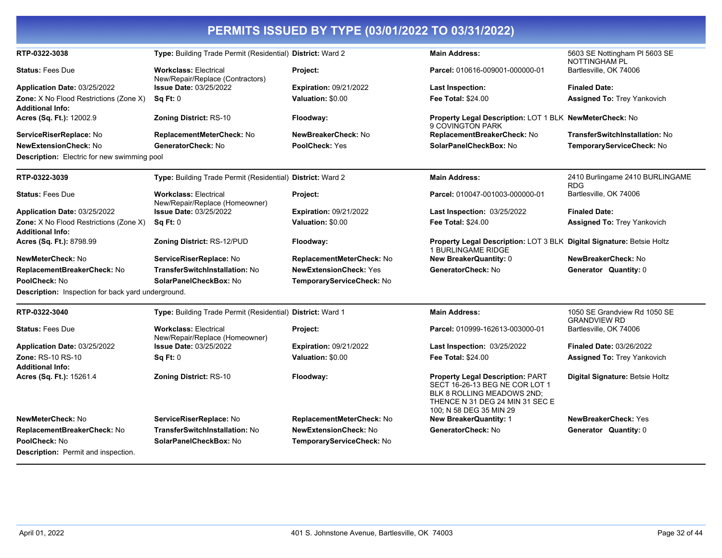|                                                                   |                                                                  | PERMITS ISSUED BY TYPE (03/01/2022 TO 03/31/2022) |                                                                                                                                                                       |                                                       |
|-------------------------------------------------------------------|------------------------------------------------------------------|---------------------------------------------------|-----------------------------------------------------------------------------------------------------------------------------------------------------------------------|-------------------------------------------------------|
| RTP-0322-3038                                                     | Type: Building Trade Permit (Residential) District: Ward 2       |                                                   | <b>Main Address:</b>                                                                                                                                                  | 5603 SE Nottingham PI 5603 SE<br><b>NOTTINGHAM PL</b> |
| <b>Status: Fees Due</b>                                           | <b>Workclass: Electrical</b><br>New/Repair/Replace (Contractors) | Project:                                          | Parcel: 010616-009001-000000-01                                                                                                                                       | Bartlesville, OK 74006                                |
| Application Date: 03/25/2022                                      | <b>Issue Date: 03/25/2022</b>                                    | <b>Expiration: 09/21/2022</b>                     | <b>Last Inspection:</b>                                                                                                                                               | <b>Finaled Date:</b>                                  |
| Zone: X No Flood Restrictions (Zone X)<br><b>Additional Info:</b> | SqFt:0                                                           | Valuation: \$0.00                                 | <b>Fee Total: \$24.00</b>                                                                                                                                             | <b>Assigned To: Trey Yankovich</b>                    |
| Acres (Sq. Ft.): 12002.9                                          | <b>Zoning District: RS-10</b>                                    | Floodway:                                         | <b>Property Legal Description: LOT 1 BLK NewMeterCheck: No</b><br>9 COVINGTON PARK                                                                                    |                                                       |
| ServiceRiserReplace: No                                           | ReplacementMeterCheck: No                                        | NewBreakerCheck: No                               | ReplacementBreakerCheck: No                                                                                                                                           | <b>TransferSwitchInstallation: No</b>                 |
| <b>NewExtensionCheck: No</b>                                      | GeneratorCheck: No                                               | <b>PoolCheck: Yes</b>                             | SolarPanelCheckBox: No                                                                                                                                                | TemporaryServiceCheck: No                             |
| Description: Electric for new swimming pool                       |                                                                  |                                                   |                                                                                                                                                                       |                                                       |
| RTP-0322-3039                                                     | Type: Building Trade Permit (Residential) District: Ward 2       |                                                   | <b>Main Address:</b>                                                                                                                                                  | 2410 Burlingame 2410 BURLINGAME<br><b>RDG</b>         |
| <b>Status: Fees Due</b>                                           | <b>Workclass: Electrical</b><br>New/Repair/Replace (Homeowner)   | Project:                                          | Parcel: 010047-001003-000000-01                                                                                                                                       | Bartlesville, OK 74006                                |
| Application Date: 03/25/2022                                      | <b>Issue Date: 03/25/2022</b>                                    | <b>Expiration: 09/21/2022</b>                     | <b>Last Inspection: 03/25/2022</b>                                                                                                                                    | <b>Finaled Date:</b>                                  |
| Zone: X No Flood Restrictions (Zone X)<br><b>Additional Info:</b> | Sq Ft: 0                                                         | Valuation: \$0.00                                 | <b>Fee Total: \$24.00</b>                                                                                                                                             | <b>Assigned To: Trey Yankovich</b>                    |
| Acres (Sq. Ft.): 8798.99                                          | Zoning District: RS-12/PUD                                       | Floodway:                                         | Property Legal Description: LOT 3 BLK Digital Signature: Betsie Holtz<br>1 BURLINGAME RIDGE                                                                           |                                                       |
| NewMeterCheck: No                                                 | ServiceRiserReplace: No                                          | ReplacementMeterCheck: No                         | <b>New BreakerQuantity: 0</b>                                                                                                                                         | NewBreakerCheck: No                                   |
| ReplacementBreakerCheck: No                                       | TransferSwitchInstallation: No                                   | <b>NewExtensionCheck: Yes</b>                     | GeneratorCheck: No                                                                                                                                                    | Generator Quantity: 0                                 |
| PoolCheck: No                                                     | SolarPanelCheckBox: No                                           | TemporaryServiceCheck: No                         |                                                                                                                                                                       |                                                       |
| Description: Inspection for back yard underground.                |                                                                  |                                                   |                                                                                                                                                                       |                                                       |
| RTP-0322-3040                                                     | Type: Building Trade Permit (Residential) District: Ward 1       |                                                   | <b>Main Address:</b>                                                                                                                                                  | 1050 SE Grandview Rd 1050 SE<br><b>GRANDVIEW RD</b>   |
| <b>Status: Fees Due</b>                                           | <b>Workclass: Electrical</b><br>New/Repair/Replace (Homeowner)   | Project:                                          | Parcel: 010999-162613-003000-01                                                                                                                                       | Bartlesville, OK 74006                                |
| Application Date: 03/25/2022                                      | <b>Issue Date: 03/25/2022</b>                                    | <b>Expiration: 09/21/2022</b>                     | <b>Last Inspection: 03/25/2022</b>                                                                                                                                    | <b>Finaled Date: 03/26/2022</b>                       |
| <b>Zone: RS-10 RS-10</b><br><b>Additional Info:</b>               | Sq Ft: 0                                                         | Valuation: \$0.00                                 | <b>Fee Total: \$24.00</b>                                                                                                                                             | <b>Assigned To: Trey Yankovich</b>                    |
| Acres (Sq. Ft.): 15261.4                                          | Zoning District: RS-10                                           | Floodway:                                         | <b>Property Legal Description: PART</b><br>SECT 16-26-13 BEG NE COR LOT 1<br>BLK 8 ROLLING MEADOWS 2ND;<br>THENCE N 31 DEG 24 MIN 31 SEC E<br>100; N 58 DEG 35 MIN 29 | Digital Signature: Betsie Holtz                       |
| NewMeterCheck: No                                                 | ServiceRiserReplace: No                                          | ReplacementMeterCheck: No                         | <b>New BreakerQuantity: 1</b>                                                                                                                                         | <b>NewBreakerCheck: Yes</b>                           |
| ReplacementBreakerCheck: No                                       | TransferSwitchInstallation: No                                   | <b>NewExtensionCheck: No</b>                      | GeneratorCheck: No                                                                                                                                                    | <b>Generator Quantity: 0</b>                          |
| PoolCheck: No                                                     | SolarPanelCheckBox: No                                           | TemporaryServiceCheck: No                         |                                                                                                                                                                       |                                                       |
| <b>Description:</b> Permit and inspection.                        |                                                                  |                                                   |                                                                                                                                                                       |                                                       |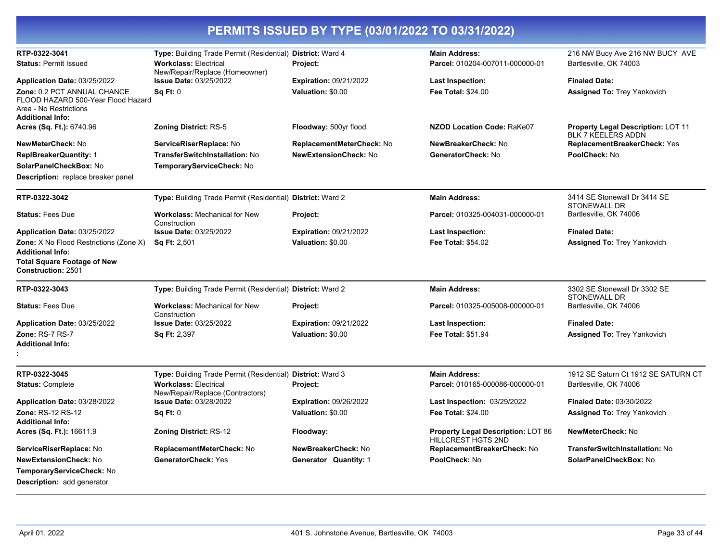| RTP-0322-3041                                                                                                          | Type: Building Trade Permit (Residential) District: Ward 4       |                                  | <b>Main Address:</b>                                                   | 216 NW Bucy Ave 216 NW BUCY AVE                                        |
|------------------------------------------------------------------------------------------------------------------------|------------------------------------------------------------------|----------------------------------|------------------------------------------------------------------------|------------------------------------------------------------------------|
| <b>Status: Permit Issued</b>                                                                                           | <b>Workclass: Electrical</b><br>New/Repair/Replace (Homeowner)   | Project:                         | Parcel: 010204-007011-000000-01                                        | Bartlesville, OK 74003                                                 |
| Application Date: 03/25/2022                                                                                           | <b>Issue Date: 03/25/2022</b>                                    | <b>Expiration: 09/21/2022</b>    | <b>Last Inspection:</b>                                                | <b>Finaled Date:</b>                                                   |
| Zone: 0.2 PCT ANNUAL CHANCE<br>FLOOD HAZARD 500-Year Flood Hazard<br>Area - No Restrictions<br><b>Additional Info:</b> | <b>Sq Ft: 0</b>                                                  | Valuation: \$0.00                | <b>Fee Total: \$24.00</b>                                              | <b>Assigned To: Trey Yankovich</b>                                     |
| Acres (Sq. Ft.): 6740.96                                                                                               | <b>Zoning District: RS-5</b>                                     | Floodway: 500yr flood            | NZOD Location Code: RaKe07                                             | <b>Property Legal Description: LOT 11</b><br><b>BLK 7 KEELERS ADDN</b> |
| <b>NewMeterCheck: No</b>                                                                                               | ServiceRiserReplace: No                                          | <b>ReplacementMeterCheck: No</b> | NewBreakerCheck: No                                                    | <b>ReplacementBreakerCheck: Yes</b>                                    |
| <b>ReplBreakerQuantity: 1</b>                                                                                          | <b>TransferSwitchInstallation: No</b>                            | <b>NewExtensionCheck: No</b>     | GeneratorCheck: No                                                     | PoolCheck: No                                                          |
| SolarPanelCheckBox: No                                                                                                 | TemporaryServiceCheck: No                                        |                                  |                                                                        |                                                                        |
| <b>Description:</b> replace breaker panel                                                                              |                                                                  |                                  |                                                                        |                                                                        |
| RTP-0322-3042                                                                                                          | Type: Building Trade Permit (Residential) District: Ward 2       |                                  | <b>Main Address:</b>                                                   | 3414 SE Stonewall Dr 3414 SE<br><b>STONEWALL DR</b>                    |
| <b>Status: Fees Due</b>                                                                                                | <b>Workclass: Mechanical for New</b><br>Construction             | Project:                         | Parcel: 010325-004031-000000-01                                        | Bartlesville, OK 74006                                                 |
| Application Date: 03/25/2022                                                                                           | <b>Issue Date: 03/25/2022</b>                                    | <b>Expiration: 09/21/2022</b>    | <b>Last Inspection:</b>                                                | <b>Finaled Date:</b>                                                   |
| Zone: X No Flood Restrictions (Zone X)<br><b>Additional Info:</b><br><b>Total Square Footage of New</b>                | <b>Sq Ft: 2,501</b>                                              | Valuation: \$0.00                | <b>Fee Total: \$54.02</b>                                              | <b>Assigned To: Trey Yankovich</b>                                     |
| Construction: 2501                                                                                                     |                                                                  |                                  |                                                                        |                                                                        |
| RTP-0322-3043                                                                                                          | Type: Building Trade Permit (Residential) District: Ward 2       |                                  | <b>Main Address:</b>                                                   | 3302 SE Stonewall Dr 3302 SE<br><b>STONEWALL DR</b>                    |
| <b>Status: Fees Due</b>                                                                                                | <b>Workclass: Mechanical for New</b><br>Construction             | Project:                         | Parcel: 010325-005008-000000-01                                        | Bartlesville, OK 74006                                                 |
| Application Date: 03/25/2022                                                                                           | <b>Issue Date: 03/25/2022</b>                                    | <b>Expiration: 09/21/2022</b>    | <b>Last Inspection:</b>                                                | <b>Finaled Date:</b>                                                   |
| Zone: RS-7 RS-7<br><b>Additional Info:</b>                                                                             | Sq Ft: 2,397                                                     | Valuation: \$0.00                | <b>Fee Total: \$51.94</b>                                              | <b>Assigned To: Trey Yankovich</b>                                     |
| RTP-0322-3045                                                                                                          | Type: Building Trade Permit (Residential) District: Ward 3       |                                  | <b>Main Address:</b>                                                   | 1912 SE Saturn Ct 1912 SE SATURN CT                                    |
| <b>Status: Complete</b>                                                                                                | <b>Workclass: Electrical</b><br>New/Repair/Replace (Contractors) | Project:                         | Parcel: 010165-000086-000000-01                                        | Bartlesville, OK 74006                                                 |
| Application Date: 03/28/2022                                                                                           | <b>Issue Date: 03/28/2022</b>                                    | <b>Expiration: 09/26/2022</b>    | <b>Last Inspection: 03/29/2022</b>                                     | <b>Finaled Date: 03/30/2022</b>                                        |
| Zone: RS-12 RS-12<br><b>Additional Info:</b>                                                                           | Sq Ft: 0                                                         | Valuation: \$0.00                | <b>Fee Total: \$24.00</b>                                              | <b>Assigned To: Trey Yankovich</b>                                     |
| Acres (Sq. Ft.): 16611.9                                                                                               | <b>Zoning District: RS-12</b>                                    | Floodway:                        | <b>Property Legal Description: LOT 86</b><br><b>HILLCREST HGTS 2ND</b> | NewMeterCheck: No                                                      |
| ServiceRiserReplace: No                                                                                                | ReplacementMeterCheck: No                                        | NewBreakerCheck: No              | ReplacementBreakerCheck: No                                            | TransferSwitchInstallation: No                                         |
| <b>NewExtensionCheck: No</b><br>TemporaryServiceCheck: No<br><b>Description:</b> add generator                         | <b>GeneratorCheck: Yes</b>                                       | Generator Quantity: 1            | PoolCheck: No                                                          | SolarPanelCheckBox: No                                                 |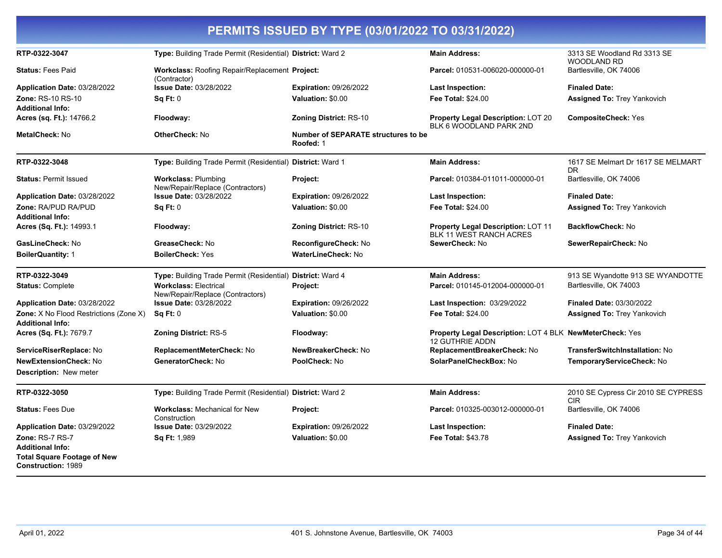| PERMITS ISSUED BY TYPE (03/01/2022 TO 03/31/2022)                                   |                                                                  |                                                  |                                                                                    |                                                   |  |
|-------------------------------------------------------------------------------------|------------------------------------------------------------------|--------------------------------------------------|------------------------------------------------------------------------------------|---------------------------------------------------|--|
| RTP-0322-3047                                                                       | Type: Building Trade Permit (Residential) District: Ward 2       |                                                  | <b>Main Address:</b>                                                               | 3313 SE Woodland Rd 3313 SE<br><b>WOODLAND RD</b> |  |
| <b>Status: Fees Paid</b>                                                            | Workclass: Roofing Repair/Replacement Project:                   |                                                  | Parcel: 010531-006020-000000-01                                                    | Bartlesville, OK 74006                            |  |
| Application Date: 03/28/2022                                                        | (Contractor)<br>Issue Date: 03/28/2022                           | <b>Expiration: 09/26/2022</b>                    | <b>Last Inspection:</b>                                                            | <b>Finaled Date:</b>                              |  |
| Zone: RS-10 RS-10                                                                   | Sq Ft: 0                                                         | Valuation: \$0.00                                | Fee Total: \$24.00                                                                 | <b>Assigned To: Trey Yankovich</b>                |  |
| <b>Additional Info:</b>                                                             |                                                                  |                                                  |                                                                                    |                                                   |  |
| Acres (sq. Ft.): 14766.2                                                            | Floodway:                                                        | <b>Zoning District: RS-10</b>                    | Property Legal Description: LOT 20<br>BLK 6 WOODLAND PARK 2ND                      | <b>CompositeCheck: Yes</b>                        |  |
| <b>MetalCheck: No</b>                                                               | OtherCheck: No                                                   | Number of SEPARATE structures to be<br>Roofed: 1 |                                                                                    |                                                   |  |
| RTP-0322-3048                                                                       | Type: Building Trade Permit (Residential) District: Ward 1       |                                                  | <b>Main Address:</b>                                                               | 1617 SE Melmart Dr 1617 SE MELMART<br><b>DR</b>   |  |
| <b>Status: Permit Issued</b>                                                        | <b>Workclass: Plumbing</b><br>New/Repair/Replace (Contractors)   | Project:                                         | Parcel: 010384-011011-000000-01                                                    | Bartlesville, OK 74006                            |  |
| Application Date: 03/28/2022                                                        | <b>Issue Date: 03/28/2022</b>                                    | <b>Expiration: 09/26/2022</b>                    | <b>Last Inspection:</b>                                                            | <b>Finaled Date:</b>                              |  |
| Zone: RA/PUD RA/PUD<br><b>Additional Info:</b>                                      | Sq Ft: 0                                                         | Valuation: \$0.00                                | <b>Fee Total: \$24.00</b>                                                          | <b>Assigned To: Trey Yankovich</b>                |  |
| <b>Acres (Sq. Ft.): 14993.1</b>                                                     | Floodway:                                                        | <b>Zoning District: RS-10</b>                    | <b>Property Legal Description: LOT 11</b><br>BLK 11 WEST RANCH ACRES               | <b>BackflowCheck: No</b>                          |  |
| GasLineCheck: No                                                                    | GreaseCheck: No                                                  | <b>ReconfigureCheck: No</b>                      | SewerCheck: No                                                                     | SewerRepairCheck: No                              |  |
| BoilerQuantity: 1                                                                   | <b>BoilerCheck: Yes</b>                                          | <b>WaterLineCheck: No</b>                        |                                                                                    |                                                   |  |
| RTP-0322-3049                                                                       | Type: Building Trade Permit (Residential) District: Ward 4       |                                                  | <b>Main Address:</b>                                                               | 913 SE Wyandotte 913 SE WYANDOTTE                 |  |
| <b>Status: Complete</b>                                                             | <b>Workclass: Electrical</b><br>New/Repair/Replace (Contractors) | Project:                                         | Parcel: 010145-012004-000000-01                                                    | Bartlesville, OK 74003                            |  |
| Application Date: 03/28/2022                                                        | <b>Issue Date: 03/28/2022</b>                                    | <b>Expiration: 09/26/2022</b>                    | Last Inspection: 03/29/2022                                                        | <b>Finaled Date: 03/30/2022</b>                   |  |
| <b>Zone:</b> X No Flood Restrictions (Zone X)<br>Additional Info:                   | Sq Ft: 0                                                         | Valuation: \$0.00                                | <b>Fee Total: \$24.00</b>                                                          | <b>Assigned To: Trey Yankovich</b>                |  |
| Acres (Sq. Ft.): 7679.7                                                             | <b>Zoning District: RS-5</b>                                     | Floodway:                                        | <b>Property Legal Description: LOT 4 BLK NewMeterCheck: Yes</b><br>12 GUTHRIE ADDN |                                                   |  |
| ServiceRiserReplace: No                                                             | ReplacementMeterCheck: No                                        | NewBreakerCheck: No                              | ReplacementBreakerCheck: No                                                        | <b>TransferSwitchInstallation: No</b>             |  |
| NewExtensionCheck: No                                                               | GeneratorCheck: No                                               | PoolCheck: No                                    | SolarPanelCheckBox: No                                                             | TemporaryServiceCheck: No                         |  |
| <b>Description: New meter</b>                                                       |                                                                  |                                                  |                                                                                    |                                                   |  |
| RTP-0322-3050                                                                       | Type: Building Trade Permit (Residential) District: Ward 2       |                                                  | <b>Main Address:</b>                                                               | 2010 SE Cypress Cir 2010 SE CYPRESS<br><b>CIR</b> |  |
| <b>Status: Fees Due</b>                                                             | <b>Workclass: Mechanical for New</b><br>Construction             | Project:                                         | Parcel: 010325-003012-000000-01                                                    | Bartlesville, OK 74006                            |  |
| Application Date: 03/29/2022                                                        | <b>Issue Date: 03/29/2022</b>                                    | <b>Expiration: 09/26/2022</b>                    | Last Inspection:                                                                   | <b>Finaled Date:</b>                              |  |
| Zone: RS-7 RS-7                                                                     | Sq Ft: 1,989                                                     | Valuation: \$0.00                                | <b>Fee Total: \$43.78</b>                                                          | <b>Assigned To: Trey Yankovich</b>                |  |
| Additional Info:<br><b>Total Square Footage of New</b><br><b>Construction: 1989</b> |                                                                  |                                                  |                                                                                    |                                                   |  |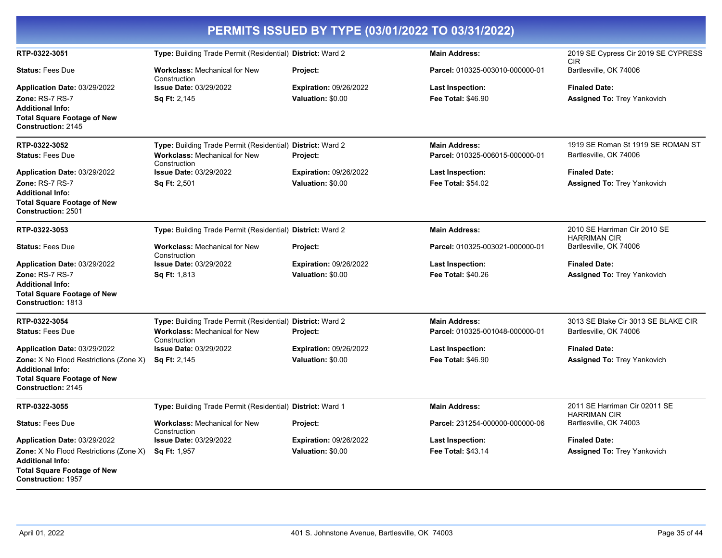| PERMITS ISSUED BY TYPE (03/01/2022 TO 03/31/2022)                                                                                    |                                                            |                               |                                 |                                                      |
|--------------------------------------------------------------------------------------------------------------------------------------|------------------------------------------------------------|-------------------------------|---------------------------------|------------------------------------------------------|
| RTP-0322-3051                                                                                                                        | Type: Building Trade Permit (Residential) District: Ward 2 |                               | <b>Main Address:</b>            | 2019 SE Cypress Cir 2019 SE CYPRESS<br><b>CIR</b>    |
| <b>Status: Fees Due</b>                                                                                                              | <b>Workclass: Mechanical for New</b><br>Construction       | Project:                      | Parcel: 010325-003010-000000-01 | Bartlesville, OK 74006                               |
| Application Date: 03/29/2022                                                                                                         | <b>Issue Date: 03/29/2022</b>                              | <b>Expiration: 09/26/2022</b> | Last Inspection:                | <b>Finaled Date:</b>                                 |
| Zone: RS-7 RS-7                                                                                                                      | Sq Ft: 2,145                                               | Valuation: \$0.00             | <b>Fee Total: \$46.90</b>       | <b>Assigned To: Trey Yankovich</b>                   |
| <b>Additional Info:</b><br><b>Total Square Footage of New</b><br>Construction: 2145                                                  |                                                            |                               |                                 |                                                      |
| RTP-0322-3052                                                                                                                        | Type: Building Trade Permit (Residential) District: Ward 2 |                               | <b>Main Address:</b>            | 1919 SE Roman St 1919 SE ROMAN ST                    |
| <b>Status: Fees Due</b>                                                                                                              | <b>Workclass: Mechanical for New</b><br>Construction       | Project:                      | Parcel: 010325-006015-000000-01 | Bartlesville, OK 74006                               |
| Application Date: 03/29/2022                                                                                                         | <b>Issue Date: 03/29/2022</b>                              | <b>Expiration: 09/26/2022</b> | <b>Last Inspection:</b>         | <b>Finaled Date:</b>                                 |
| Zone: RS-7 RS-7                                                                                                                      | Sq Ft: 2,501                                               | Valuation: \$0.00             | <b>Fee Total: \$54.02</b>       | <b>Assigned To: Trey Yankovich</b>                   |
| <b>Additional Info:</b><br><b>Total Square Footage of New</b><br>Construction: 2501                                                  |                                                            |                               |                                 |                                                      |
| RTP-0322-3053                                                                                                                        | Type: Building Trade Permit (Residential) District: Ward 2 |                               | <b>Main Address:</b>            | 2010 SE Harriman Cir 2010 SE<br><b>HARRIMAN CIR</b>  |
| <b>Status: Fees Due</b>                                                                                                              | <b>Workclass: Mechanical for New</b><br>Construction       | Project:                      | Parcel: 010325-003021-000000-01 | Bartlesville, OK 74006                               |
| Application Date: 03/29/2022                                                                                                         | <b>Issue Date: 03/29/2022</b>                              | <b>Expiration: 09/26/2022</b> | Last Inspection:                | <b>Finaled Date:</b>                                 |
| Zone: RS-7 RS-7                                                                                                                      | <b>Sq Ft: 1,813</b>                                        | Valuation: \$0.00             | <b>Fee Total: \$40.26</b>       | <b>Assigned To: Trey Yankovich</b>                   |
| <b>Additional Info:</b><br><b>Total Square Footage of New</b><br><b>Construction: 1813</b>                                           |                                                            |                               |                                 |                                                      |
| RTP-0322-3054                                                                                                                        | Type: Building Trade Permit (Residential) District: Ward 2 |                               | <b>Main Address:</b>            | 3013 SE Blake Cir 3013 SE BLAKE CIR                  |
| <b>Status: Fees Due</b>                                                                                                              | <b>Workclass: Mechanical for New</b><br>Construction       | Project:                      | Parcel: 010325-001048-000000-01 | Bartlesville, OK 74006                               |
| Application Date: 03/29/2022                                                                                                         | <b>Issue Date: 03/29/2022</b>                              | <b>Expiration: 09/26/2022</b> | <b>Last Inspection:</b>         | <b>Finaled Date:</b>                                 |
| <b>Zone:</b> X No Flood Restrictions (Zone X)<br><b>Additional Info:</b>                                                             | <b>Sq Ft: 2,145</b>                                        | Valuation: \$0.00             | <b>Fee Total: \$46.90</b>       | <b>Assigned To: Trey Yankovich</b>                   |
| <b>Total Square Footage of New</b><br>Construction: 2145                                                                             |                                                            |                               |                                 |                                                      |
| RTP-0322-3055                                                                                                                        | Type: Building Trade Permit (Residential) District: Ward 1 |                               | <b>Main Address:</b>            | 2011 SE Harriman Cir 02011 SE<br><b>HARRIMAN CIR</b> |
| <b>Status: Fees Due</b>                                                                                                              | <b>Workclass: Mechanical for New</b><br>Construction       | Project:                      | Parcel: 231254-000000-000000-06 | Bartlesville, OK 74003                               |
| Application Date: 03/29/2022                                                                                                         | <b>Issue Date: 03/29/2022</b>                              | <b>Expiration: 09/26/2022</b> | <b>Last Inspection:</b>         | <b>Finaled Date:</b>                                 |
| Zone: X No Flood Restrictions (Zone X)<br><b>Additional Info:</b><br><b>Total Square Footage of New</b><br><b>Construction: 1957</b> | <b>Sq Ft: 1,957</b>                                        | Valuation: \$0.00             | <b>Fee Total: \$43.14</b>       | Assigned To: Trey Yankovich                          |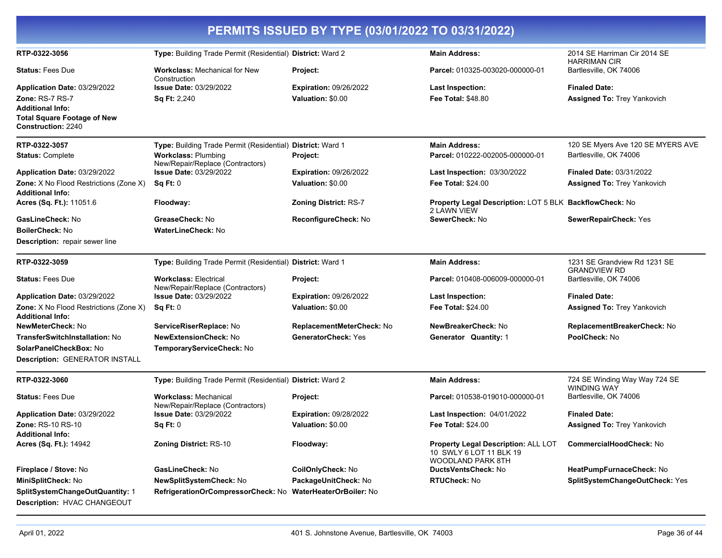| PERMITS ISSUED BY TYPE (03/01/2022 TO 03/31/2022)                        |                                                                  |                               |                                                                                     |                                                     |
|--------------------------------------------------------------------------|------------------------------------------------------------------|-------------------------------|-------------------------------------------------------------------------------------|-----------------------------------------------------|
| RTP-0322-3056                                                            | Type: Building Trade Permit (Residential) District: Ward 2       |                               | <b>Main Address:</b>                                                                | 2014 SE Harriman Cir 2014 SE<br><b>HARRIMAN CIR</b> |
| <b>Status: Fees Due</b>                                                  | <b>Workclass: Mechanical for New</b><br>Construction             | Project:                      | Parcel: 010325-003020-000000-01                                                     | Bartlesville, OK 74006                              |
| Application Date: 03/29/2022                                             | <b>Issue Date: 03/29/2022</b>                                    | <b>Expiration: 09/26/2022</b> | <b>Last Inspection:</b>                                                             | <b>Finaled Date:</b>                                |
| <b>Zone: RS-7 RS-7</b><br><b>Additional Info:</b>                        | <b>Sq Ft: 2,240</b>                                              | Valuation: \$0.00             | <b>Fee Total: \$48.80</b>                                                           | <b>Assigned To: Trey Yankovich</b>                  |
| <b>Total Square Footage of New</b><br><b>Construction: 2240</b>          |                                                                  |                               |                                                                                     |                                                     |
| RTP-0322-3057                                                            | Type: Building Trade Permit (Residential) District: Ward 1       |                               | <b>Main Address:</b>                                                                | 120 SE Myers Ave 120 SE MYERS AVE                   |
| <b>Status: Complete</b>                                                  | <b>Workclass: Plumbing</b><br>New/Repair/Replace (Contractors)   | Project:                      | Parcel: 010222-002005-000000-01                                                     | Bartlesville, OK 74006                              |
| Application Date: 03/29/2022                                             | <b>Issue Date: 03/29/2022</b>                                    | <b>Expiration: 09/26/2022</b> | Last Inspection: 03/30/2022                                                         | <b>Finaled Date: 03/31/2022</b>                     |
| Zone: X No Flood Restrictions (Zone X)<br><b>Additional Info:</b>        | Sq Ft: 0                                                         | Valuation: \$0.00             | <b>Fee Total: \$24.00</b>                                                           | <b>Assigned To: Trey Yankovich</b>                  |
| Acres (Sq. Ft.): 11051.6                                                 | Floodway:                                                        | <b>Zoning District: RS-7</b>  | Property Legal Description: LOT 5 BLK BackflowCheck: No<br>2 LAWN VIEW              |                                                     |
| GasLineCheck: No                                                         | GreaseCheck: No                                                  | ReconfigureCheck: No          | SewerCheck: No                                                                      | SewerRepairCheck: Yes                               |
| <b>BoilerCheck: No</b>                                                   | <b>WaterLineCheck: No</b>                                        |                               |                                                                                     |                                                     |
| <b>Description:</b> repair sewer line                                    |                                                                  |                               |                                                                                     |                                                     |
| RTP-0322-3059                                                            | Type: Building Trade Permit (Residential) District: Ward 1       |                               | <b>Main Address:</b>                                                                | 1231 SE Grandview Rd 1231 SE<br><b>GRANDVIEW RD</b> |
| <b>Status: Fees Due</b>                                                  | <b>Workclass: Electrical</b><br>New/Repair/Replace (Contractors) | Project:                      | Parcel: 010408-006009-000000-01                                                     | Bartlesville, OK 74006                              |
| Application Date: 03/29/2022                                             | <b>Issue Date: 03/29/2022</b>                                    | <b>Expiration: 09/26/2022</b> | <b>Last Inspection:</b>                                                             | <b>Finaled Date:</b>                                |
| <b>Zone:</b> X No Flood Restrictions (Zone X)<br><b>Additional Info:</b> | Sq Ft: 0                                                         | Valuation: \$0.00             | <b>Fee Total: \$24.00</b>                                                           | <b>Assigned To: Trey Yankovich</b>                  |
| <b>NewMeterCheck: No</b>                                                 | ServiceRiserReplace: No                                          | ReplacementMeterCheck: No     | NewBreakerCheck: No                                                                 | ReplacementBreakerCheck: No                         |
| <b>TransferSwitchInstallation: No</b>                                    | <b>NewExtensionCheck: No</b>                                     | <b>GeneratorCheck: Yes</b>    | <b>Generator Quantity: 1</b>                                                        | PoolCheck: No                                       |
| SolarPanelCheckBox: No<br><b>Description: GENERATOR INSTALL</b>          | TemporaryServiceCheck: No                                        |                               |                                                                                     |                                                     |
|                                                                          |                                                                  |                               |                                                                                     |                                                     |
| RTP-0322-3060                                                            | Type: Building Trade Permit (Residential) District: Ward 2       |                               | <b>Main Address:</b>                                                                | 724 SE Winding Way Way 724 SE<br><b>WINDING WAY</b> |
| <b>Status: Fees Due</b>                                                  | <b>Workclass: Mechanical</b><br>New/Repair/Replace (Contractors) | Project:                      | Parcel: 010538-019010-000000-01                                                     | Bartlesville, OK 74006                              |
| Application Date: 03/29/2022                                             | <b>Issue Date: 03/29/2022</b>                                    | <b>Expiration: 09/28/2022</b> | Last Inspection: 04/01/2022                                                         | <b>Finaled Date:</b>                                |
| Zone: RS-10 RS-10<br><b>Additional Info:</b>                             | Sq Ft: 0                                                         | Valuation: \$0.00             | Fee Total: \$24.00                                                                  | <b>Assigned To: Trey Yankovich</b>                  |
| Acres (Sq. Ft.): 14942                                                   | <b>Zoning District: RS-10</b>                                    | Floodway:                     | Property Legal Description: ALL LOT<br>10 SWLY 6 LOT 11 BLK 19<br>WOODLAND PARK 8TH | CommercialHoodCheck: No                             |
| Fireplace / Stove: No                                                    | GasLineCheck: No                                                 | <b>CoilOnlyCheck: No</b>      | DuctsVentsCheck: No                                                                 | HeatPumpFurnaceCheck: No                            |
| MiniSplitCheck: No                                                       | NewSplitSystemCheck: No                                          | PackageUnitCheck: No          | <b>RTUCheck: No</b>                                                                 | SplitSystemChangeOutCheck: Yes                      |
| SplitSystemChangeOutQuantity: 1<br>Description: HVAC CHANGEOUT           | RefrigerationOrCompressorCheck: No WaterHeaterOrBoiler: No       |                               |                                                                                     |                                                     |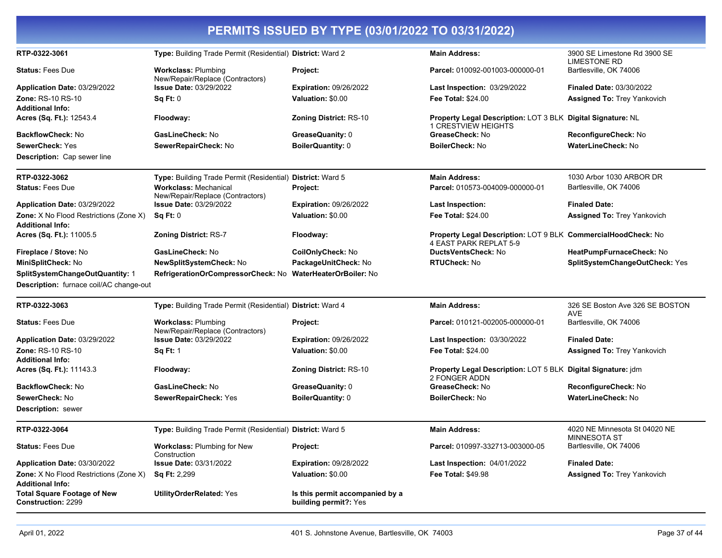| PERMITS ISSUED BY TYPE (03/01/2022 TO 03/31/2022)                        |                                                                  |                                                          |                                                                                           |                                                      |
|--------------------------------------------------------------------------|------------------------------------------------------------------|----------------------------------------------------------|-------------------------------------------------------------------------------------------|------------------------------------------------------|
| RTP-0322-3061                                                            | Type: Building Trade Permit (Residential) District: Ward 2       |                                                          | <b>Main Address:</b>                                                                      | 3900 SE Limestone Rd 3900 SE<br><b>LIMESTONE RD</b>  |
| <b>Status: Fees Due</b>                                                  | <b>Workclass: Plumbing</b><br>New/Repair/Replace (Contractors)   | Project:                                                 | Parcel: 010092-001003-000000-01                                                           | Bartlesville, OK 74006                               |
| Application Date: 03/29/2022                                             | <b>Issue Date: 03/29/2022</b>                                    | <b>Expiration: 09/26/2022</b>                            | Last Inspection: 03/29/2022                                                               | <b>Finaled Date: 03/30/2022</b>                      |
| <b>Zone: RS-10 RS-10</b><br><b>Additional Info:</b>                      | Sq Ft: 0                                                         | Valuation: \$0.00                                        | <b>Fee Total: \$24.00</b>                                                                 | <b>Assigned To: Trey Yankovich</b>                   |
| Acres (Sq. Ft.): 12543.4                                                 | Floodway:                                                        | <b>Zoning District: RS-10</b>                            | Property Legal Description: LOT 3 BLK Digital Signature: NL<br><b>1 CRESTVIEW HEIGHTS</b> |                                                      |
| <b>BackflowCheck: No</b>                                                 | GasLineCheck: No                                                 | GreaseQuanity: 0                                         | GreaseCheck: No                                                                           | ReconfigureCheck: No                                 |
| <b>SewerCheck: Yes</b>                                                   | SewerRepairCheck: No                                             | <b>BoilerQuantity: 0</b>                                 | <b>BoilerCheck: No</b>                                                                    | <b>WaterLineCheck: No</b>                            |
| Description: Cap sewer line                                              |                                                                  |                                                          |                                                                                           |                                                      |
| RTP-0322-3062                                                            | Type: Building Trade Permit (Residential) District: Ward 5       |                                                          | <b>Main Address:</b>                                                                      | 1030 Arbor 1030 ARBOR DR                             |
| <b>Status: Fees Due</b>                                                  | <b>Workclass: Mechanical</b><br>New/Repair/Replace (Contractors) | Project:                                                 | Parcel: 010573-004009-000000-01                                                           | Bartlesville, OK 74006                               |
| Application Date: 03/29/2022                                             | <b>Issue Date: 03/29/2022</b>                                    | <b>Expiration: 09/26/2022</b>                            | <b>Last Inspection:</b>                                                                   | <b>Finaled Date:</b>                                 |
| Zone: X No Flood Restrictions (Zone X)<br><b>Additional Info:</b>        | Sq Ft: 0                                                         | Valuation: \$0.00                                        | <b>Fee Total: \$24.00</b>                                                                 | <b>Assigned To: Trey Yankovich</b>                   |
| Acres (Sq. Ft.): 11005.5                                                 | Zoning District: RS-7                                            | Floodway:                                                | Property Legal Description: LOT 9 BLK CommercialHoodCheck: No<br>4 EAST PARK REPLAT 5-9   |                                                      |
| Fireplace / Stove: No                                                    | GasLineCheck: No<br>CoilOnlyCheck: No                            |                                                          | DuctsVentsCheck: No                                                                       | HeatPumpFurnaceCheck: No                             |
| MiniSplitCheck: No                                                       | NewSplitSystemCheck: No                                          | PackageUnitCheck: No                                     | <b>RTUCheck: No</b>                                                                       | SplitSystemChangeOutCheck: Yes                       |
| SplitSystemChangeOutQuantity: 1                                          | RefrigerationOrCompressorCheck: No WaterHeaterOrBoiler: No       |                                                          |                                                                                           |                                                      |
| Description: furnace coil/AC change-out                                  |                                                                  |                                                          |                                                                                           |                                                      |
| RTP-0322-3063                                                            | Type: Building Trade Permit (Residential) District: Ward 4       |                                                          | <b>Main Address:</b>                                                                      | 326 SE Boston Ave 326 SE BOSTON<br><b>AVE</b>        |
| <b>Status: Fees Due</b>                                                  | <b>Workclass: Plumbing</b><br>New/Repair/Replace (Contractors)   | Project:                                                 | Parcel: 010121-002005-000000-01                                                           | Bartlesville, OK 74006                               |
| Application Date: 03/29/2022                                             | <b>Issue Date: 03/29/2022</b>                                    | <b>Expiration: 09/26/2022</b>                            | Last Inspection: 03/30/2022                                                               | <b>Finaled Date:</b>                                 |
| Zone: RS-10 RS-10<br><b>Additional Info:</b>                             | <b>Sq Ft: 1</b>                                                  | Valuation: \$0.00                                        | <b>Fee Total: \$24.00</b>                                                                 | <b>Assigned To: Trey Yankovich</b>                   |
| Acres (Sq. Ft.): 11143.3                                                 | Floodway:                                                        | Zoning District: RS-10                                   | Property Legal Description: LOT 5 BLK Digital Signature: jdm<br>2 FONGER ADDN             |                                                      |
| <b>BackflowCheck: No</b>                                                 | GasLineCheck: No                                                 | GreaseQuanity: 0                                         | GreaseCheck: No                                                                           | ReconfigureCheck: No                                 |
| SewerCheck: No                                                           | SewerRepairCheck: Yes                                            | <b>BoilerQuantity: 0</b>                                 | <b>BoilerCheck: No</b>                                                                    | <b>WaterLineCheck: No</b>                            |
| <b>Description:</b> sewer                                                |                                                                  |                                                          |                                                                                           |                                                      |
| RTP-0322-3064                                                            | Type: Building Trade Permit (Residential) District: Ward 5       |                                                          | <b>Main Address:</b>                                                                      | 4020 NE Minnesota St 04020 NE<br><b>MINNESOTA ST</b> |
| <b>Status: Fees Due</b>                                                  | <b>Workclass: Plumbing for New</b><br>Construction               | Project:                                                 | Parcel: 010997-332713-003000-05                                                           | Bartlesville, OK 74006                               |
| Application Date: 03/30/2022                                             | <b>Issue Date: 03/31/2022</b>                                    | <b>Expiration: 09/28/2022</b>                            | Last Inspection: 04/01/2022                                                               | <b>Finaled Date:</b>                                 |
| <b>Zone:</b> X No Flood Restrictions (Zone X)<br><b>Additional Info:</b> | <b>Sq Ft: 2,299</b>                                              | Valuation: \$0.00                                        | Fee Total: \$49.98                                                                        | <b>Assigned To: Trey Yankovich</b>                   |
| <b>Total Square Footage of New</b><br><b>Construction: 2299</b>          | <b>UtilityOrderRelated: Yes</b>                                  | Is this permit accompanied by a<br>building permit?: Yes |                                                                                           |                                                      |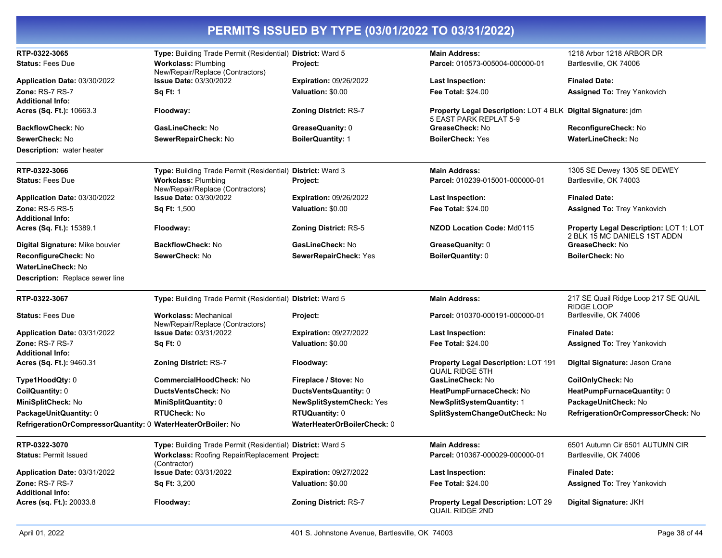| RTP-0322-3065                                                |                                                                                          |                               | <b>Main Address:</b>                                                                   | 1218 Arbor 1218 ARBOR DR                                               |
|--------------------------------------------------------------|------------------------------------------------------------------------------------------|-------------------------------|----------------------------------------------------------------------------------------|------------------------------------------------------------------------|
| <b>Status: Fees Due</b>                                      | Type: Building Trade Permit (Residential) District: Ward 5<br><b>Workclass: Plumbing</b> | Project:                      | Parcel: 010573-005004-000000-01                                                        | Bartlesville, OK 74006                                                 |
|                                                              | New/Repair/Replace (Contractors)                                                         |                               |                                                                                        |                                                                        |
| Application Date: 03/30/2022                                 | Issue Date: 03/30/2022                                                                   | <b>Expiration: 09/26/2022</b> | <b>Last Inspection:</b>                                                                | <b>Finaled Date:</b>                                                   |
| Zone: RS-7 RS-7                                              | <b>Sq Ft: 1</b>                                                                          | Valuation: \$0.00             | <b>Fee Total: \$24.00</b>                                                              | <b>Assigned To: Trey Yankovich</b>                                     |
| <b>Additional Info:</b><br>Acres (Sq. Ft.): 10663.3          | Floodway:                                                                                | <b>Zoning District: RS-7</b>  | Property Legal Description: LOT 4 BLK Digital Signature: jdm<br>5 EAST PARK REPLAT 5-9 |                                                                        |
| <b>BackflowCheck: No</b>                                     | GasLineCheck: No                                                                         | GreaseQuanity: 0              | GreaseCheck: No                                                                        | ReconfigureCheck: No                                                   |
| SewerCheck: No                                               | SewerRepairCheck: No                                                                     | <b>BoilerQuantity: 1</b>      | <b>BoilerCheck: Yes</b>                                                                | WaterLineCheck: No                                                     |
| <b>Description:</b> water heater                             |                                                                                          |                               |                                                                                        |                                                                        |
| RTP-0322-3066                                                | Type: Building Trade Permit (Residential) District: Ward 3                               |                               | <b>Main Address:</b>                                                                   | 1305 SE Dewey 1305 SE DEWEY                                            |
| <b>Status: Fees Due</b>                                      | <b>Workclass: Plumbing</b><br>New/Repair/Replace (Contractors)                           | Project:                      | Parcel: 010239-015001-000000-01                                                        | Bartlesville, OK 74003                                                 |
| Application Date: 03/30/2022                                 | <b>Issue Date: 03/30/2022</b>                                                            | <b>Expiration: 09/26/2022</b> | Last Inspection:                                                                       | <b>Finaled Date:</b>                                                   |
| <b>Zone: RS-5 RS-5</b><br><b>Additional Info:</b>            | <b>Sq Ft: 1,500</b>                                                                      | Valuation: \$0.00             | Fee Total: \$24.00                                                                     | <b>Assigned To: Trey Yankovich</b>                                     |
| Acres (Sq. Ft.): 15389.1                                     | Floodway:                                                                                | <b>Zoning District: RS-5</b>  | NZOD Location Code: Md0115                                                             | Property Legal Description: LOT 1: LOT<br>2 BLK 15 MC DANIELS 1ST ADDN |
| Digital Signature: Mike bouvier                              | <b>BackflowCheck: No</b>                                                                 | GasLineCheck: No              | GreaseQuanity: 0                                                                       | GreaseCheck: No                                                        |
| ReconfigureCheck: No                                         | SewerCheck: No                                                                           | SewerRepairCheck: Yes         | <b>BoilerQuantity: 0</b>                                                               | <b>BoilerCheck: No</b>                                                 |
| <b>WaterLineCheck: No</b>                                    |                                                                                          |                               |                                                                                        |                                                                        |
| Description: Replace sewer line                              |                                                                                          |                               |                                                                                        |                                                                        |
| RTP-0322-3067                                                | Type: Building Trade Permit (Residential) District: Ward 5                               |                               | <b>Main Address:</b>                                                                   | 217 SE Quail Ridge Loop 217 SE QUAIL<br>RIDGE LOOP                     |
| <b>Status: Fees Due</b>                                      | <b>Workclass: Mechanical</b><br>New/Repair/Replace (Contractors)                         | Project:                      | Parcel: 010370-000191-000000-01                                                        | Bartlesville, OK 74006                                                 |
| Application Date: 03/31/2022                                 | <b>Issue Date: 03/31/2022</b>                                                            | <b>Expiration: 09/27/2022</b> | <b>Last Inspection:</b>                                                                | <b>Finaled Date:</b>                                                   |
| Zone: RS-7 RS-7                                              | Sq Ft: 0                                                                                 | Valuation: \$0.00             | <b>Fee Total: \$24.00</b>                                                              | <b>Assigned To: Trey Yankovich</b>                                     |
| <b>Additional Info:</b>                                      |                                                                                          |                               |                                                                                        |                                                                        |
| Acres (Sq. Ft.): 9460.31                                     | <b>Zoning District: RS-7</b>                                                             | Floodway:                     | Property Legal Description: LOT 191<br><b>QUAIL RIDGE 5TH</b>                          | Digital Signature: Jason Crane                                         |
| Type1HoodQty: 0                                              | CommercialHoodCheck: No                                                                  | Fireplace / Stove: No         | GasLineCheck: No                                                                       | CoilOnlyCheck: No                                                      |
| CoilQuantity: 0                                              | <b>DuctsVentsCheck: No</b>                                                               | DuctsVentsQuantity: 0         | HeatPumpFurnaceCheck: No                                                               | HeatPumpFurnaceQuantity: 0                                             |
| MiniSplitCheck: No                                           | MiniSplitQuantity: 0                                                                     | NewSplitSystemCheck: Yes      | <b>NewSplitSystemQuantity: 1</b>                                                       | PackageUnitCheck: No                                                   |
| PackageUnitQuantity: 0                                       | <b>RTUCheck: No</b>                                                                      | <b>RTUQuantity: 0</b>         | SplitSystemChangeOutCheck: No                                                          | RefrigerationOrCompressorCheck: No                                     |
| RefrigerationOrCompressorQuantity: 0 WaterHeaterOrBoiler: No |                                                                                          | WaterHeaterOrBoilerCheck: 0   |                                                                                        |                                                                        |
| RTP-0322-3070                                                | Type: Building Trade Permit (Residential) District: Ward 5                               |                               | <b>Main Address:</b>                                                                   | 6501 Autumn Cir 6501 AUTUMN CIR                                        |
| <b>Status: Permit Issued</b>                                 | Workclass: Roofing Repair/Replacement Project:<br>(Contractor)                           |                               | Parcel: 010367-000029-000000-01                                                        | Bartlesville, OK 74006                                                 |
| Application Date: 03/31/2022                                 | <b>Issue Date: 03/31/2022</b>                                                            | <b>Expiration: 09/27/2022</b> | <b>Last Inspection:</b>                                                                | <b>Finaled Date:</b>                                                   |
| Zone: RS-7 RS-7<br><b>Additional Info:</b>                   | <b>Sq Ft: 3,200</b>                                                                      | Valuation: \$0.00             | <b>Fee Total: \$24.00</b>                                                              | <b>Assigned To: Trey Yankovich</b>                                     |
| Acres (sq. Ft.): 20033.8                                     | Floodway:                                                                                | <b>Zoning District: RS-7</b>  | <b>Property Legal Description: LOT 29</b><br><b>QUAIL RIDGE 2ND</b>                    | Digital Signature: JKH                                                 |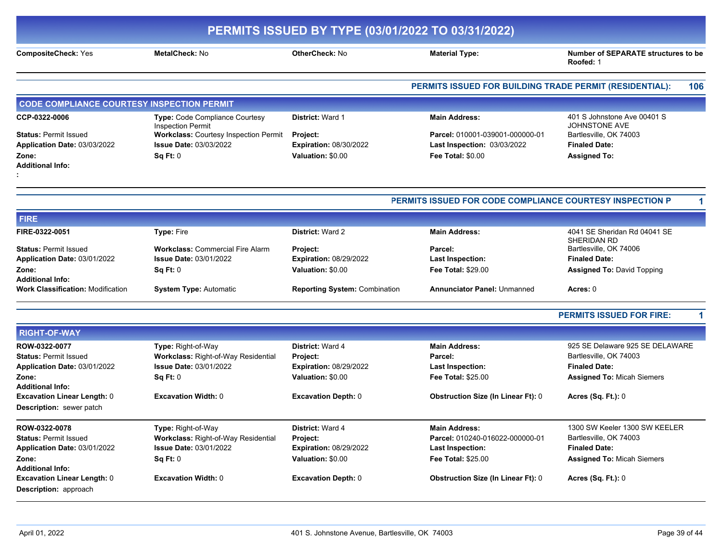|                                                                                                                   |                                                                                                                                                    | PERMITS ISSUED BY TYPE (03/01/2022 TO 03/31/2022)                                         |                                                                                                          |                                                                                                                        |  |
|-------------------------------------------------------------------------------------------------------------------|----------------------------------------------------------------------------------------------------------------------------------------------------|-------------------------------------------------------------------------------------------|----------------------------------------------------------------------------------------------------------|------------------------------------------------------------------------------------------------------------------------|--|
| <b>CompositeCheck: Yes</b>                                                                                        | <b>MetalCheck: No</b>                                                                                                                              | OtherCheck: No                                                                            | <b>Material Type:</b>                                                                                    | <b>Number of SEPARATE structures to be</b><br>Roofed: 1                                                                |  |
|                                                                                                                   |                                                                                                                                                    |                                                                                           | PERMITS ISSUED FOR BUILDING TRADE PERMIT (RESIDENTIAL):                                                  | 106                                                                                                                    |  |
| <b>CODE COMPLIANCE COURTESY INSPECTION PERMIT</b>                                                                 |                                                                                                                                                    |                                                                                           |                                                                                                          |                                                                                                                        |  |
| CCP-0322-0006<br><b>Status: Permit Issued</b><br>Application Date: 03/03/2022                                     | <b>Type: Code Compliance Courtesy</b><br><b>Inspection Permit</b><br><b>Workclass: Courtesy Inspection Permit</b><br><b>Issue Date: 03/03/2022</b> | <b>District: Ward 1</b><br><b>Project:</b>                                                | <b>Main Address:</b><br>Parcel: 010001-039001-000000-01                                                  | 401 S Johnstone Ave 00401 S<br><b>JOHNSTONE AVE</b><br>Bartlesville, OK 74003                                          |  |
| Zone:<br><b>Additional Info:</b>                                                                                  | Sq Ft: 0                                                                                                                                           | <b>Expiration: 08/30/2022</b><br>Valuation: \$0.00                                        | Last Inspection: 03/03/2022<br><b>Fee Total: \$0.00</b>                                                  | <b>Finaled Date:</b><br><b>Assigned To:</b>                                                                            |  |
|                                                                                                                   |                                                                                                                                                    |                                                                                           | PERMITS ISSUED FOR CODE COMPLIANCE COURTESY INSPECTION P                                                 |                                                                                                                        |  |
| <b>FIRE</b>                                                                                                       |                                                                                                                                                    |                                                                                           |                                                                                                          |                                                                                                                        |  |
| FIRE-0322-0051                                                                                                    | <b>Type: Fire</b>                                                                                                                                  | <b>District: Ward 2</b>                                                                   | <b>Main Address:</b>                                                                                     | 4041 SE Sheridan Rd 04041 SE<br>SHERIDAN RD                                                                            |  |
| <b>Status: Permit Issued</b><br>Application Date: 03/01/2022<br>Zone:                                             | <b>Workclass: Commercial Fire Alarm</b><br><b>Issue Date: 03/01/2022</b><br>Sq Ft: 0                                                               | Project:<br><b>Expiration: 08/29/2022</b><br>Valuation: \$0.00                            | Parcel:<br><b>Last Inspection:</b><br><b>Fee Total: \$29.00</b>                                          | Bartlesville, OK 74006<br><b>Finaled Date:</b><br><b>Assigned To: David Topping</b>                                    |  |
| <b>Additional Info:</b><br><b>Work Classification: Modification</b>                                               | <b>System Type: Automatic</b>                                                                                                                      | Reporting System: Combination                                                             | <b>Annunciator Panel: Unmanned</b>                                                                       | Acres: 0                                                                                                               |  |
|                                                                                                                   |                                                                                                                                                    |                                                                                           |                                                                                                          | <b>PERMITS ISSUED FOR FIRE:</b>                                                                                        |  |
| <b>RIGHT-OF-WAY</b>                                                                                               |                                                                                                                                                    |                                                                                           |                                                                                                          |                                                                                                                        |  |
| ROW-0322-0077<br><b>Status: Permit Issued</b><br>Application Date: 03/01/2022<br>Zone:<br><b>Additional Info:</b> | Type: Right-of-Way<br>Workclass: Right-of-Way Residential<br><b>Issue Date: 03/01/2022</b><br>Sq Ft: 0                                             | <b>District: Ward 4</b><br>Project:<br><b>Expiration: 08/29/2022</b><br>Valuation: \$0.00 | <b>Main Address:</b><br>Parcel:<br><b>Last Inspection:</b><br><b>Fee Total: \$25.00</b>                  | 925 SE Delaware 925 SE DELAWARE<br>Bartlesville, OK 74003<br><b>Finaled Date:</b><br><b>Assigned To: Micah Siemers</b> |  |
| <b>Excavation Linear Length: 0</b><br>Description: sewer patch                                                    | <b>Excavation Width: 0</b>                                                                                                                         | Excavation Depth: 0                                                                       | <b>Obstruction Size (In Linear Ft): 0</b>                                                                | <b>Acres (Sq. Ft.): 0</b>                                                                                              |  |
| ROW-0322-0078<br><b>Status: Permit Issued</b><br>Application Date: 03/01/2022<br>Zone:<br><b>Additional Info:</b> | <b>Type:</b> Right-of-Way<br>Workclass: Right-of-Way Residential<br><b>Issue Date: 03/01/2022</b><br>Sq Ft: 0                                      | District: Ward 4<br>Project:<br><b>Expiration: 08/29/2022</b><br>Valuation: \$0.00        | <b>Main Address:</b><br>Parcel: 010240-016022-000000-01<br><b>Last Inspection:</b><br>Fee Total: \$25.00 | 1300 SW Keeler 1300 SW KEELER<br>Bartlesville, OK 74003<br><b>Finaled Date:</b><br><b>Assigned To: Micah Siemers</b>   |  |
| <b>Excavation Linear Length: 0</b><br>Description: approach                                                       | <b>Excavation Width: 0</b>                                                                                                                         | <b>Excavation Depth: 0</b>                                                                | <b>Obstruction Size (In Linear Ft): 0</b>                                                                | <b>Acres (Sq. Ft.): 0</b>                                                                                              |  |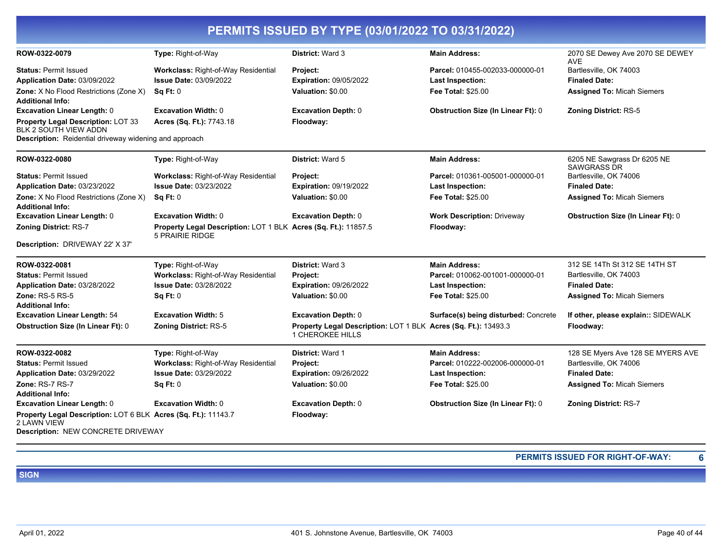| PERMITS ISSUED BY TYPE (03/01/2022 TO 03/31/2022)                             |                                                                                          |                                                                |                                           |                                                   |
|-------------------------------------------------------------------------------|------------------------------------------------------------------------------------------|----------------------------------------------------------------|-------------------------------------------|---------------------------------------------------|
| ROW-0322-0079                                                                 | Type: Right-of-Way                                                                       | District: Ward 3                                               | <b>Main Address:</b>                      | 2070 SE Dewey Ave 2070 SE DEWEY<br><b>AVE</b>     |
| <b>Status: Permit Issued</b>                                                  | <b>Workclass: Right-of-Way Residential</b>                                               | Project:                                                       | Parcel: 010455-002033-000000-01           | Bartlesville, OK 74003                            |
| Application Date: 03/09/2022                                                  | <b>Issue Date: 03/09/2022</b>                                                            | <b>Expiration: 09/05/2022</b>                                  | Last Inspection:                          | <b>Finaled Date:</b>                              |
| <b>Zone:</b> X No Flood Restrictions (Zone X)                                 | Sq Ft: 0                                                                                 | Valuation: \$0.00                                              | <b>Fee Total: \$25.00</b>                 | <b>Assigned To: Micah Siemers</b>                 |
| <b>Additional Info:</b>                                                       |                                                                                          |                                                                |                                           |                                                   |
| <b>Excavation Linear Length: 0</b>                                            | <b>Excavation Width: 0</b>                                                               | <b>Excavation Depth: 0</b>                                     | <b>Obstruction Size (In Linear Ft): 0</b> | <b>Zoning District: RS-5</b>                      |
| Property Legal Description: LOT 33<br>BLK 2 SOUTH VIEW ADDN                   | Acres (Sq. Ft.): 7743.18                                                                 | Floodway:                                                      |                                           |                                                   |
| Description: Reidential driveway widening and approach                        |                                                                                          |                                                                |                                           |                                                   |
| ROW-0322-0080                                                                 | Type: Right-of-Way                                                                       | District: Ward 5                                               | <b>Main Address:</b>                      | 6205 NE Sawgrass Dr 6205 NE<br><b>SAWGRASS DR</b> |
| <b>Status: Permit Issued</b>                                                  | <b>Workclass: Right-of-Way Residential</b>                                               | Project:                                                       | Parcel: 010361-005001-000000-01           | Bartlesville, OK 74006                            |
| Application Date: 03/23/2022                                                  | <b>Issue Date: 03/23/2022</b>                                                            | Expiration: 09/19/2022                                         | <b>Last Inspection:</b>                   | <b>Finaled Date:</b>                              |
| Zone: X No Flood Restrictions (Zone X)                                        | <b>Sq Ft: 0</b>                                                                          | <b>Valuation: \$0.00</b>                                       | Fee Total: \$25.00                        | <b>Assigned To: Micah Siemers</b>                 |
| <b>Additional Info:</b>                                                       |                                                                                          |                                                                |                                           |                                                   |
| <b>Excavation Linear Length: 0</b>                                            | <b>Excavation Width: 0</b>                                                               | <b>Excavation Depth: 0</b>                                     | <b>Work Description: Driveway</b>         | <b>Obstruction Size (In Linear Ft): 0</b>         |
| <b>Zoning District: RS-7</b>                                                  | Property Legal Description: LOT 1 BLK Acres (Sq. Ft.): 11857.5<br><b>5 PRAIRIE RIDGE</b> |                                                                | Floodway:                                 |                                                   |
| Description: DRIVEWAY 22' X 37'                                               |                                                                                          |                                                                |                                           |                                                   |
| ROW-0322-0081                                                                 | Type: Right-of-Way                                                                       | District: Ward 3                                               | <b>Main Address:</b>                      | 312 SE 14Th St 312 SE 14TH ST                     |
| <b>Status: Permit Issued</b>                                                  | Workclass: Right-of-Way Residential                                                      | Project:                                                       | Parcel: 010062-001001-000000-01           | Bartlesville, OK 74003                            |
| Application Date: 03/28/2022                                                  | <b>Issue Date: 03/28/2022</b>                                                            | Expiration: 09/26/2022                                         | <b>Last Inspection:</b>                   | <b>Finaled Date:</b>                              |
| Zone: RS-5 RS-5                                                               | Sq Ft: 0                                                                                 | Valuation: \$0.00                                              | <b>Fee Total: \$25.00</b>                 | <b>Assigned To: Micah Siemers</b>                 |
| <b>Additional Info:</b><br><b>Excavation Linear Length: 54</b>                | <b>Excavation Width: 5</b>                                                               | <b>Excavation Depth: 0</b>                                     | Surface(s) being disturbed: Concrete      | If other, please explain:: SIDEWALK               |
| <b>Obstruction Size (In Linear Ft): 0</b>                                     | <b>Zoning District: RS-5</b>                                                             | Property Legal Description: LOT 1 BLK Acres (Sq. Ft.): 13493.3 |                                           | Floodway:                                         |
|                                                                               |                                                                                          | 1 CHEROKEE HILLS                                               |                                           |                                                   |
| ROW-0322-0082                                                                 | Type: Right-of-Way                                                                       | District: Ward 1                                               | <b>Main Address:</b>                      | 128 SE Myers Ave 128 SE MYERS AVE                 |
| <b>Status: Permit Issued</b>                                                  | Workclass: Right-of-Way Residential                                                      | Project:                                                       | Parcel: 010222-002006-000000-01           | Bartlesville, OK 74006                            |
| Application Date: 03/29/2022                                                  | <b>Issue Date: 03/29/2022</b>                                                            | <b>Expiration: 09/26/2022</b>                                  | <b>Last Inspection:</b>                   | <b>Finaled Date:</b>                              |
| Zone: RS-7 RS-7                                                               | Sq Ft: 0                                                                                 | <b>Valuation: \$0.00</b>                                       | <b>Fee Total: \$25.00</b>                 | <b>Assigned To: Micah Siemers</b>                 |
| <b>Additional Info:</b>                                                       |                                                                                          |                                                                |                                           |                                                   |
| <b>Excavation Linear Length: 0</b>                                            | <b>Excavation Width: 0</b>                                                               | <b>Excavation Depth: 0</b>                                     | <b>Obstruction Size (In Linear Ft): 0</b> | <b>Zoning District: RS-7</b>                      |
| Property Legal Description: LOT 6 BLK Acres (Sq. Ft.): 11143.7<br>2 LAWN VIEW |                                                                                          | Floodway:                                                      |                                           |                                                   |
| Description: NEW CONCRETE DRIVEWAY                                            |                                                                                          |                                                                |                                           |                                                   |

**PERMITS ISSUED FOR RIGHT-OF-WAY: 6**

**SIGN**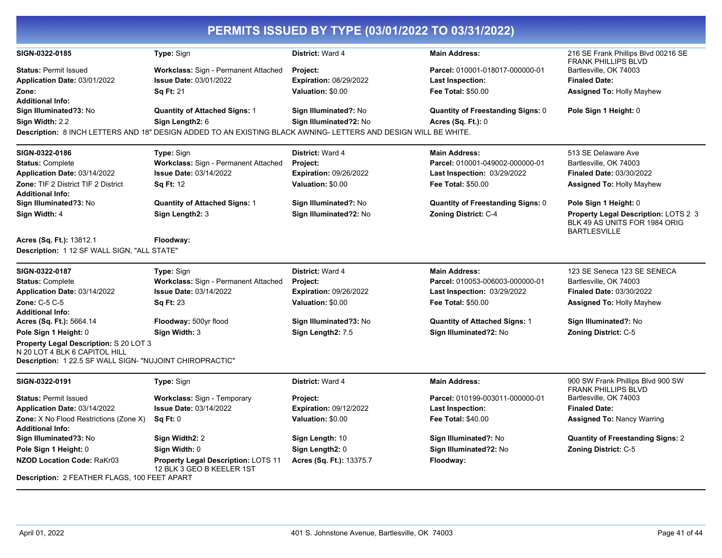| PERMITS ISSUED BY TYPE (03/01/2022 TO 03/31/2022)                                                                                   |                                                                                                                 |                               |                                          |                                                                       |  |
|-------------------------------------------------------------------------------------------------------------------------------------|-----------------------------------------------------------------------------------------------------------------|-------------------------------|------------------------------------------|-----------------------------------------------------------------------|--|
| SIGN-0322-0185                                                                                                                      | Type: Sign                                                                                                      | District: Ward 4              | <b>Main Address:</b>                     | 216 SE Frank Phillips Blvd 00216 SE<br><b>FRANK PHILLIPS BLVD</b>     |  |
| <b>Status: Permit Issued</b>                                                                                                        | Workclass: Sign - Permanent Attached                                                                            | <b>Project:</b>               | Parcel: 010001-018017-000000-01          | Bartlesville, OK 74003                                                |  |
| Application Date: 03/01/2022                                                                                                        | <b>Issue Date: 03/01/2022</b>                                                                                   | Expiration: 08/29/2022        | <b>Last Inspection:</b>                  | <b>Finaled Date:</b>                                                  |  |
| Zone:                                                                                                                               | <b>Sq Ft: 21</b>                                                                                                | Valuation: \$0.00             | Fee Total: \$50.00                       | <b>Assigned To: Holly Mayhew</b>                                      |  |
| <b>Additional Info:</b>                                                                                                             |                                                                                                                 |                               |                                          |                                                                       |  |
| Sign Illuminated?3: No                                                                                                              | <b>Quantity of Attached Signs: 1</b>                                                                            | Sign Illuminated?: No         | <b>Quantity of Freestanding Signs: 0</b> | Pole Sign 1 Height: 0                                                 |  |
| Sign Width: 2.2                                                                                                                     | Sign Length2: 6                                                                                                 | Sign Illuminated?2: No        | <b>Acres (Sq. Ft.): 0</b>                |                                                                       |  |
|                                                                                                                                     | Description: 8 INCH LETTERS AND 18" DESIGN ADDED TO AN EXISTING BLACK AWNING- LETTERS AND DESIGN WILL BE WHITE. |                               |                                          |                                                                       |  |
| SIGN-0322-0186                                                                                                                      | Type: Sign                                                                                                      | District: Ward 4              | <b>Main Address:</b>                     | 513 SE Delaware Ave                                                   |  |
| <b>Status: Complete</b>                                                                                                             | Workclass: Sign - Permanent Attached                                                                            | <b>Project:</b>               | Parcel: 010001-049002-000000-01          | Bartlesville, OK 74003                                                |  |
| Application Date: 03/14/2022                                                                                                        | <b>Issue Date: 03/14/2022</b>                                                                                   | <b>Expiration: 09/26/2022</b> | <b>Last Inspection: 03/29/2022</b>       | <b>Finaled Date: 03/30/2022</b>                                       |  |
| <b>Zone: TIF 2 District TIF 2 District</b><br><b>Additional Info:</b>                                                               | <b>Sq Ft: 12</b>                                                                                                | Valuation: \$0.00             | <b>Fee Total: \$50.00</b>                | <b>Assigned To: Holly Mayhew</b>                                      |  |
| Sign Illuminated?3: No                                                                                                              | <b>Quantity of Attached Signs: 1</b>                                                                            | Sign Illuminated?: No         | <b>Quantity of Freestanding Signs: 0</b> | Pole Sign 1 Height: 0                                                 |  |
| Sign Width: 4                                                                                                                       | Sign Length2: 3                                                                                                 | Sign Illuminated?2: No        | Zoning District: C-4                     | Property Legal Description: LOTS 2 3<br>BLK 49 AS UNITS FOR 1984 ORIG |  |
| Acres (Sq. Ft.): 13812.1                                                                                                            | Floodway:                                                                                                       |                               |                                          | <b>BARTLESVILLE</b>                                                   |  |
| Description: 1 12 SF WALL SIGN, "ALL STATE"                                                                                         |                                                                                                                 |                               |                                          |                                                                       |  |
| SIGN-0322-0187                                                                                                                      | Type: Sign                                                                                                      | District: Ward 4              | <b>Main Address:</b>                     | 123 SE Seneca 123 SE SENECA                                           |  |
| <b>Status: Complete</b>                                                                                                             | Workclass: Sign - Permanent Attached                                                                            | Project:                      | Parcel: 010053-006003-000000-01          | Bartlesville, OK 74003                                                |  |
| Application Date: 03/14/2022                                                                                                        | <b>Issue Date: 03/14/2022</b>                                                                                   | <b>Expiration: 09/26/2022</b> | Last Inspection: 03/29/2022              | <b>Finaled Date: 03/30/2022</b>                                       |  |
| Zone: C-5 C-5                                                                                                                       | <b>Sq Ft: 23</b>                                                                                                | Valuation: \$0.00             | <b>Fee Total: \$50.00</b>                | <b>Assigned To: Holly Mayhew</b>                                      |  |
| <b>Additional Info:</b>                                                                                                             |                                                                                                                 |                               |                                          |                                                                       |  |
| Acres (Sq. Ft.): 5664.14                                                                                                            | Floodway: 500yr flood                                                                                           | Sign Illuminated?3: No        | <b>Quantity of Attached Signs: 1</b>     | Sign Illuminated?: No                                                 |  |
| Pole Sign 1 Height: 0                                                                                                               | Sign Width: 3                                                                                                   | Sign Length2: 7.5             | Sign Illuminated?2: No                   | <b>Zoning District: C-5</b>                                           |  |
| Property Legal Description: S 20 LOT 3<br>N 20 LOT 4 BLK 6 CAPITOL HILL<br>Description: 1 22.5 SF WALL SIGN- "NUJOINT CHIROPRACTIC" |                                                                                                                 |                               |                                          |                                                                       |  |
| SIGN-0322-0191                                                                                                                      | Type: Sign                                                                                                      | District: Ward 4              | <b>Main Address:</b>                     | 900 SW Frank Phillips Blvd 900 SW<br><b>FRANK PHILLIPS BLVD</b>       |  |
| <b>Status: Permit Issued</b>                                                                                                        | <b>Workclass: Sign - Temporary</b>                                                                              | Project:                      | Parcel: 010199-003011-000000-01          | Bartlesville, OK 74003                                                |  |
| Application Date: 03/14/2022                                                                                                        | <b>Issue Date: 03/14/2022</b>                                                                                   | Expiration: 09/12/2022        | Last Inspection:                         | <b>Finaled Date:</b>                                                  |  |
| Zone: X No Flood Restrictions (Zone X)                                                                                              | Sq Ft: 0                                                                                                        | Valuation: \$0.00             | <b>Fee Total: \$40.00</b>                | <b>Assigned To: Nancy Warring</b>                                     |  |
| <b>Additional Info:</b>                                                                                                             |                                                                                                                 |                               |                                          |                                                                       |  |
| Sign Illuminated?3: No                                                                                                              | Sign Width2: 2                                                                                                  | Sign Length: 10               | Sign Illuminated?: No                    | <b>Quantity of Freestanding Signs: 2</b>                              |  |
| Pole Sign 1 Height: 0                                                                                                               | Sign Width: 0                                                                                                   | Sign Length2: 0               | Sign Illuminated?2: No                   | Zoning District: C-5                                                  |  |
| <b>NZOD Location Code: RaKr03</b>                                                                                                   | Property Legal Description: LOTS 11<br>12 BLK 3 GEO B KEELER 1ST                                                | Acres (Sq. Ft.): 13375.7      | Floodway:                                |                                                                       |  |
| Description: 2 FEATHER FLAGS, 100 FEET APART                                                                                        |                                                                                                                 |                               |                                          |                                                                       |  |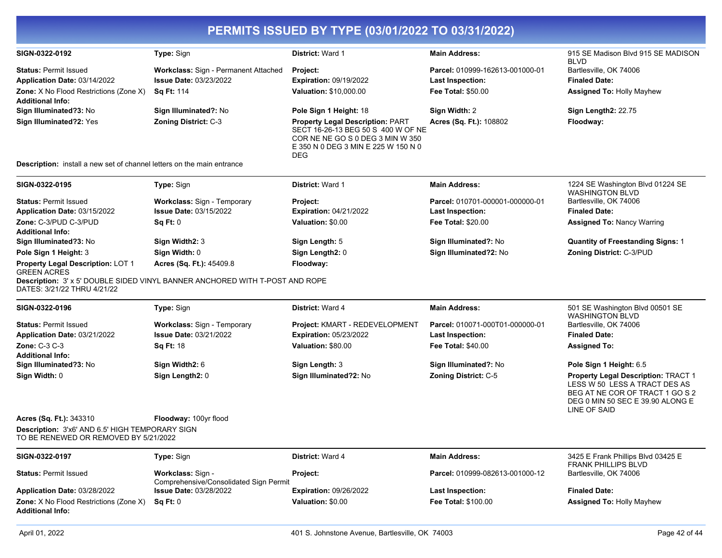| SIGN-0322-0192                                                                           | Type: Sign                                                                   | District: Ward 1                                                                                                                                                       | <b>Main Address:</b>                   | 915 SE Madison Blvd 915 SE MADISON<br><b>BLVD</b>                                                                                                           |
|------------------------------------------------------------------------------------------|------------------------------------------------------------------------------|------------------------------------------------------------------------------------------------------------------------------------------------------------------------|----------------------------------------|-------------------------------------------------------------------------------------------------------------------------------------------------------------|
| <b>Status: Permit Issued</b>                                                             | Workclass: Sign - Permanent Attached                                         | Project:                                                                                                                                                               | Parcel: 010999-162613-001000-01        | Bartlesville, OK 74006                                                                                                                                      |
| Application Date: 03/14/2022                                                             | <b>Issue Date: 03/23/2022</b>                                                | <b>Expiration: 09/19/2022</b>                                                                                                                                          | Last Inspection:                       | <b>Finaled Date:</b>                                                                                                                                        |
| <b>Zone:</b> X No Flood Restrictions (Zone X)                                            | <b>Sq Ft: 114</b>                                                            | Valuation: \$10,000.00                                                                                                                                                 | <b>Fee Total: \$50.00</b>              | <b>Assigned To: Holly Mayhew</b>                                                                                                                            |
| <b>Additional Info:</b>                                                                  |                                                                              |                                                                                                                                                                        |                                        |                                                                                                                                                             |
| Sign Illuminated?3: No                                                                   | Sign Illuminated?: No                                                        | Pole Sign 1 Height: 18                                                                                                                                                 | Sign Width: 2                          | Sign Length2: 22.75                                                                                                                                         |
| Sign Illuminated?2: Yes                                                                  | <b>Zoning District: C-3</b>                                                  | <b>Property Legal Description: PART</b><br>SECT 16-26-13 BEG 50 S 400 W OF NE<br>COR NE NE GO S 0 DEG 3 MIN W 350<br>E 350 N 0 DEG 3 MIN E 225 W 150 N 0<br><b>DEG</b> | Acres (Sq. Ft.): 108802                | Floodway:                                                                                                                                                   |
| <b>Description:</b> install a new set of channel letters on the main entrance            |                                                                              |                                                                                                                                                                        |                                        |                                                                                                                                                             |
| SIGN-0322-0195                                                                           | Type: Sign                                                                   | <b>District: Ward 1</b>                                                                                                                                                | <b>Main Address:</b>                   | 1224 SE Washington Blvd 01224 SE<br><b>WASHINGTON BLVD</b>                                                                                                  |
| <b>Status: Permit Issued</b>                                                             | Workclass: Sign - Temporary                                                  | Project:                                                                                                                                                               | Parcel: 010701-000001-000000-01        | Bartlesville, OK 74006                                                                                                                                      |
| Application Date: 03/15/2022                                                             | <b>Issue Date: 03/15/2022</b>                                                | <b>Expiration: 04/21/2022</b>                                                                                                                                          | <b>Last Inspection:</b>                | <b>Finaled Date:</b>                                                                                                                                        |
| Zone: C-3/PUD C-3/PUD                                                                    | Sq Ft: 0                                                                     | Valuation: \$0.00                                                                                                                                                      | <b>Fee Total: \$20.00</b>              | <b>Assigned To: Nancy Warring</b>                                                                                                                           |
| <b>Additional Info:</b>                                                                  |                                                                              |                                                                                                                                                                        |                                        |                                                                                                                                                             |
| Sign Illuminated?3: No                                                                   | Sign Width2: 3                                                               | Sign Length: 5                                                                                                                                                         | Sign Illuminated?: No                  | <b>Quantity of Freestanding Signs: 1</b>                                                                                                                    |
| Pole Sign 1 Height: 3                                                                    | Sign Width: 0                                                                | Sign Length2: 0                                                                                                                                                        | Sign Illuminated?2: No                 | Zoning District: C-3/PUD                                                                                                                                    |
| Property Legal Description: LOT 1<br><b>GREEN ACRES</b>                                  | Acres (Sq. Ft.): 45409.8                                                     | Floodway:                                                                                                                                                              |                                        |                                                                                                                                                             |
| DATES: 3/21/22 THRU 4/21/22                                                              | Description: 3' x 5' DOUBLE SIDED VINYL BANNER ANCHORED WITH T-POST AND ROPE |                                                                                                                                                                        |                                        |                                                                                                                                                             |
| SIGN-0322-0196                                                                           | Type: Sign                                                                   | District: Ward 4                                                                                                                                                       | <b>Main Address:</b>                   | 501 SE Washington Blvd 00501 SE<br><b>WASHINGTON BLVD</b>                                                                                                   |
| <b>Status: Permit Issued</b>                                                             | Workclass: Sign - Temporary                                                  | Project: KMART - REDEVELOPMENT                                                                                                                                         | Parcel: 010071-000T01-000000-01        | Bartlesville, OK 74006                                                                                                                                      |
| Application Date: 03/21/2022                                                             | <b>Issue Date: 03/21/2022</b>                                                | <b>Expiration: 05/23/2022</b>                                                                                                                                          | <b>Last Inspection:</b>                | <b>Finaled Date:</b>                                                                                                                                        |
| <b>Zone: C-3 C-3</b><br><b>Additional Info:</b>                                          | <b>Sq Ft: 18</b>                                                             | Valuation: \$80.00                                                                                                                                                     | Fee Total: \$40.00                     | <b>Assigned To:</b>                                                                                                                                         |
| Sign Illuminated?3: No                                                                   | Sign Width2: 6                                                               | Sign Length: 3                                                                                                                                                         | Sign Illuminated?: No                  | Pole Sign 1 Height: 6.5                                                                                                                                     |
| Sign Width: 0                                                                            | Sign Length2: 0                                                              | Sign Illuminated?2: No                                                                                                                                                 | Zoning District: C-5                   | Property Legal Description: TRACT 1<br>LESS W 50 LESS A TRACT DES AS<br>BEG AT NE COR OF TRACT 1 GO S 2<br>DEG 0 MIN 50 SEC E 39.90 ALONG E<br>LINE OF SAID |
| Acres (Sq. Ft.): 343310                                                                  | Floodway: 100yr flood                                                        |                                                                                                                                                                        |                                        |                                                                                                                                                             |
| Description: 3'x6' AND 6.5' HIGH TEMPORARY SIGN<br>TO BE RENEWED OR REMOVED BY 5/21/2022 |                                                                              |                                                                                                                                                                        |                                        |                                                                                                                                                             |
| SIGN-0322-0197                                                                           | Type: Sign                                                                   | District: Ward 4                                                                                                                                                       | <b>Main Address:</b>                   | 3425 E Frank Phillips Blvd 03425 E                                                                                                                          |
| <b>Status: Permit Issued</b>                                                             | Workclass: Sign -<br>Comprehensive/Consolidated Sign Permit                  | Project:                                                                                                                                                               | <b>Parcel: 010999-082613-001000-12</b> | <b>FRANK PHILLIPS BLVD</b><br>Bartlesville, OK 74006                                                                                                        |
| Application Date: 03/28/2022                                                             | <b>Issue Date: 03/28/2022</b>                                                | <b>Expiration: 09/26/2022</b>                                                                                                                                          | <b>Last Inspection:</b>                | <b>Finaled Date:</b>                                                                                                                                        |
| <b>Zone:</b> X No Flood Restrictions (Zone X)<br><b>Additional Info:</b>                 | Sq Ft: 0                                                                     | Valuation: \$0.00                                                                                                                                                      | Fee Total: \$100.00                    | <b>Assigned To: Holly Mayhew</b>                                                                                                                            |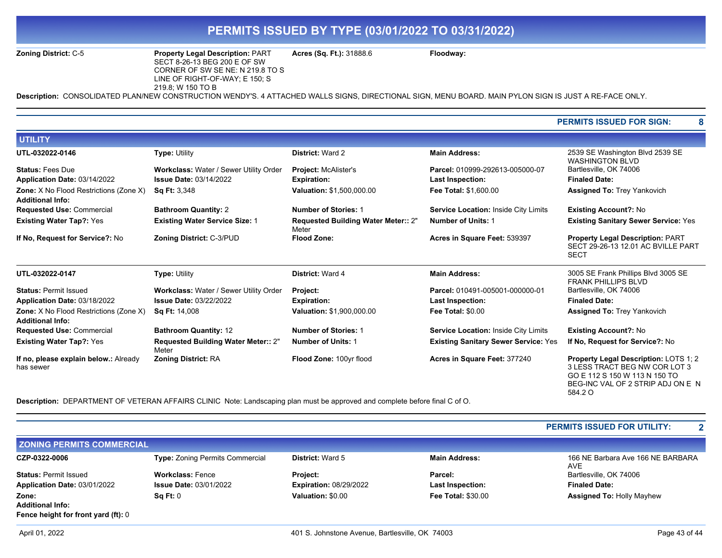#### **Zoning District:** C-5 **Property Legal Description:** PART SECT 8-26-13 BEG 200 E OF SW CORNER OF SW SE NE: N 219.8 TO S LINE OF RIGHT-OF-WAY; E 150; S 219.8; W 150 TO B

**Acres (Sq. Ft.):** 31888.6 **Floodway:** 

**Description:** CONSOLIDATED PLAN/NEW CONSTRUCTION WENDY'S. 4 ATTACHED WALLS SIGNS, DIRECTIONAL SIGN, MENU BOARD. MAIN PYLON SIGN IS JUST A RE-FACE ONLY.

#### **PERMITS ISSUED FOR SIGN: 8**

| <b>UTILITY</b>                                                           |                                              |                                                     |                                             |                                                                                                                                                         |
|--------------------------------------------------------------------------|----------------------------------------------|-----------------------------------------------------|---------------------------------------------|---------------------------------------------------------------------------------------------------------------------------------------------------------|
| UTL-032022-0146                                                          | <b>Type: Utility</b>                         | <b>District: Ward 2</b>                             | <b>Main Address:</b>                        | 2539 SE Washington Blvd 2539 SE<br><b>WASHINGTON BLVD</b>                                                                                               |
| <b>Status: Fees Due</b>                                                  | Workclass: Water / Sewer Utility Order       | <b>Project: McAlister's</b>                         | Parcel: 010999-292613-005000-07             | Bartlesville, OK 74006                                                                                                                                  |
| Application Date: 03/14/2022                                             | <b>Issue Date: 03/14/2022</b>                | <b>Expiration:</b>                                  | <b>Last Inspection:</b>                     | <b>Finaled Date:</b>                                                                                                                                    |
| <b>Zone:</b> X No Flood Restrictions (Zone X)<br><b>Additional Info:</b> | <b>Sq Ft: 3,348</b>                          | Valuation: \$1,500,000.00                           | Fee Total: \$1,600.00                       | Assigned To: Trey Yankovich                                                                                                                             |
| <b>Requested Use: Commercial</b>                                         | <b>Bathroom Quantity: 2</b>                  | <b>Number of Stories: 1</b>                         | <b>Service Location: Inside City Limits</b> | <b>Existing Account?: No</b>                                                                                                                            |
| <b>Existing Water Tap?: Yes</b>                                          | <b>Existing Water Service Size: 1</b>        | <b>Requested Building Water Meter:: 2"</b><br>Meter | <b>Number of Units: 1</b>                   | <b>Existing Sanitary Sewer Service: Yes</b>                                                                                                             |
| If No, Request for Service?: No                                          | Zoning District: C-3/PUD                     | <b>Flood Zone:</b>                                  | Acres in Square Feet: 539397                | <b>Property Legal Description: PART</b><br>SECT 29-26-13 12.01 AC BVILLE PART<br><b>SECT</b>                                                            |
| UTL-032022-0147                                                          | <b>Type: Utility</b>                         | District: Ward 4                                    | <b>Main Address:</b>                        | 3005 SE Frank Phillips Blvd 3005 SE<br><b>FRANK PHILLIPS BLVD</b>                                                                                       |
| <b>Status: Permit Issued</b>                                             | Workclass: Water / Sewer Utility Order       | Project:                                            | Parcel: 010491-005001-000000-01             | Bartlesville, OK 74006                                                                                                                                  |
| Application Date: 03/18/2022                                             | <b>Issue Date: 03/22/2022</b>                | <b>Expiration:</b>                                  | Last Inspection:                            | <b>Finaled Date:</b>                                                                                                                                    |
| <b>Zone:</b> X No Flood Restrictions (Zone X)<br><b>Additional Info:</b> | <b>Sq Ft: 14,008</b>                         | <b>Valuation: \$1,900,000.00</b>                    | <b>Fee Total: \$0.00</b>                    | <b>Assigned To: Trey Yankovich</b>                                                                                                                      |
| <b>Requested Use: Commercial</b>                                         | <b>Bathroom Quantity: 12</b>                 | <b>Number of Stories: 1</b>                         | Service Location: Inside City Limits        | <b>Existing Account?: No</b>                                                                                                                            |
| <b>Existing Water Tap?: Yes</b>                                          | Requested Building Water Meter:: 2"<br>Meter | <b>Number of Units: 1</b>                           | <b>Existing Sanitary Sewer Service: Yes</b> | If No, Request for Service?: No                                                                                                                         |
| If no, please explain below.: Already<br>has sewer                       | <b>Zoning District: RA</b>                   | Flood Zone: 100yr flood                             | Acres in Square Feet: 377240                | Property Legal Description: LOTS 1; 2<br>3 LESS TRACT BEG NW COR LOT 3<br>GO E 112 S 150 W 113 N 150 TO<br>BEG-INC VAL OF 2 STRIP ADJ ON E N<br>584.2 O |

**Description:** DEPARTMENT OF VETERAN AFFAIRS CLINIC Note: Landscaping plan must be approved and complete before final C of O.

|                                            |                                        |                               |                           | <b>PERMITS ISSUED FOR UTILITY:</b>       |
|--------------------------------------------|----------------------------------------|-------------------------------|---------------------------|------------------------------------------|
| <b>ZONING PERMITS COMMERCIAL</b>           |                                        |                               |                           |                                          |
| CZP-0322-0006                              | <b>Type: Zoning Permits Commercial</b> | <b>District: Ward 5</b>       | <b>Main Address:</b>      | 166 NE Barbara Ave 166 NE BARBARA<br>AVE |
| <b>Status: Permit Issued</b>               | <b>Workclass: Fence</b>                | <b>Project:</b>               | Parcel:                   | Bartlesville, OK 74006                   |
| Application Date: 03/01/2022               | <b>Issue Date: 03/01/2022</b>          | <b>Expiration: 08/29/2022</b> | <b>Last Inspection:</b>   | <b>Finaled Date:</b>                     |
| Zone:                                      | Sq Ft: 0                               | Valuation: \$0.00             | <b>Fee Total: \$30.00</b> | <b>Assigned To: Holly Mayhew</b>         |
| <b>Additional Info:</b>                    |                                        |                               |                           |                                          |
| <b>Fence height for front yard (ft): 0</b> |                                        |                               |                           |                                          |